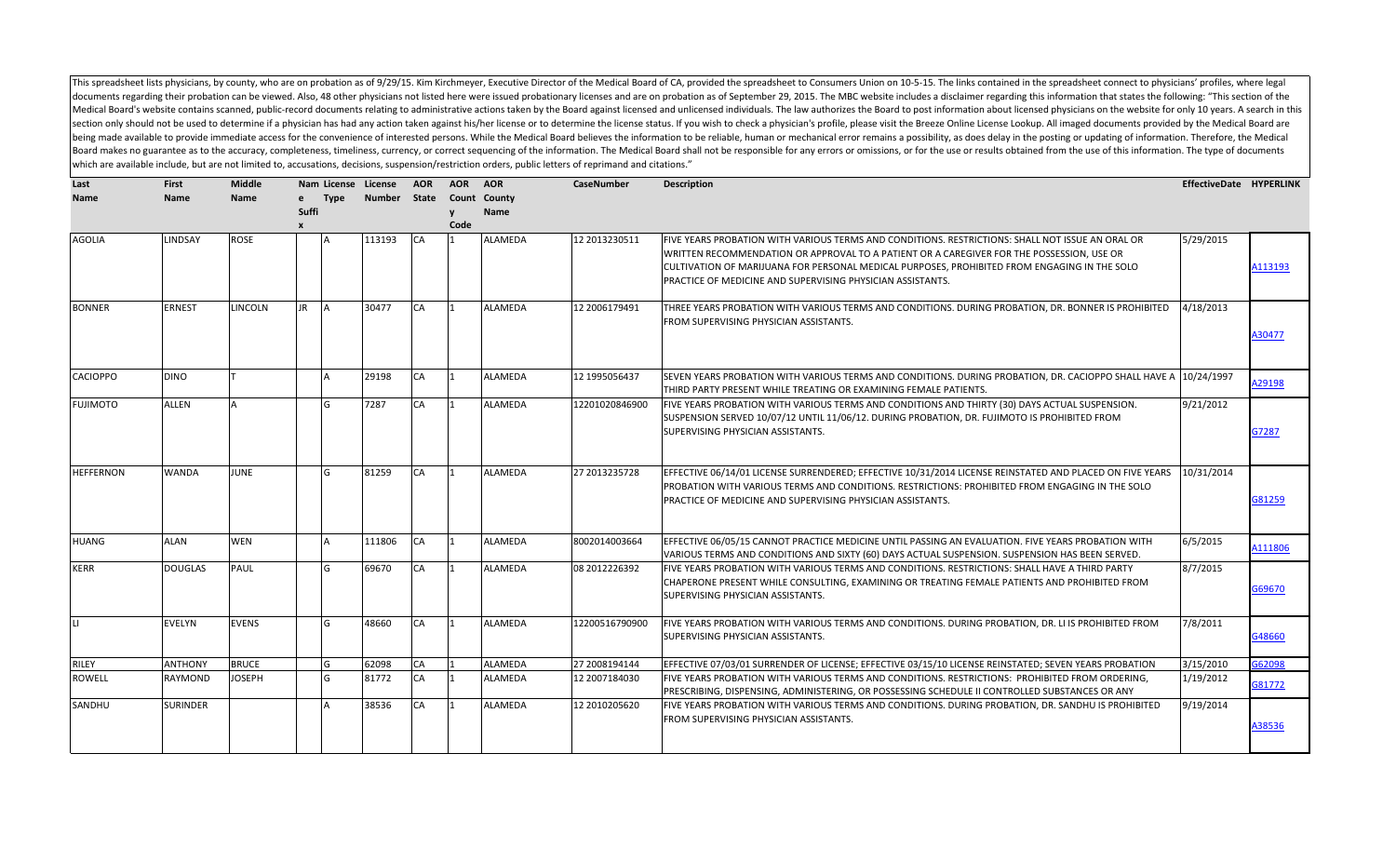This spreadsheet lists physicians, by county, who are on probation as of 9/29/15. Kim Kirchmeyer, Executive Director of the Medical Board of CA, provided the spreadsheet to Consumers Union on 10-5-15. The links contained i documents regarding their probation can be viewed. Also, 48 other physicians not listed here were issued probationary licenses and are on probation as of September 29, 2015. The MBC website includes a disclaimer regarding Medical Board's website contains scanned, public-record documents relating to administrative actions taken by the Board against licensed individuals. The law authorizes the Board to post information about licensed physicia section only should not be used to determine if a physician has had any action taken against his/her license or to determine the license status. If you wish to check a physician's profile, please visit the Breeze Online Li being made available to provide immediate access for the convenience of interested persons. While the Medical Board believes the information to be reliable, human or mechanical error remains a possibility, as does delay in Board makes no guarantee as to the accuracy, completeness, timeliness, currency, or correct sequencing of the information. The Medical Board shall not be responsible for any errors or omissions, or for the use or results o which are available include, but are not limited to, accusations, decisions, suspension/restriction orders, public letters of reprimand and citations."

| Last             | <b>First</b>    | <b>Middle</b> | Nam License License |               | <b>AOR</b> | <b>AOR</b> | <b>AOR</b>     | <b>CaseNumber</b> | <b>Description</b>                                                                                                      | EffectiveDate HYPERLINK |         |
|------------------|-----------------|---------------|---------------------|---------------|------------|------------|----------------|-------------------|-------------------------------------------------------------------------------------------------------------------------|-------------------------|---------|
| <b>Name</b>      | <b>Name</b>     | <b>Name</b>   | <b>Type</b><br>e    | <b>Number</b> | State      | Count      | County         |                   |                                                                                                                         |                         |         |
|                  |                 |               | <b>Suffi</b>        |               |            |            | Name           |                   |                                                                                                                         |                         |         |
|                  |                 |               | $\mathbf{x}$        |               |            | Code       |                |                   |                                                                                                                         |                         |         |
| <b>AGOLIA</b>    | LINDSAY         | <b>ROSE</b>   |                     | 113193        | <b>CA</b>  | l 1        | <b>ALAMEDA</b> | 12 2013230511     | FIVE YEARS PROBATION WITH VARIOUS TERMS AND CONDITIONS. RESTRICTIONS: SHALL NOT ISSUE AN ORAL OR                        | 5/29/2015               |         |
|                  |                 |               |                     |               |            |            |                |                   | WRITTEN RECOMMENDATION OR APPROVAL TO A PATIENT OR A CAREGIVER FOR THE POSSESSION, USE OR                               |                         |         |
|                  |                 |               |                     |               |            |            |                |                   | CULTIVATION OF MARIJUANA FOR PERSONAL MEDICAL PURPOSES, PROHIBITED FROM ENGAGING IN THE SOLO                            |                         | A113193 |
|                  |                 |               |                     |               |            |            |                |                   | PRACTICE OF MEDICINE AND SUPERVISING PHYSICIAN ASSISTANTS.                                                              |                         |         |
| <b>BONNER</b>    | ERNEST          | LINCOLN       | <b>JR</b>           | 30477         | <b>CA</b>  | l 1        | <b>ALAMEDA</b> | 12 2006179491     | THREE YEARS PROBATION WITH VARIOUS TERMS AND CONDITIONS. DURING PROBATION, DR. BONNER IS PROHIBITED                     | 4/18/2013               |         |
|                  |                 |               |                     |               |            |            |                |                   | FROM SUPERVISING PHYSICIAN ASSISTANTS.                                                                                  |                         |         |
|                  |                 |               |                     |               |            |            |                |                   |                                                                                                                         |                         | A30477  |
|                  |                 |               |                     |               |            |            |                |                   |                                                                                                                         |                         |         |
| <b>CACIOPPO</b>  | <b>DINO</b>     |               |                     | 29198         | CA         |            | <b>ALAMEDA</b> | 12 1995056437     | SEVEN YEARS PROBATION WITH VARIOUS TERMS AND CONDITIONS. DURING PROBATION, DR. CACIOPPO SHALL HAVE A $\vert$ 10/24/1997 |                         | A29198  |
|                  |                 |               |                     |               |            |            |                |                   | THIRD PARTY PRESENT WHILE TREATING OR EXAMINING FEMALE PATIENTS.                                                        |                         |         |
| <b>FUJIMOTO</b>  | <b>ALLEN</b>    |               | IG                  | 7287          | CA         | l 1        | <b>ALAMEDA</b> | 12201020846900    | FIVE YEARS PROBATION WITH VARIOUS TERMS AND CONDITIONS AND THIRTY (30) DAYS ACTUAL SUSPENSION.                          | 9/21/2012               |         |
|                  |                 |               |                     |               |            |            |                |                   | SUSPENSION SERVED 10/07/12 UNTIL 11/06/12. DURING PROBATION, DR. FUJIMOTO IS PROHIBITED FROM                            |                         |         |
|                  |                 |               |                     |               |            |            |                |                   | SUPERVISING PHYSICIAN ASSISTANTS.                                                                                       |                         | G7287   |
|                  |                 |               |                     |               |            |            |                |                   |                                                                                                                         |                         |         |
| <b>HEFFERNON</b> | <b>WANDA</b>    | <b>JUNE</b>   | l <sub>G</sub>      | 81259         | <b>CA</b>  |            | <b>ALAMEDA</b> | 27 2013235728     | EFFECTIVE 06/14/01 LICENSE SURRENDERED; EFFECTIVE 10/31/2014 LICENSE REINSTATED AND PLACED ON FIVE YEARS                | 10/31/2014              |         |
|                  |                 |               |                     |               |            |            |                |                   | PROBATION WITH VARIOUS TERMS AND CONDITIONS. RESTRICTIONS: PROHIBITED FROM ENGAGING IN THE SOLO                         |                         |         |
|                  |                 |               |                     |               |            |            |                |                   | PRACTICE OF MEDICINE AND SUPERVISING PHYSICIAN ASSISTANTS.                                                              |                         | G81259  |
|                  |                 |               |                     |               |            |            |                |                   |                                                                                                                         |                         |         |
| <b>HUANG</b>     | ALAN            | <b>WEN</b>    |                     | 111806        | <b>CA</b>  |            | <b>ALAMEDA</b> | 8002014003664     | EFFECTIVE 06/05/15 CANNOT PRACTICE MEDICINE UNTIL PASSING AN EVALUATION. FIVE YEARS PROBATION WITH                      | 6/5/2015                |         |
|                  |                 |               |                     |               |            |            |                |                   | VARIOUS TERMS AND CONDITIONS AND SIXTY (60) DAYS ACTUAL SUSPENSION. SUSPENSION HAS BEEN SERVED.                         |                         | A111806 |
| <b>KERR</b>      | <b>DOUGLAS</b>  | PAUL          | G                   | 69670         | CA         |            | <b>ALAMEDA</b> | 08 2012226392     | FIVE YEARS PROBATION WITH VARIOUS TERMS AND CONDITIONS. RESTRICTIONS: SHALL HAVE A THIRD PARTY                          | 8/7/2015                |         |
|                  |                 |               |                     |               |            |            |                |                   | CHAPERONE PRESENT WHILE CONSULTING, EXAMINING OR TREATING FEMALE PATIENTS AND PROHIBITED FROM                           |                         |         |
|                  |                 |               |                     |               |            |            |                |                   | SUPERVISING PHYSICIAN ASSISTANTS.                                                                                       |                         | G69670  |
|                  |                 |               |                     |               |            |            |                |                   |                                                                                                                         |                         |         |
| Ш.               | EVELYN          | EVENS         | G                   | 48660         | CA         |            | ALAMEDA        | 12200516790900    | FIVE YEARS PROBATION WITH VARIOUS TERMS AND CONDITIONS. DURING PROBATION, DR. LI IS PROHIBITED FROM                     | 7/8/2011                |         |
|                  |                 |               |                     |               |            |            |                |                   | SUPERVISING PHYSICIAN ASSISTANTS.                                                                                       |                         | G48660  |
| <b>RILEY</b>     | <b>ANTHONY</b>  | <b>BRUCE</b>  | IG                  | 62098         | <b>CA</b>  |            | <b>ALAMEDA</b> | 27 2008194144     | EFFECTIVE 07/03/01 SURRENDER OF LICENSE; EFFECTIVE 03/15/10 LICENSE REINSTATED; SEVEN YEARS PROBATION                   | 3/15/2010               | G62098  |
| <b>ROWELL</b>    | RAYMOND         | <b>JOSEPH</b> | <sup>G</sup>        | 81772         | <b>CA</b>  |            | <b>ALAMEDA</b> | 12 2007184030     | FIVE YEARS PROBATION WITH VARIOUS TERMS AND CONDITIONS. RESTRICTIONS: PROHIBITED FROM ORDERING,                         | 1/19/2012               | 381772  |
|                  |                 |               |                     |               |            |            |                |                   | PRESCRIBING, DISPENSING, ADMINISTERING, OR POSSESSING SCHEDULE II CONTROLLED SUBSTANCES OR ANY                          |                         |         |
| SANDHU           | <b>SURINDER</b> |               |                     | 38536         | CA         |            | <b>ALAMEDA</b> | 12 2010205620     | FIVE YEARS PROBATION WITH VARIOUS TERMS AND CONDITIONS. DURING PROBATION, DR. SANDHU IS PROHIBITED                      | 9/19/2014               |         |
|                  |                 |               |                     |               |            |            |                |                   | FROM SUPERVISING PHYSICIAN ASSISTANTS.                                                                                  |                         | A38536  |
|                  |                 |               |                     |               |            |            |                |                   |                                                                                                                         |                         |         |
|                  |                 |               |                     |               |            |            |                |                   |                                                                                                                         |                         |         |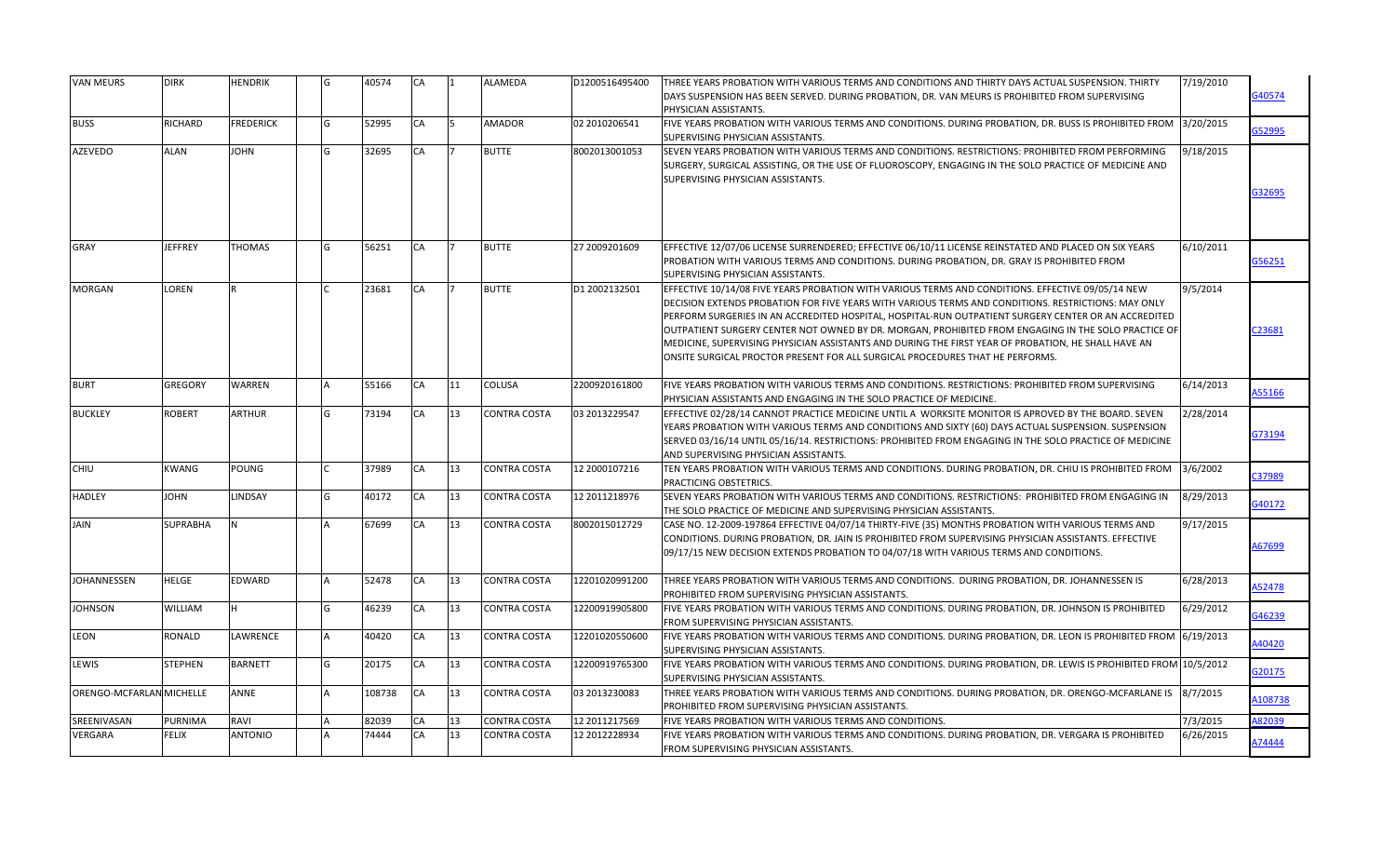| <b>VAN MEURS</b>         | <b>DIRK</b>     | <b>HENDRIK</b>   | G | 40574  | CA | 11  | ALAMEDA             | D1200516495400 | THREE YEARS PROBATION WITH VARIOUS TERMS AND CONDITIONS AND THIRTY DAYS ACTUAL SUSPENSION. THIRTY<br>DAYS SUSPENSION HAS BEEN SERVED. DURING PROBATION, DR. VAN MEURS IS PROHIBITED FROM SUPERVISING                                                                                                                                                                                                                                                                                                                                                                                                            | 7/19/2010 | 340574       |
|--------------------------|-----------------|------------------|---|--------|----|-----|---------------------|----------------|-----------------------------------------------------------------------------------------------------------------------------------------------------------------------------------------------------------------------------------------------------------------------------------------------------------------------------------------------------------------------------------------------------------------------------------------------------------------------------------------------------------------------------------------------------------------------------------------------------------------|-----------|--------------|
|                          |                 |                  |   |        |    |     |                     |                | PHYSICIAN ASSISTANTS.                                                                                                                                                                                                                                                                                                                                                                                                                                                                                                                                                                                           |           |              |
| <b>BUSS</b>              | RICHARD         | <b>FREDERICK</b> | G | 52995  | CA | l5. | AMADOR              | 02 2010206541  | FIVE YEARS PROBATION WITH VARIOUS TERMS AND CONDITIONS. DURING PROBATION, DR. BUSS IS PROHIBITED FROM<br>SUPERVISING PHYSICIAN ASSISTANTS.                                                                                                                                                                                                                                                                                                                                                                                                                                                                      | 3/20/2015 | G52995       |
| <b>AZEVEDO</b>           | ALAN            | <b>NHOL</b>      | G | 32695  | CA |     | <b>BUTTE</b>        | 8002013001053  | SEVEN YEARS PROBATION WITH VARIOUS TERMS AND CONDITIONS. RESTRICTIONS: PROHIBITED FROM PERFORMING<br>SURGERY, SURGICAL ASSISTING, OR THE USE OF FLUOROSCOPY, ENGAGING IN THE SOLO PRACTICE OF MEDICINE AND<br><b>SUPERVISING PHYSICIAN ASSISTANTS.</b>                                                                                                                                                                                                                                                                                                                                                          | 9/18/2015 | 332695       |
| <b>GRAY</b>              | <b>JEFFREY</b>  | <b>THOMAS</b>    | G | 56251  | CA |     | <b>BUTTE</b>        | 27 2009201609  | EFFECTIVE 12/07/06 LICENSE SURRENDERED; EFFECTIVE 06/10/11 LICENSE REINSTATED AND PLACED ON SIX YEARS<br>PROBATION WITH VARIOUS TERMS AND CONDITIONS. DURING PROBATION, DR. GRAY IS PROHIBITED FROM<br>SUPERVISING PHYSICIAN ASSISTANTS.                                                                                                                                                                                                                                                                                                                                                                        | 6/10/2011 | G56251       |
| <b>MORGAN</b>            | LOREN           |                  |   | 23681  | CA |     | <b>BUTTE</b>        | D1 2002132501  | EFFECTIVE 10/14/08 FIVE YEARS PROBATION WITH VARIOUS TERMS AND CONDITIONS. EFFECTIVE 09/05/14 NEW<br>DECISION EXTENDS PROBATION FOR FIVE YEARS WITH VARIOUS TERMS AND CONDITIONS. RESTRICTIONS: MAY ONLY<br>PERFORM SURGERIES IN AN ACCREDITED HOSPITAL, HOSPITAL-RUN OUTPATIENT SURGERY CENTER OR AN ACCREDITED<br>OUTPATIENT SURGERY CENTER NOT OWNED BY DR. MORGAN, PROHIBITED FROM ENGAGING IN THE SOLO PRACTICE OF<br>MEDICINE, SUPERVISING PHYSICIAN ASSISTANTS AND DURING THE FIRST YEAR OF PROBATION, HE SHALL HAVE AN<br>ONSITE SURGICAL PROCTOR PRESENT FOR ALL SURGICAL PROCEDURES THAT HE PERFORMS. | 9/5/2014  | 223681       |
| <b>BURT</b>              | GREGORY         | <b>WARREN</b>    |   | 55166  | CA | 111 | COLUSA              | 2200920161800  | FIVE YEARS PROBATION WITH VARIOUS TERMS AND CONDITIONS. RESTRICTIONS: PROHIBITED FROM SUPERVISING<br>PHYSICIAN ASSISTANTS AND ENGAGING IN THE SOLO PRACTICE OF MEDICINE.                                                                                                                                                                                                                                                                                                                                                                                                                                        | 6/14/2013 | <b>S5166</b> |
| <b>BUCKLEY</b>           | <b>ROBERT</b>   | <b>ARTHUR</b>    | G | 73194  | СA | 13  | CONTRA COSTA        | 03 2013229547  | EFFECTIVE 02/28/14 CANNOT PRACTICE MEDICINE UNTIL A WORKSITE MONITOR IS APROVED BY THE BOARD. SEVEN<br>YEARS PROBATION WITH VARIOUS TERMS AND CONDITIONS AND SIXTY (60) DAYS ACTUAL SUSPENSION. SUSPENSION<br>SERVED 03/16/14 UNTIL 05/16/14. RESTRICTIONS: PROHIBITED FROM ENGAGING IN THE SOLO PRACTICE OF MEDICINE<br>AND SUPERVISING PHYSICIAN ASSISTANTS.                                                                                                                                                                                                                                                  | 2/28/2014 | 373194       |
| CHIU                     | <b>KWANG</b>    | POUNG            |   | 37989  | CA | 13  | CONTRA COSTA        | 12 2000107216  | TEN YEARS PROBATION WITH VARIOUS TERMS AND CONDITIONS. DURING PROBATION, DR. CHIU IS PROHIBITED FROM<br>PRACTICING OBSTETRICS.                                                                                                                                                                                                                                                                                                                                                                                                                                                                                  | 3/6/2002  | C37989       |
| <b>HADLEY</b>            | <b>JOHN</b>     | LINDSAY          | G | 40172  | CA | 13  | CONTRA COSTA        | 12 2011218976  | SEVEN YEARS PROBATION WITH VARIOUS TERMS AND CONDITIONS. RESTRICTIONS: PROHIBITED FROM ENGAGING IN<br>THE SOLO PRACTICE OF MEDICINE AND SUPERVISING PHYSICIAN ASSISTANTS.                                                                                                                                                                                                                                                                                                                                                                                                                                       | 8/29/2013 | G40172       |
| <b>JAIN</b>              | <b>SUPRABHA</b> |                  |   | 67699  | CA | 13  | CONTRA COSTA        | 8002015012729  | CASE NO. 12-2009-197864 EFFECTIVE 04/07/14 THIRTY-FIVE (35) MONTHS PROBATION WITH VARIOUS TERMS AND<br>CONDITIONS. DURING PROBATION, DR. JAIN IS PROHIBITED FROM SUPERVISING PHYSICIAN ASSISTANTS. EFFECTIVE<br>09/17/15 NEW DECISION EXTENDS PROBATION TO 04/07/18 WITH VARIOUS TERMS AND CONDITIONS.                                                                                                                                                                                                                                                                                                          | 9/17/2015 | 467699       |
| <b>JOHANNESSEN</b>       | <b>HELGE</b>    | EDWARD           |   | 52478  | CA | 13  | CONTRA COSTA        | 12201020991200 | THREE YEARS PROBATION WITH VARIOUS TERMS AND CONDITIONS. DURING PROBATION, DR. JOHANNESSEN IS<br>PROHIBITED FROM SUPERVISING PHYSICIAN ASSISTANTS.                                                                                                                                                                                                                                                                                                                                                                                                                                                              | 6/28/2013 | 152478       |
| <b>JOHNSON</b>           | WILLIAM         | H                | G | 46239  | CA | 13  | CONTRA COSTA        | 12200919905800 | FIVE YEARS PROBATION WITH VARIOUS TERMS AND CONDITIONS. DURING PROBATION, DR. JOHNSON IS PROHIBITED<br>FROM SUPERVISING PHYSICIAN ASSISTANTS.                                                                                                                                                                                                                                                                                                                                                                                                                                                                   | 6/29/2012 | 346239       |
| LEON                     | RONALD          | LAWRENCE         |   | 40420  | CA | 13  | CONTRA COSTA        | 12201020550600 | FIVE YEARS PROBATION WITH VARIOUS TERMS AND CONDITIONS. DURING PROBATION, DR. LEON IS PROHIBITED FROM 6/19/2013<br>SUPERVISING PHYSICIAN ASSISTANTS.                                                                                                                                                                                                                                                                                                                                                                                                                                                            |           | 40420        |
| LEWIS                    | <b>STEPHEN</b>  | <b>BARNETT</b>   | G | 20175  | CA | 13  | CONTRA COSTA        | 12200919765300 | FIVE YEARS PROBATION WITH VARIOUS TERMS AND CONDITIONS. DURING PROBATION, DR. LEWIS IS PROHIBITED FROM 10/5/2012<br>SUPERVISING PHYSICIAN ASSISTANTS.                                                                                                                                                                                                                                                                                                                                                                                                                                                           |           | G20175       |
| ORENGO-MCFARLAN MICHELLE |                 | ANNE             |   | 108738 | CA | 13  | CONTRA COSTA        | 03 2013230083  | THREE YEARS PROBATION WITH VARIOUS TERMS AND CONDITIONS. DURING PROBATION, DR. ORENGO-MCFARLANE IS<br>PROHIBITED FROM SUPERVISING PHYSICIAN ASSISTANTS.                                                                                                                                                                                                                                                                                                                                                                                                                                                         | 8/7/2015  | 108738       |
| SREENIVASAN              | PURNIMA         | RAVI             |   | 82039  | CA | 13  | CONTRA COSTA        | 12 2011217569  | FIVE YEARS PROBATION WITH VARIOUS TERMS AND CONDITIONS.                                                                                                                                                                                                                                                                                                                                                                                                                                                                                                                                                         | 7/3/2015  | A82039       |
| VERGARA                  | <b>FELIX</b>    | <b>ANTONIO</b>   |   | 74444  | CA | 13  | <b>CONTRA COSTA</b> | 12 2012228934  | FIVE YEARS PROBATION WITH VARIOUS TERMS AND CONDITIONS. DURING PROBATION, DR. VERGARA IS PROHIBITED<br>FROM SUPERVISING PHYSICIAN ASSISTANTS.                                                                                                                                                                                                                                                                                                                                                                                                                                                                   | 6/26/2015 | 174444       |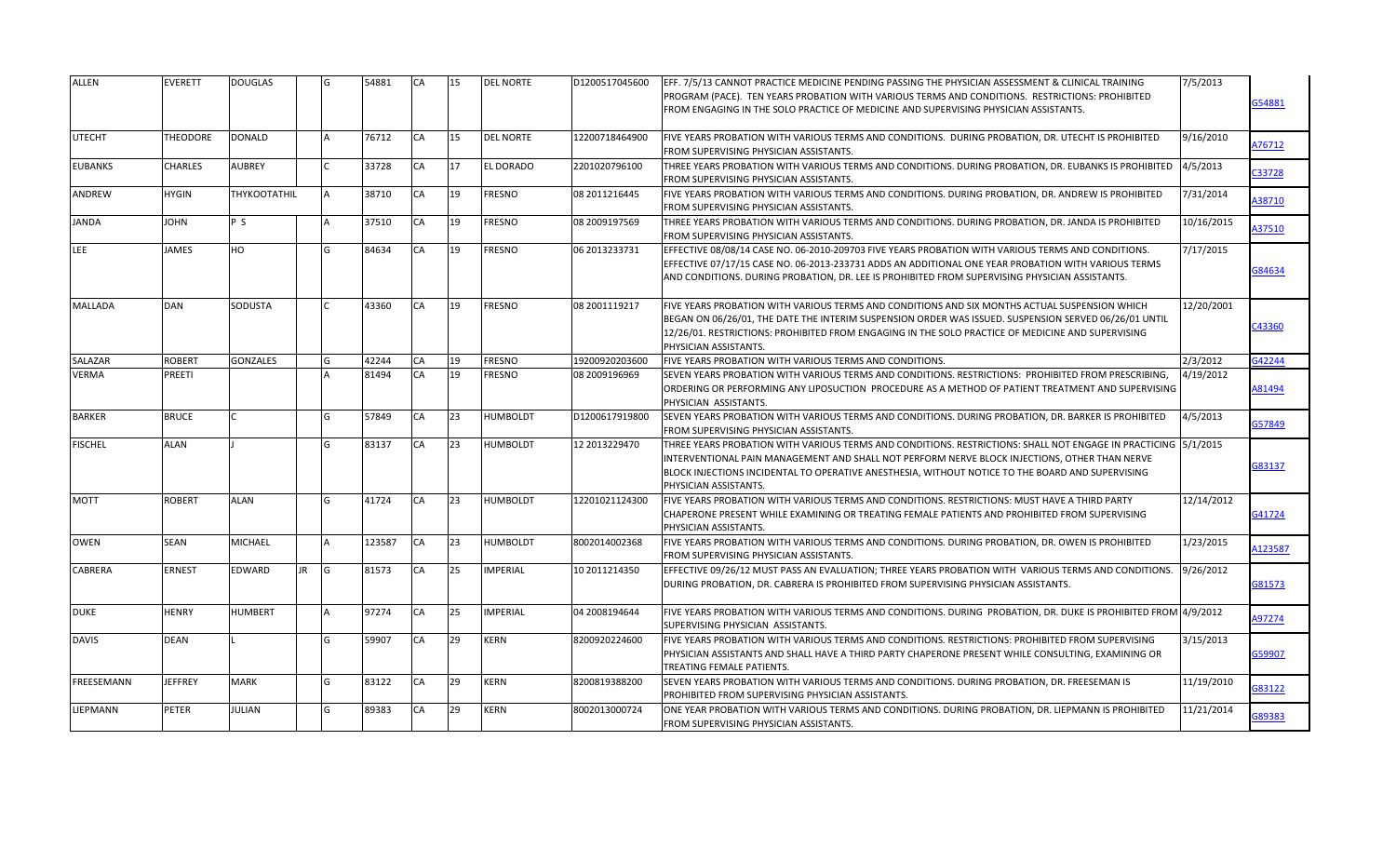| <b>ALLEN</b>   | <b>EVERETT</b>  | <b>DOUGLAS</b>  |     |     | 54881  | <b>CA</b> | 15 | <b>DEL NORTE</b> | D1200517045600 | EFF. 7/5/13 CANNOT PRACTICE MEDICINE PENDING PASSING THE PHYSICIAN ASSESSMENT & CLINICAL TRAINING<br>PROGRAM (PACE). TEN YEARS PROBATION WITH VARIOUS TERMS AND CONDITIONS. RESTRICTIONS: PROHIBITED<br>FROM ENGAGING IN THE SOLO PRACTICE OF MEDICINE AND SUPERVISING PHYSICIAN ASSISTANTS.                                                  | 7/5/2013   | 354881  |
|----------------|-----------------|-----------------|-----|-----|--------|-----------|----|------------------|----------------|-----------------------------------------------------------------------------------------------------------------------------------------------------------------------------------------------------------------------------------------------------------------------------------------------------------------------------------------------|------------|---------|
| <b>UTECHT</b>  | <b>THEODORE</b> | <b>DONALD</b>   |     |     | 76712  | CA        | 15 | <b>DEL NORTE</b> | 12200718464900 | FIVE YEARS PROBATION WITH VARIOUS TERMS AND CONDITIONS. DURING PROBATION, DR. UTECHT IS PROHIBITED<br>FROM SUPERVISING PHYSICIAN ASSISTANTS.                                                                                                                                                                                                  | 9/16/2010  | A76712  |
| <b>EUBANKS</b> | <b>CHARLES</b>  | <b>AUBREY</b>   |     |     | 33728  | CA        | 17 | <b>EL DORADO</b> | 2201020796100  | THREE YEARS PROBATION WITH VARIOUS TERMS AND CONDITIONS. DURING PROBATION, DR. EUBANKS IS PROHIBITED<br>FROM SUPERVISING PHYSICIAN ASSISTANTS.                                                                                                                                                                                                | 4/5/2013   | C33728  |
| ANDREW         | <b>HYGIN</b>    | THYKOOTATHIL    |     |     | 38710  | CA        | 19 | <b>FRESNO</b>    | 08 2011216445  | FIVE YEARS PROBATION WITH VARIOUS TERMS AND CONDITIONS. DURING PROBATION, DR. ANDREW IS PROHIBITED<br>FROM SUPERVISING PHYSICIAN ASSISTANTS.                                                                                                                                                                                                  | 7/31/2014  | A38710  |
| JANDA          | <b>JOHN</b>     | P S             |     |     | 37510  | CA        | 19 | <b>FRESNO</b>    | 08 2009197569  | THREE YEARS PROBATION WITH VARIOUS TERMS AND CONDITIONS. DURING PROBATION, DR. JANDA IS PROHIBITED<br><b>FROM SUPERVISING PHYSICIAN ASSISTANTS.</b>                                                                                                                                                                                           | 10/16/2015 | A37510  |
| LEE            | <b>JAMES</b>    | HO              |     |     | 84634  | CA        | 19 | <b>FRESNO</b>    | 06 2013233731  | EFFECTIVE 08/08/14 CASE NO. 06-2010-209703 FIVE YEARS PROBATION WITH VARIOUS TERMS AND CONDITIONS.<br>EFFECTIVE 07/17/15 CASE NO. 06-2013-233731 ADDS AN ADDITIONAL ONE YEAR PROBATION WITH VARIOUS TERMS<br>AND CONDITIONS. DURING PROBATION, DR. LEE IS PROHIBITED FROM SUPERVISING PHYSICIAN ASSISTANTS.                                   | 7/17/2015  | 384634  |
| <b>MALLADA</b> | DAN             | <b>SODUSTA</b>  |     |     | 43360  | CA        | 19 | <b>FRESNO</b>    | 08 2001119217  | FIVE YEARS PROBATION WITH VARIOUS TERMS AND CONDITIONS AND SIX MONTHS ACTUAL SUSPENSION WHICH<br>BEGAN ON 06/26/01, THE DATE THE INTERIM SUSPENSION ORDER WAS ISSUED. SUSPENSION SERVED 06/26/01 UNTIL<br>12/26/01. RESTRICTIONS: PROHIBITED FROM ENGAGING IN THE SOLO PRACTICE OF MEDICINE AND SUPERVISING<br>PHYSICIAN ASSISTANTS.          | 12/20/2001 | 243360  |
| SALAZAR        | <b>ROBERT</b>   | <b>GONZALES</b> |     |     | 42244  | CA        | 19 | <b>FRESNO</b>    | 19200920203600 | FIVE YEARS PROBATION WITH VARIOUS TERMS AND CONDITIONS.                                                                                                                                                                                                                                                                                       | 2/3/2012   | G42244  |
| <b>VERMA</b>   | PREETI          |                 |     |     | 81494  | <b>CA</b> | 19 | <b>FRESNO</b>    | 08 2009196969  | SEVEN YEARS PROBATION WITH VARIOUS TERMS AND CONDITIONS. RESTRICTIONS: PROHIBITED FROM PRESCRIBING,<br>ORDERING OR PERFORMING ANY LIPOSUCTION PROCEDURE AS A METHOD OF PATIENT TREATMENT AND SUPERVISING<br>PHYSICIAN ASSISTANTS.                                                                                                             | 4/19/2012  | A81494  |
| <b>BARKER</b>  | <b>BRUCE</b>    |                 |     |     | 57849  | CA        | 23 | <b>HUMBOLDT</b>  | D1200617919800 | SEVEN YEARS PROBATION WITH VARIOUS TERMS AND CONDITIONS. DURING PROBATION, DR. BARKER IS PROHIBITED<br>FROM SUPERVISING PHYSICIAN ASSISTANTS.                                                                                                                                                                                                 | 4/5/2013   | G57849  |
| <b>FISCHEL</b> | <b>ALAN</b>     |                 |     |     | 83137  | CA        | 23 | <b>HUMBOLDT</b>  | 12 2013229470  | THREE YEARS PROBATION WITH VARIOUS TERMS AND CONDITIONS. RESTRICTIONS: SHALL NOT ENGAGE IN PRACTICING 15/1/2015<br>INTERVENTIONAL PAIN MANAGEMENT AND SHALL NOT PERFORM NERVE BLOCK INJECTIONS, OTHER THAN NERVE<br>BLOCK INJECTIONS INCIDENTAL TO OPERATIVE ANESTHESIA, WITHOUT NOTICE TO THE BOARD AND SUPERVISING<br>PHYSICIAN ASSISTANTS. |            | G83137  |
| <b>MOTT</b>    | ROBERT          | <b>ALAN</b>     |     | G   | 41724  | CA        | 23 | <b>HUMBOLDT</b>  | 12201021124300 | FIVE YEARS PROBATION WITH VARIOUS TERMS AND CONDITIONS. RESTRICTIONS: MUST HAVE A THIRD PARTY<br>CHAPERONE PRESENT WHILE EXAMINING OR TREATING FEMALE PATIENTS AND PROHIBITED FROM SUPERVISING<br>PHYSICIAN ASSISTANTS.                                                                                                                       | 12/14/2012 | G41724  |
| <b>OWEN</b>    | SEAN            | <b>MICHAEL</b>  |     |     | 123587 | CA        | 23 | <b>HUMBOLDT</b>  | 8002014002368  | FIVE YEARS PROBATION WITH VARIOUS TERMS AND CONDITIONS. DURING PROBATION, DR. OWEN IS PROHIBITED<br><b>FROM SUPERVISING PHYSICIAN ASSISTANTS.</b>                                                                                                                                                                                             | 1/23/2015  | A123587 |
| CABRERA        | <b>ERNEST</b>   | <b>EDWARD</b>   | JR. | lG. | 81573  | CA        | 25 | <b>IMPERIAL</b>  | 10 2011214350  | EFFECTIVE 09/26/12 MUST PASS AN EVALUATION; THREE YEARS PROBATION WITH VARIOUS TERMS AND CONDITIONS.<br>DURING PROBATION, DR. CABRERA IS PROHIBITED FROM SUPERVISING PHYSICIAN ASSISTANTS.                                                                                                                                                    | 9/26/2012  | G81573  |
| <b>DUKE</b>    | HENRY           | <b>HUMBERT</b>  |     |     | 97274  | CA        | 25 | <b>IMPERIAL</b>  | 04 2008194644  | FIVE YEARS PROBATION WITH VARIOUS TERMS AND CONDITIONS. DURING PROBATION, DR. DUKE IS PROHIBITED FROM 4/9/2012<br>SUPERVISING PHYSICIAN ASSISTANTS.                                                                                                                                                                                           |            | A97274  |
| <b>DAVIS</b>   | <b>DEAN</b>     |                 |     |     | 59907  | CA        | 29 | <b>KERN</b>      | 8200920224600  | FIVE YEARS PROBATION WITH VARIOUS TERMS AND CONDITIONS. RESTRICTIONS: PROHIBITED FROM SUPERVISING<br>PHYSICIAN ASSISTANTS AND SHALL HAVE A THIRD PARTY CHAPERONE PRESENT WHILE CONSULTING, EXAMINING OR<br><b>TREATING FEMALE PATIENTS.</b>                                                                                                   | 3/15/2013  | G59907  |
| FREESEMANN     | <b>JEFFREY</b>  | <b>MARK</b>     |     |     | 83122  | CA        | 29 | <b>KERN</b>      | 8200819388200  | SEVEN YEARS PROBATION WITH VARIOUS TERMS AND CONDITIONS. DURING PROBATION, DR. FREESEMAN IS<br>PROHIBITED FROM SUPERVISING PHYSICIAN ASSISTANTS.                                                                                                                                                                                              | 11/19/2010 | G83122  |
| LIEPMANN       | PETER           | <b>JULIAN</b>   |     |     | 89383  | CA        | 29 | <b>KERN</b>      | 8002013000724  | ONE YEAR PROBATION WITH VARIOUS TERMS AND CONDITIONS. DURING PROBATION, DR. LIEPMANN IS PROHIBITED<br>FROM SUPERVISING PHYSICIAN ASSISTANTS.                                                                                                                                                                                                  | 11/21/2014 | 689383  |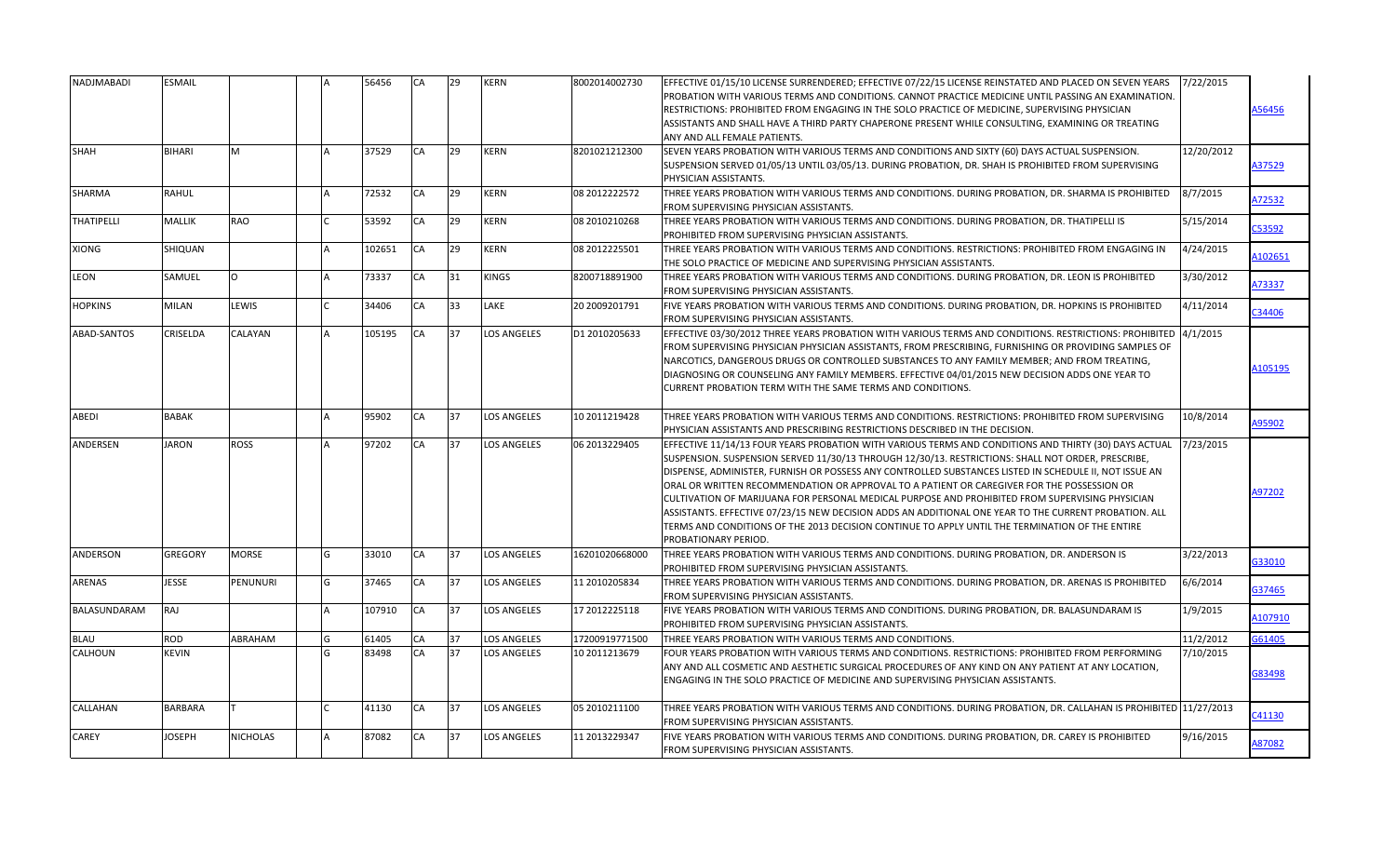| NADJMABADI        | ESMAIL         |              |     | 56456  | <b>CA</b> | 29 | <b>KERN</b>        | 8002014002730  | EFFECTIVE 01/15/10 LICENSE SURRENDERED; EFFECTIVE 07/22/15 LICENSE REINSTATED AND PLACED ON SEVEN YEARS<br>PROBATION WITH VARIOUS TERMS AND CONDITIONS. CANNOT PRACTICE MEDICINE UNTIL PASSING AN EXAMINATION.<br>RESTRICTIONS: PROHIBITED FROM ENGAGING IN THE SOLO PRACTICE OF MEDICINE, SUPERVISING PHYSICIAN<br>ASSISTANTS AND SHALL HAVE A THIRD PARTY CHAPERONE PRESENT WHILE CONSULTING, EXAMINING OR TREATING<br>ANY AND ALL FEMALE PATIENTS.                                                                                                                                                                                                                                                                                                      | 7/22/2015  | A56456  |
|-------------------|----------------|--------------|-----|--------|-----------|----|--------------------|----------------|------------------------------------------------------------------------------------------------------------------------------------------------------------------------------------------------------------------------------------------------------------------------------------------------------------------------------------------------------------------------------------------------------------------------------------------------------------------------------------------------------------------------------------------------------------------------------------------------------------------------------------------------------------------------------------------------------------------------------------------------------------|------------|---------|
| SHAH              | BIHARI         | M            |     | 37529  | <b>CA</b> | 29 | <b>KERN</b>        | 8201021212300  | SEVEN YEARS PROBATION WITH VARIOUS TERMS AND CONDITIONS AND SIXTY (60) DAYS ACTUAL SUSPENSION.<br>SUSPENSION SERVED 01/05/13 UNTIL 03/05/13. DURING PROBATION, DR. SHAH IS PROHIBITED FROM SUPERVISING<br>PHYSICIAN ASSISTANTS.                                                                                                                                                                                                                                                                                                                                                                                                                                                                                                                            | 12/20/2012 | A37529  |
| SHARMA            | <b>RAHUL</b>   |              |     | 72532  | CA        | 29 | <b>KERN</b>        | 08 2012222572  | THREE YEARS PROBATION WITH VARIOUS TERMS AND CONDITIONS. DURING PROBATION, DR. SHARMA IS PROHIBITED<br>FROM SUPERVISING PHYSICIAN ASSISTANTS.                                                                                                                                                                                                                                                                                                                                                                                                                                                                                                                                                                                                              | 8/7/2015   | A72532  |
| <b>THATIPELLI</b> | MALLIK         | <b>RAO</b>   |     | 53592  | CA        | 29 | <b>KERN</b>        | 08 2010210268  | THREE YEARS PROBATION WITH VARIOUS TERMS AND CONDITIONS. DURING PROBATION, DR. THATIPELLI IS<br>PROHIBITED FROM SUPERVISING PHYSICIAN ASSISTANTS.                                                                                                                                                                                                                                                                                                                                                                                                                                                                                                                                                                                                          | 5/15/2014  | C53592  |
| XIONG             | SHIQUAN        |              |     | 102651 | CA        | 29 | <b>KERN</b>        | 08 2012225501  | THREE YEARS PROBATION WITH VARIOUS TERMS AND CONDITIONS. RESTRICTIONS: PROHIBITED FROM ENGAGING IN<br>THE SOLO PRACTICE OF MEDICINE AND SUPERVISING PHYSICIAN ASSISTANTS.                                                                                                                                                                                                                                                                                                                                                                                                                                                                                                                                                                                  | 4/24/2015  | 102651  |
| <b>LEON</b>       | SAMUEL         | $\Omega$     |     | 73337  | CA        | 31 | <b>KINGS</b>       | 8200718891900  | THREE YEARS PROBATION WITH VARIOUS TERMS AND CONDITIONS. DURING PROBATION, DR. LEON IS PROHIBITED<br>FROM SUPERVISING PHYSICIAN ASSISTANTS.                                                                                                                                                                                                                                                                                                                                                                                                                                                                                                                                                                                                                | 3/30/2012  | A73337  |
| <b>HOPKINS</b>    | MILAN          | LEWIS        |     | 34406  | <b>CA</b> | 33 | LAKE               | 20 2009201791  | FIVE YEARS PROBATION WITH VARIOUS TERMS AND CONDITIONS. DURING PROBATION, DR. HOPKINS IS PROHIBITED<br>FROM SUPERVISING PHYSICIAN ASSISTANTS.                                                                                                                                                                                                                                                                                                                                                                                                                                                                                                                                                                                                              | 4/11/2014  | 34406   |
| ABAD-SANTOS       | CRISELDA       | CALAYAN      |     | 105195 | CA        | 37 | <b>LOS ANGELES</b> | D1 2010205633  | EFFECTIVE 03/30/2012 THREE YEARS PROBATION WITH VARIOUS TERMS AND CONDITIONS. RESTRICTIONS: PROHIBITED 4/1/2015<br>FROM SUPERVISING PHYSICIAN PHYSICIAN ASSISTANTS, FROM PRESCRIBING, FURNISHING OR PROVIDING SAMPLES OF<br>NARCOTICS, DANGEROUS DRUGS OR CONTROLLED SUBSTANCES TO ANY FAMILY MEMBER; AND FROM TREATING,<br>DIAGNOSING OR COUNSELING ANY FAMILY MEMBERS. EFFECTIVE 04/01/2015 NEW DECISION ADDS ONE YEAR TO<br>CURRENT PROBATION TERM WITH THE SAME TERMS AND CONDITIONS.                                                                                                                                                                                                                                                                  |            | A105195 |
| ABEDI             | <b>BABAK</b>   |              |     | 95902  | <b>CA</b> | 37 | <b>LOS ANGELES</b> | 10 2011219428  | THREE YEARS PROBATION WITH VARIOUS TERMS AND CONDITIONS. RESTRICTIONS: PROHIBITED FROM SUPERVISING<br>PHYSICIAN ASSISTANTS AND PRESCRIBING RESTRICTIONS DESCRIBED IN THE DECISION.                                                                                                                                                                                                                                                                                                                                                                                                                                                                                                                                                                         | 10/8/2014  | A95902  |
| ANDERSEN          | JARON          | ROSS         |     | 97202  | CA        | 37 | <b>LOS ANGELES</b> | 06 2013229405  | EFFECTIVE 11/14/13 FOUR YEARS PROBATION WITH VARIOUS TERMS AND CONDITIONS AND THIRTY (30) DAYS ACTUAL<br>SUSPENSION. SUSPENSION SERVED 11/30/13 THROUGH 12/30/13. RESTRICTIONS: SHALL NOT ORDER, PRESCRIBE,<br>DISPENSE, ADMINISTER, FURNISH OR POSSESS ANY CONTROLLED SUBSTANCES LISTED IN SCHEDULE II, NOT ISSUE AN<br>ORAL OR WRITTEN RECOMMENDATION OR APPROVAL TO A PATIENT OR CAREGIVER FOR THE POSSESSION OR<br>CULTIVATION OF MARIJUANA FOR PERSONAL MEDICAL PURPOSE AND PROHIBITED FROM SUPERVISING PHYSICIAN<br>ASSISTANTS. EFFECTIVE 07/23/15 NEW DECISION ADDS AN ADDITIONAL ONE YEAR TO THE CURRENT PROBATION. ALL<br>TERMS AND CONDITIONS OF THE 2013 DECISION CONTINUE TO APPLY UNTIL THE TERMINATION OF THE ENTIRE<br>PROBATIONARY PERIOD. | 7/23/2015  | 197202  |
| ANDERSON          | <b>GREGORY</b> | <b>MORSE</b> | G   | 33010  | CA        | 37 | <b>LOS ANGELES</b> | 16201020668000 | THREE YEARS PROBATION WITH VARIOUS TERMS AND CONDITIONS. DURING PROBATION, DR. ANDERSON IS<br>PROHIBITED FROM SUPERVISING PHYSICIAN ASSISTANTS.                                                                                                                                                                                                                                                                                                                                                                                                                                                                                                                                                                                                            | 3/22/2013  | G33010  |
| ARENAS            | <b>JESSE</b>   | PENUNURI     | lG  | 37465  | <b>CA</b> | 37 | <b>LOS ANGELES</b> | 11 2010205834  | THREE YEARS PROBATION WITH VARIOUS TERMS AND CONDITIONS. DURING PROBATION, DR. ARENAS IS PROHIBITED<br>FROM SUPERVISING PHYSICIAN ASSISTANTS.                                                                                                                                                                                                                                                                                                                                                                                                                                                                                                                                                                                                              | 6/6/2014   | G37465  |
| BALASUNDARAM      | <b>RAJ</b>     |              |     | 107910 | CA        | 37 | <b>LOS ANGELES</b> | 17 2012225118  | FIVE YEARS PROBATION WITH VARIOUS TERMS AND CONDITIONS. DURING PROBATION, DR. BALASUNDARAM IS<br>PROHIBITED FROM SUPERVISING PHYSICIAN ASSISTANTS.                                                                                                                                                                                                                                                                                                                                                                                                                                                                                                                                                                                                         | 1/9/2015   | A107910 |
| <b>BLAU</b>       | ROD            | ABRAHAM      | lG. | 61405  | <b>CA</b> | 37 | <b>LOS ANGELES</b> | 17200919771500 | THREE YEARS PROBATION WITH VARIOUS TERMS AND CONDITIONS.                                                                                                                                                                                                                                                                                                                                                                                                                                                                                                                                                                                                                                                                                                   | 11/2/2012  | G61405  |
| <b>CALHOUN</b>    | <b>KEVIN</b>   |              | G   | 83498  | CA        | 37 | <b>LOS ANGELES</b> | 10 2011213679  | FOUR YEARS PROBATION WITH VARIOUS TERMS AND CONDITIONS. RESTRICTIONS: PROHIBITED FROM PERFORMING<br>ANY AND ALL COSMETIC AND AESTHETIC SURGICAL PROCEDURES OF ANY KIND ON ANY PATIENT AT ANY LOCATION,<br><b>ENGAGING IN THE SOLO PRACTICE OF MEDICINE AND SUPERVISING PHYSICIAN ASSISTANTS.</b>                                                                                                                                                                                                                                                                                                                                                                                                                                                           | 7/10/2015  | G83498  |
| CALLAHAN          | <b>BARBARA</b> |              |     | 41130  | <b>CA</b> | 37 | <b>LOS ANGELES</b> | 05 2010211100  | THREE YEARS PROBATION WITH VARIOUS TERMS AND CONDITIONS. DURING PROBATION, DR. CALLAHAN IS PROHIBITED 11/27/2013<br>FROM SUPERVISING PHYSICIAN ASSISTANTS.                                                                                                                                                                                                                                                                                                                                                                                                                                                                                                                                                                                                 |            | C41130  |
| CAREY             | <b>JOSEPH</b>  | NICHOLAS     |     | 87082  | CA        | 37 | <b>LOS ANGELES</b> | 11 2013229347  | FIVE YEARS PROBATION WITH VARIOUS TERMS AND CONDITIONS. DURING PROBATION, DR. CAREY IS PROHIBITED<br>FROM SUPERVISING PHYSICIAN ASSISTANTS.                                                                                                                                                                                                                                                                                                                                                                                                                                                                                                                                                                                                                | 9/16/2015  | 187082  |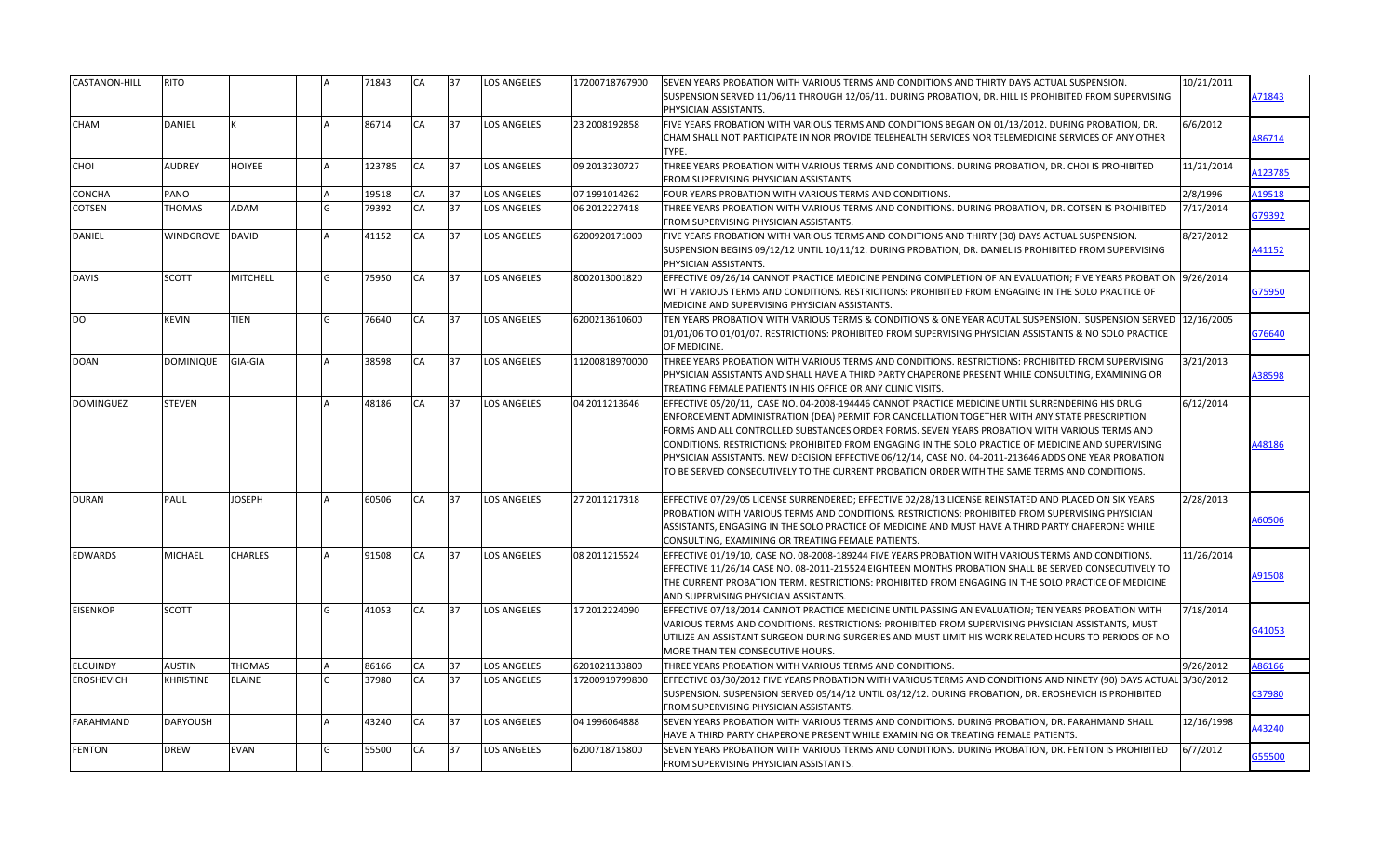| CASTANON-HILL     | RITO            |                 |   | 71843  | CA        | 37 | <b>LOS ANGELES</b> | 17200718767900 | 10/21/2011<br>SEVEN YEARS PROBATION WITH VARIOUS TERMS AND CONDITIONS AND THIRTY DAYS ACTUAL SUSPENSION.                                                                                                                                                                                                                                                                                                                                                                                                                                                                                                                          |         |
|-------------------|-----------------|-----------------|---|--------|-----------|----|--------------------|----------------|-----------------------------------------------------------------------------------------------------------------------------------------------------------------------------------------------------------------------------------------------------------------------------------------------------------------------------------------------------------------------------------------------------------------------------------------------------------------------------------------------------------------------------------------------------------------------------------------------------------------------------------|---------|
|                   |                 |                 |   |        |           |    |                    |                | SUSPENSION SERVED 11/06/11 THROUGH 12/06/11. DURING PROBATION, DR. HILL IS PROHIBITED FROM SUPERVISING<br>PHYSICIAN ASSISTANTS.                                                                                                                                                                                                                                                                                                                                                                                                                                                                                                   | A71843  |
| <b>CHAM</b>       | DANIEL          |                 |   | 86714  | CA        | 37 | LOS ANGELES        | 23 2008192858  | FIVE YEARS PROBATION WITH VARIOUS TERMS AND CONDITIONS BEGAN ON 01/13/2012. DURING PROBATION, DR.<br>6/6/2012<br>CHAM SHALL NOT PARTICIPATE IN NOR PROVIDE TELEHEALTH SERVICES NOR TELEMEDICINE SERVICES OF ANY OTHER<br>TYPE.                                                                                                                                                                                                                                                                                                                                                                                                    | 86714   |
| CHOI              | AUDREY          | <b>HOIYEE</b>   |   | 123785 | CA        | 37 | <b>LOS ANGELES</b> | 09 2013230727  | THREE YEARS PROBATION WITH VARIOUS TERMS AND CONDITIONS. DURING PROBATION, DR. CHOI IS PROHIBITED<br>11/21/2014<br>FROM SUPERVISING PHYSICIAN ASSISTANTS.                                                                                                                                                                                                                                                                                                                                                                                                                                                                         | 4123785 |
| CONCHA            | PANO            |                 |   | 19518  | CA        | 37 | <b>LOS ANGELES</b> | 07 1991014262  | 2/8/1996<br>FOUR YEARS PROBATION WITH VARIOUS TERMS AND CONDITIONS.                                                                                                                                                                                                                                                                                                                                                                                                                                                                                                                                                               | A19518  |
| COTSEN            | THOMAS          | ADAM            | G | 79392  | CA        | 37 | <b>LOS ANGELES</b> | 06 2012227418  | THREE YEARS PROBATION WITH VARIOUS TERMS AND CONDITIONS. DURING PROBATION, DR. COTSEN IS PROHIBITED<br>7/17/2014<br>FROM SUPERVISING PHYSICIAN ASSISTANTS.                                                                                                                                                                                                                                                                                                                                                                                                                                                                        | G79392  |
| DANIEL            | WINDGROVE       | <b>DAVID</b>    |   | 41152  | CA        | 37 | <b>LOS ANGELES</b> | 6200920171000  | FIVE YEARS PROBATION WITH VARIOUS TERMS AND CONDITIONS AND THIRTY (30) DAYS ACTUAL SUSPENSION.<br>8/27/2012<br>SUSPENSION BEGINS 09/12/12 UNTIL 10/11/12. DURING PROBATION, DR. DANIEL IS PROHIBITED FROM SUPERVISING<br>PHYSICIAN ASSISTANTS.                                                                                                                                                                                                                                                                                                                                                                                    | 41152   |
| <b>DAVIS</b>      | <b>SCOTT</b>    | <b>MITCHELL</b> | G | 75950  | CA        | 37 | <b>LOS ANGELES</b> | 8002013001820  | EFFECTIVE 09/26/14 CANNOT PRACTICE MEDICINE PENDING COMPLETION OF AN EVALUATION; FIVE YEARS PROBATION  9/26/2014<br>WITH VARIOUS TERMS AND CONDITIONS. RESTRICTIONS: PROHIBITED FROM ENGAGING IN THE SOLO PRACTICE OF<br>MEDICINE AND SUPERVISING PHYSICIAN ASSISTANTS.                                                                                                                                                                                                                                                                                                                                                           | G75950  |
| <b>DO</b>         | <b>KEVIN</b>    | TIEN            | G | 76640  | CA        | 37 | <b>LOS ANGELES</b> | 6200213610600  | 12/16/2005<br>TEN YEARS PROBATION WITH VARIOUS TERMS & CONDITIONS & ONE YEAR ACUTAL SUSPENSION. SUSPENSION SERVED<br>01/01/06 TO 01/01/07. RESTRICTIONS: PROHIBITED FROM SUPERVISING PHYSICIAN ASSISTANTS & NO SOLO PRACTICE<br>OF MEDICINE.                                                                                                                                                                                                                                                                                                                                                                                      | G76640  |
| <b>DOAN</b>       | DOMINIQUE       | GIA-GIA         |   | 38598  | CA        | 37 | <b>LOS ANGELES</b> | 11200818970000 | THREE YEARS PROBATION WITH VARIOUS TERMS AND CONDITIONS. RESTRICTIONS: PROHIBITED FROM SUPERVISING<br>3/21/2013<br>PHYSICIAN ASSISTANTS AND SHALL HAVE A THIRD PARTY CHAPERONE PRESENT WHILE CONSULTING, EXAMINING OR<br>TREATING FEMALE PATIENTS IN HIS OFFICE OR ANY CLINIC VISITS.                                                                                                                                                                                                                                                                                                                                             | 438598  |
| <b>DOMINGUEZ</b>  | STEVEN          |                 |   | 48186  | CA        | 37 | <b>LOS ANGELES</b> | 04 2011213646  | EFFECTIVE 05/20/11, CASE NO. 04-2008-194446 CANNOT PRACTICE MEDICINE UNTIL SURRENDERING HIS DRUG<br>6/12/2014<br>ENFORCEMENT ADMINISTRATION (DEA) PERMIT FOR CANCELLATION TOGETHER WITH ANY STATE PRESCRIPTION<br>FORMS AND ALL CONTROLLED SUBSTANCES ORDER FORMS. SEVEN YEARS PROBATION WITH VARIOUS TERMS AND<br>CONDITIONS. RESTRICTIONS: PROHIBITED FROM ENGAGING IN THE SOLO PRACTICE OF MEDICINE AND SUPERVISING<br>PHYSICIAN ASSISTANTS. NEW DECISION EFFECTIVE 06/12/14, CASE NO. 04-2011-213646 ADDS ONE YEAR PROBATION<br>TO BE SERVED CONSECUTIVELY TO THE CURRENT PROBATION ORDER WITH THE SAME TERMS AND CONDITIONS. | 48186   |
| <b>DURAN</b>      | PAUL            | JOSEPH          |   | 60506  | CA        | 37 | <b>LOS ANGELES</b> | 27 2011217318  | EFFECTIVE 07/29/05 LICENSE SURRENDERED; EFFECTIVE 02/28/13 LICENSE REINSTATED AND PLACED ON SIX YEARS<br>2/28/2013<br>PROBATION WITH VARIOUS TERMS AND CONDITIONS. RESTRICTIONS: PROHIBITED FROM SUPERVISING PHYSICIAN<br>ASSISTANTS, ENGAGING IN THE SOLO PRACTICE OF MEDICINE AND MUST HAVE A THIRD PARTY CHAPERONE WHILE<br>CONSULTING, EXAMINING OR TREATING FEMALE PATIENTS.                                                                                                                                                                                                                                                 | 60506   |
| <b>EDWARDS</b>    | MICHAEL         | <b>CHARLES</b>  |   | 91508  | CA        | 37 | <b>LOS ANGELES</b> | 08 2011215524  | 11/26/2014<br>EFFECTIVE 01/19/10, CASE NO. 08-2008-189244 FIVE YEARS PROBATION WITH VARIOUS TERMS AND CONDITIONS.<br>EFFECTIVE 11/26/14 CASE NO. 08-2011-215524 EIGHTEEN MONTHS PROBATION SHALL BE SERVED CONSECUTIVELY TO<br>THE CURRENT PROBATION TERM. RESTRICTIONS: PROHIBITED FROM ENGAGING IN THE SOLO PRACTICE OF MEDICINE<br>AND SUPERVISING PHYSICIAN ASSISTANTS.                                                                                                                                                                                                                                                        | 491508  |
| <b>EISENKOP</b>   | SCOTT           |                 | G | 41053  | <b>CA</b> | 37 | <b>LOS ANGELES</b> | 17 2012224090  | EFFECTIVE 07/18/2014 CANNOT PRACTICE MEDICINE UNTIL PASSING AN EVALUATION; TEN YEARS PROBATION WITH<br>7/18/2014<br>VARIOUS TERMS AND CONDITIONS. RESTRICTIONS: PROHIBITED FROM SUPERVISING PHYSICIAN ASSISTANTS, MUST<br>UTILIZE AN ASSISTANT SURGEON DURING SURGERIES AND MUST LIMIT HIS WORK RELATED HOURS TO PERIODS OF NO<br>MORE THAN TEN CONSECUTIVE HOURS.                                                                                                                                                                                                                                                                | G41053  |
| <b>ELGUINDY</b>   | <b>AUSTIN</b>   | <b>THOMAS</b>   |   | 86166  | CA        | 37 | <b>LOS ANGELES</b> | 6201021133800  | 9/26/2012<br>THREE YEARS PROBATION WITH VARIOUS TERMS AND CONDITIONS.                                                                                                                                                                                                                                                                                                                                                                                                                                                                                                                                                             | 86166   |
| <b>EROSHEVICH</b> | KHRISTINE       | <b>ELAINE</b>   |   | 37980  | CA        | 37 | <b>LOS ANGELES</b> | 17200919799800 | EFFECTIVE 03/30/2012 FIVE YEARS PROBATION WITH VARIOUS TERMS AND CONDITIONS AND NINETY (90) DAYS ACTUAL 3/30/2012<br>SUSPENSION. SUSPENSION SERVED 05/14/12 UNTIL 08/12/12. DURING PROBATION, DR. EROSHEVICH IS PROHIBITED<br>FROM SUPERVISING PHYSICIAN ASSISTANTS.                                                                                                                                                                                                                                                                                                                                                              | C37980  |
| <b>FARAHMAND</b>  | <b>DARYOUSH</b> |                 |   | 43240  | CA        | 37 | <b>LOS ANGELES</b> | 04 1996064888  | 12/16/1998<br>SEVEN YEARS PROBATION WITH VARIOUS TERMS AND CONDITIONS. DURING PROBATION, DR. FARAHMAND SHALL<br>HAVE A THIRD PARTY CHAPERONE PRESENT WHILE EXAMINING OR TREATING FEMALE PATIENTS.                                                                                                                                                                                                                                                                                                                                                                                                                                 | 143240  |
| <b>FENTON</b>     | DREW            | <b>EVAN</b>     | G | 55500  | CA        | 37 | <b>LOS ANGELES</b> | 6200718715800  | SEVEN YEARS PROBATION WITH VARIOUS TERMS AND CONDITIONS. DURING PROBATION, DR. FENTON IS PROHIBITED<br>6/7/2012<br>FROM SUPERVISING PHYSICIAN ASSISTANTS.                                                                                                                                                                                                                                                                                                                                                                                                                                                                         | 355500  |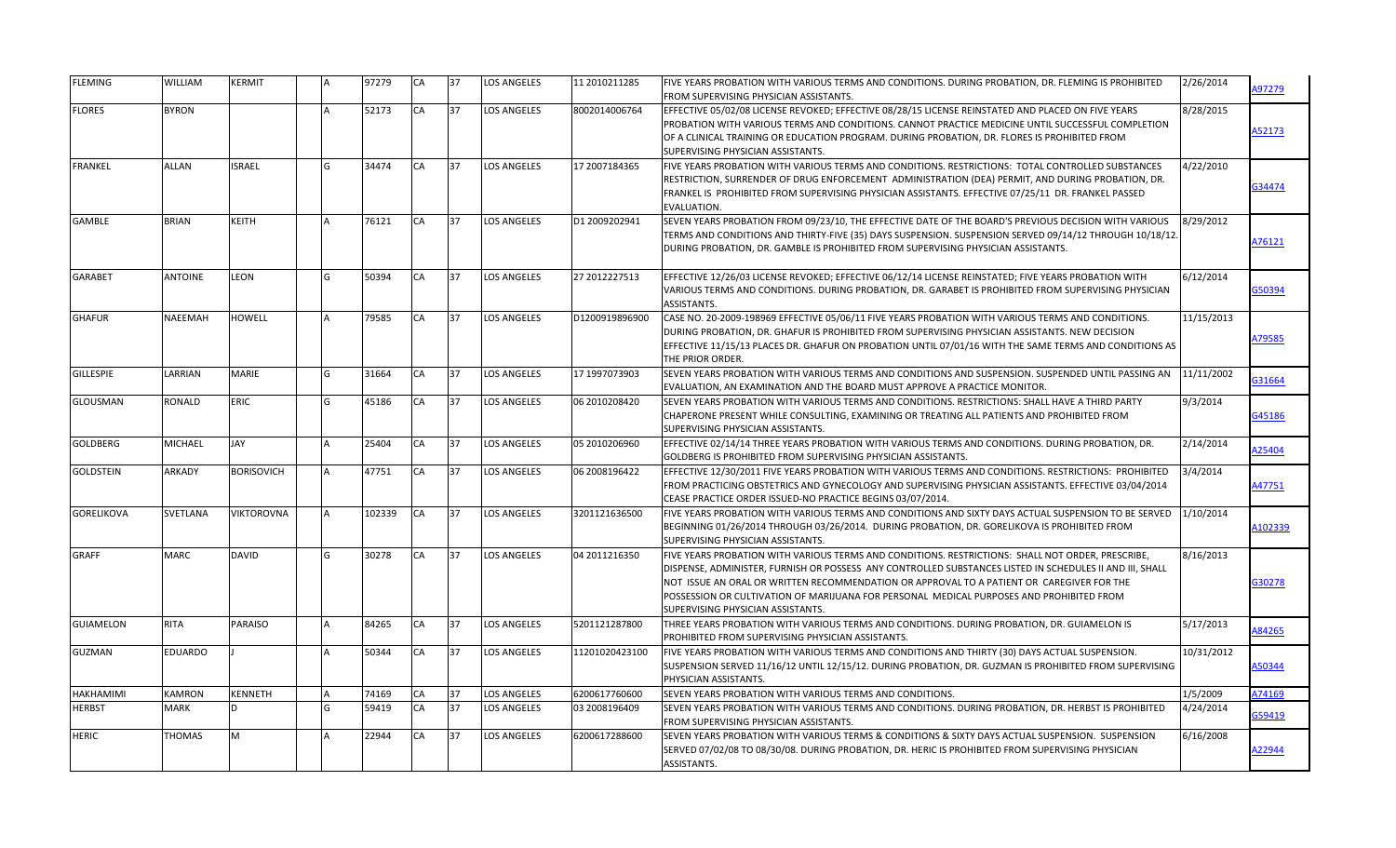| <b>FLEMING</b>    | WILLIAM        | KERMIT            |          | 97279  | CA        | 37 | <b>LOS ANGELES</b> | 11 2010211285  | FIVE YEARS PROBATION WITH VARIOUS TERMS AND CONDITIONS. DURING PROBATION, DR. FLEMING IS PROHIBITED<br>FROM SUPERVISING PHYSICIAN ASSISTANTS.                                                                                                                                                                                                                                                                                               | 2/26/2014  | A97279  |
|-------------------|----------------|-------------------|----------|--------|-----------|----|--------------------|----------------|---------------------------------------------------------------------------------------------------------------------------------------------------------------------------------------------------------------------------------------------------------------------------------------------------------------------------------------------------------------------------------------------------------------------------------------------|------------|---------|
| <b>FLORES</b>     | <b>BYRON</b>   |                   |          | 52173  | CA        | 37 | LOS ANGELES        | 8002014006764  | EFFECTIVE 05/02/08 LICENSE REVOKED; EFFECTIVE 08/28/15 LICENSE REINSTATED AND PLACED ON FIVE YEARS<br>PROBATION WITH VARIOUS TERMS AND CONDITIONS. CANNOT PRACTICE MEDICINE UNTIL SUCCESSFUL COMPLETION<br>OF A CLINICAL TRAINING OR EDUCATION PROGRAM. DURING PROBATION, DR. FLORES IS PROHIBITED FROM<br>SUPERVISING PHYSICIAN ASSISTANTS.                                                                                                | 8/28/2015  | 452173  |
| <b>FRANKEL</b>    | ALLAN          | <b>ISRAEL</b>     | G        | 34474  | CA        | 37 | <b>LOS ANGELES</b> | 17 2007184365  | FIVE YEARS PROBATION WITH VARIOUS TERMS AND CONDITIONS. RESTRICTIONS: TOTAL CONTROLLED SUBSTANCES<br>RESTRICTION, SURRENDER OF DRUG ENFORCEMENT ADMINISTRATION (DEA) PERMIT, AND DURING PROBATION, DR.<br>FRANKEL IS PROHIBITED FROM SUPERVISING PHYSICIAN ASSISTANTS. EFFECTIVE 07/25/11 DR. FRANKEL PASSED<br>EVALUATION.                                                                                                                 | 4/22/2010  | 334474  |
| GAMBLE            | BRIAN          | KEITH             |          | 76121  | <b>CA</b> | 37 | <b>LOS ANGELES</b> | D1 2009202941  | SEVEN YEARS PROBATION FROM 09/23/10, THE EFFECTIVE DATE OF THE BOARD'S PREVIOUS DECISION WITH VARIOUS<br>TERMS AND CONDITIONS AND THIRTY-FIVE (35) DAYS SUSPENSION. SUSPENSION SERVED 09/14/12 THROUGH 10/18/12.<br>DURING PROBATION, DR. GAMBLE IS PROHIBITED FROM SUPERVISING PHYSICIAN ASSISTANTS.                                                                                                                                       | 8/29/2012  | A76121  |
| <b>GARABET</b>    | <b>ANTOINE</b> | LEON              | lG.      | 50394  | CA        | 37 | <b>LOS ANGELES</b> | 27 2012227513  | EFFECTIVE 12/26/03 LICENSE REVOKED; EFFECTIVE 06/12/14 LICENSE REINSTATED; FIVE YEARS PROBATION WITH<br>VARIOUS TERMS AND CONDITIONS. DURING PROBATION, DR. GARABET IS PROHIBITED FROM SUPERVISING PHYSICIAN<br>ASSISTANTS.                                                                                                                                                                                                                 | 6/12/2014  | 350394  |
| <b>GHAFUR</b>     | NAEEMAH        | HOWELL            |          | 79585  | <b>CA</b> | 37 | <b>LOS ANGELES</b> | D1200919896900 | CASE NO. 20-2009-198969 EFFECTIVE 05/06/11 FIVE YEARS PROBATION WITH VARIOUS TERMS AND CONDITIONS.<br>DURING PROBATION, DR. GHAFUR IS PROHIBITED FROM SUPERVISING PHYSICIAN ASSISTANTS. NEW DECISION<br>EFFECTIVE 11/15/13 PLACES DR. GHAFUR ON PROBATION UNTIL 07/01/16 WITH THE SAME TERMS AND CONDITIONS AS<br>THE PRIOR ORDER.                                                                                                          | 11/15/2013 | A79585  |
| <b>GILLESPIE</b>  | LARRIAN        | <b>MARIE</b>      | lG       | 31664  | <b>CA</b> | 37 | <b>LOS ANGELES</b> | 17 1997073903  | SEVEN YEARS PROBATION WITH VARIOUS TERMS AND CONDITIONS AND SUSPENSION. SUSPENDED UNTIL PASSING AN<br>EVALUATION, AN EXAMINATION AND THE BOARD MUST APPROVE A PRACTICE MONITOR.                                                                                                                                                                                                                                                             | 11/11/2002 | 31664   |
| GLOUSMAN          | RONALD         | ERIC              | G        | 45186  | CA        | 37 | <b>LOS ANGELES</b> | 06 2010208420  | SEVEN YEARS PROBATION WITH VARIOUS TERMS AND CONDITIONS. RESTRICTIONS: SHALL HAVE A THIRD PARTY<br>CHAPERONE PRESENT WHILE CONSULTING, EXAMINING OR TREATING ALL PATIENTS AND PROHIBITED FROM<br>SUPERVISING PHYSICIAN ASSISTANTS.                                                                                                                                                                                                          | 9/3/2014   | 345186  |
| <b>GOLDBERG</b>   | MICHAEL        | JAY               |          | 25404  | CA        | 37 | <b>LOS ANGELES</b> | 05 2010206960  | EFFECTIVE 02/14/14 THREE YEARS PROBATION WITH VARIOUS TERMS AND CONDITIONS. DURING PROBATION, DR.<br>GOLDBERG IS PROHIBITED FROM SUPERVISING PHYSICIAN ASSISTANTS.                                                                                                                                                                                                                                                                          | 2/14/2014  | A25404  |
| GOLDSTEIN         | ARKADY         | <b>BORISOVICH</b> |          | 47751  | CA        | 37 | <b>LOS ANGELES</b> | 06 2008196422  | EFFECTIVE 12/30/2011 FIVE YEARS PROBATION WITH VARIOUS TERMS AND CONDITIONS. RESTRICTIONS: PROHIBITED<br>FROM PRACTICING OBSTETRICS AND GYNECOLOGY AND SUPERVISING PHYSICIAN ASSISTANTS. EFFECTIVE 03/04/2014<br>CEASE PRACTICE ORDER ISSUED-NO PRACTICE BEGINS 03/07/2014.                                                                                                                                                                 | 3/4/2014   | A47751  |
| <b>GORELIKOVA</b> | SVETLANA       | <b>VIKTOROVNA</b> | <b>A</b> | 102339 | CA        | 37 | <b>LOS ANGELES</b> | 3201121636500  | FIVE YEARS PROBATION WITH VARIOUS TERMS AND CONDITIONS AND SIXTY DAYS ACTUAL SUSPENSION TO BE SERVED<br>BEGINNING 01/26/2014 THROUGH 03/26/2014. DURING PROBATION, DR. GORELIKOVA IS PROHIBITED FROM<br>SUPERVISING PHYSICIAN ASSISTANTS.                                                                                                                                                                                                   | 1/10/2014  | A102339 |
| <b>GRAFF</b>      | <b>MARC</b>    | <b>DAVID</b>      | G        | 30278  | <b>CA</b> | 37 | <b>LOS ANGELES</b> | 04 2011216350  | FIVE YEARS PROBATION WITH VARIOUS TERMS AND CONDITIONS. RESTRICTIONS: SHALL NOT ORDER, PRESCRIBE,<br>DISPENSE, ADMINISTER, FURNISH OR POSSESS ANY CONTROLLED SUBSTANCES LISTED IN SCHEDULES II AND III, SHALL<br>NOT ISSUE AN ORAL OR WRITTEN RECOMMENDATION OR APPROVAL TO A PATIENT OR CAREGIVER FOR THE<br>POSSESSION OR CULTIVATION OF MARIJUANA FOR PERSONAL MEDICAL PURPOSES AND PROHIBITED FROM<br>SUPERVISING PHYSICIAN ASSISTANTS. | 8/16/2013  | 330278  |
| <b>GUIAMELON</b>  | <b>RITA</b>    | PARAISO           |          | 84265  | CA        | 37 | <b>LOS ANGELES</b> | 5201121287800  | THREE YEARS PROBATION WITH VARIOUS TERMS AND CONDITIONS. DURING PROBATION, DR. GUIAMELON IS<br>PROHIBITED FROM SUPERVISING PHYSICIAN ASSISTANTS.                                                                                                                                                                                                                                                                                            | 5/17/2013  | A84265  |
| GUZMAN            | <b>EDUARDO</b> |                   |          | 50344  | CA        | 37 | <b>LOS ANGELES</b> | 11201020423100 | FIVE YEARS PROBATION WITH VARIOUS TERMS AND CONDITIONS AND THIRTY (30) DAYS ACTUAL SUSPENSION.<br>SUSPENSION SERVED 11/16/12 UNTIL 12/15/12. DURING PROBATION, DR. GUZMAN IS PROHIBITED FROM SUPERVISING<br>PHYSICIAN ASSISTANTS.                                                                                                                                                                                                           | 10/31/2012 | 150344  |
| <b>HAKHAMIMI</b>  | KAMRON         | KENNETH           |          | 74169  | CA        | 37 | <b>LOS ANGELES</b> | 6200617760600  | SEVEN YEARS PROBATION WITH VARIOUS TERMS AND CONDITIONS.                                                                                                                                                                                                                                                                                                                                                                                    | 1/5/2009   | A74169  |
| <b>HERBST</b>     | MARK           | 'D.               | lG.      | 59419  | CA        | 37 | <b>LOS ANGELES</b> | 03 2008196409  | SEVEN YEARS PROBATION WITH VARIOUS TERMS AND CONDITIONS. DURING PROBATION, DR. HERBST IS PROHIBITED<br><b>FROM SUPERVISING PHYSICIAN ASSISTANTS.</b>                                                                                                                                                                                                                                                                                        | 4/24/2014  | G59419  |
| <b>HERIC</b>      | <b>THOMAS</b>  | M                 |          | 22944  | <b>CA</b> | 37 | <b>LOS ANGELES</b> | 6200617288600  | SEVEN YEARS PROBATION WITH VARIOUS TERMS & CONDITIONS & SIXTY DAYS ACTUAL SUSPENSION. SUSPENSION<br>SERVED 07/02/08 TO 08/30/08. DURING PROBATION, DR. HERIC IS PROHIBITED FROM SUPERVISING PHYSICIAN<br>ASSISTANTS.                                                                                                                                                                                                                        | 6/16/2008  | A22944  |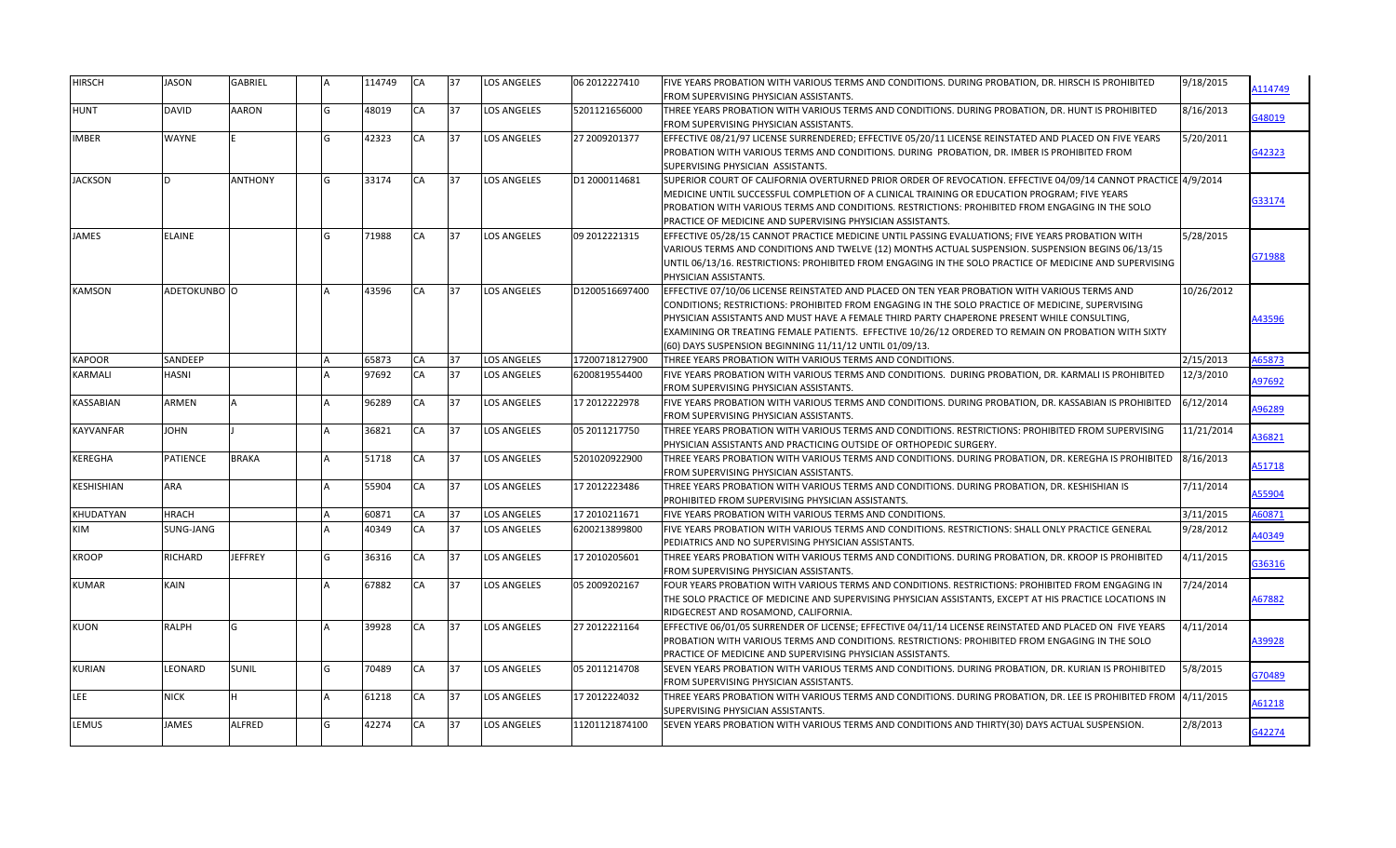| HIRSCH           | JASON           | <b>GABRIEL</b> |     | 114749 | <b>CA</b> | 37 | <b>LOS ANGELES</b> | 06 2012227410   | FIVE YEARS PROBATION WITH VARIOUS TERMS AND CONDITIONS. DURING PROBATION, DR. HIRSCH IS PROHIBITED<br>FROM SUPERVISING PHYSICIAN ASSISTANTS.                                                                                                                                                                                                                                                                                                                       | 9/18/2015  | A114749 |
|------------------|-----------------|----------------|-----|--------|-----------|----|--------------------|-----------------|--------------------------------------------------------------------------------------------------------------------------------------------------------------------------------------------------------------------------------------------------------------------------------------------------------------------------------------------------------------------------------------------------------------------------------------------------------------------|------------|---------|
| HUNT             | DAVID           | AARON          | G   | 48019  | CA        | 37 | LOS ANGELES        | 5201121656000   | THREE YEARS PROBATION WITH VARIOUS TERMS AND CONDITIONS. DURING PROBATION, DR. HUNT IS PROHIBITED<br>FROM SUPERVISING PHYSICIAN ASSISTANTS.                                                                                                                                                                                                                                                                                                                        | 8/16/2013  | G48019  |
| IMBER            | WAYNE           |                | lG. | 42323  | CA        | 37 | <b>LOS ANGELES</b> | 27 2009201377   | EFFECTIVE 08/21/97 LICENSE SURRENDERED; EFFECTIVE 05/20/11 LICENSE REINSTATED AND PLACED ON FIVE YEARS<br>PROBATION WITH VARIOUS TERMS AND CONDITIONS. DURING PROBATION, DR. IMBER IS PROHIBITED FROM<br>SUPERVISING PHYSICIAN ASSISTANTS.                                                                                                                                                                                                                         | 5/20/2011  | 342323  |
| <b>JACKSON</b>   | D.              | <b>ANTHONY</b> | G   | 33174  | <b>CA</b> | 37 | <b>LOS ANGELES</b> | D1 2000114681   | SUPERIOR COURT OF CALIFORNIA OVERTURNED PRIOR ORDER OF REVOCATION. EFFECTIVE 04/09/14 CANNOT PRACTICE 4/9/2014<br>MEDICINE UNTIL SUCCESSFUL COMPLETION OF A CLINICAL TRAINING OR EDUCATION PROGRAM; FIVE YEARS<br>PROBATION WITH VARIOUS TERMS AND CONDITIONS. RESTRICTIONS: PROHIBITED FROM ENGAGING IN THE SOLO<br>PRACTICE OF MEDICINE AND SUPERVISING PHYSICIAN ASSISTANTS.                                                                                    |            | 333174  |
| JAMES            | <b>ELAINE</b>   |                | G   | 71988  | <b>CA</b> | 37 | <b>LOS ANGELES</b> | 09 2012221315   | EFFECTIVE 05/28/15 CANNOT PRACTICE MEDICINE UNTIL PASSING EVALUATIONS; FIVE YEARS PROBATION WITH<br>VARIOUS TERMS AND CONDITIONS AND TWELVE (12) MONTHS ACTUAL SUSPENSION. SUSPENSION BEGINS 06/13/15<br>UNTIL 06/13/16. RESTRICTIONS: PROHIBITED FROM ENGAGING IN THE SOLO PRACTICE OF MEDICINE AND SUPERVISING<br>PHYSICIAN ASSISTANTS.                                                                                                                          | 5/28/2015  | G71988  |
| KAMSON           | ADETOKUNBO O    |                |     | 43596  | <b>CA</b> | 37 | <b>LOS ANGELES</b> | D1200516697400  | EFFECTIVE 07/10/06 LICENSE REINSTATED AND PLACED ON TEN YEAR PROBATION WITH VARIOUS TERMS AND<br>CONDITIONS; RESTRICTIONS: PROHIBITED FROM ENGAGING IN THE SOLO PRACTICE OF MEDICINE, SUPERVISING<br>PHYSICIAN ASSISTANTS AND MUST HAVE A FEMALE THIRD PARTY CHAPERONE PRESENT WHILE CONSULTING,<br>EXAMINING OR TREATING FEMALE PATIENTS. EFFECTIVE 10/26/12 ORDERED TO REMAIN ON PROBATION WITH SIXTY<br>(60) DAYS SUSPENSION BEGINNING 11/11/12 UNTIL 01/09/13. | 10/26/2012 | 443596  |
| <b>KAPOOR</b>    | SANDEEP         |                |     | 65873  | CA        | 37 | <b>LOS ANGELES</b> | 17200718127900  | THREE YEARS PROBATION WITH VARIOUS TERMS AND CONDITIONS.                                                                                                                                                                                                                                                                                                                                                                                                           | 2/15/2013  | A65873  |
| KARMALI          | HASNI           |                |     | 97692  | CA        | 37 | <b>LOS ANGELES</b> | 6200819554400   | FIVE YEARS PROBATION WITH VARIOUS TERMS AND CONDITIONS. DURING PROBATION, DR. KARMALI IS PROHIBITED<br>FROM SUPERVISING PHYSICIAN ASSISTANTS.                                                                                                                                                                                                                                                                                                                      | 12/3/2010  | A97692  |
| KASSABIAN        | ARMEN           |                |     | 96289  | <b>CA</b> | 37 | <b>LOS ANGELES</b> | 17 2012222978   | FIVE YEARS PROBATION WITH VARIOUS TERMS AND CONDITIONS. DURING PROBATION, DR. KASSABIAN IS PROHIBITED<br>FROM SUPERVISING PHYSICIAN ASSISTANTS.                                                                                                                                                                                                                                                                                                                    | 6/12/2014  | 196289  |
| <b>KAYVANFAR</b> | <b>JOHN</b>     |                |     | 36821  | <b>CA</b> | 37 | <b>LOS ANGELES</b> | 05 2011217750   | THREE YEARS PROBATION WITH VARIOUS TERMS AND CONDITIONS. RESTRICTIONS: PROHIBITED FROM SUPERVISING<br>PHYSICIAN ASSISTANTS AND PRACTICING OUTSIDE OF ORTHOPEDIC SURGERY.                                                                                                                                                                                                                                                                                           | 11/21/2014 | 136821  |
| KEREGHA          | <b>PATIENCE</b> | <b>BRAKA</b>   |     | 51718  | CA        | 37 | <b>LOS ANGELES</b> | 5201020922900   | THREE YEARS PROBATION WITH VARIOUS TERMS AND CONDITIONS. DURING PROBATION, DR. KEREGHA IS PROHIBITED<br>FROM SUPERVISING PHYSICIAN ASSISTANTS.                                                                                                                                                                                                                                                                                                                     | 8/16/2013  | 451718  |
| KESHISHIAN       | ARA             |                |     | 55904  | CA        | 37 | <b>LOS ANGELES</b> | 17 2012223486   | THREE YEARS PROBATION WITH VARIOUS TERMS AND CONDITIONS. DURING PROBATION, DR. KESHISHIAN IS<br>PROHIBITED FROM SUPERVISING PHYSICIAN ASSISTANTS.                                                                                                                                                                                                                                                                                                                  | 7/11/2014  | A55904  |
| KHUDATYAN        | HRACH           |                |     | 60871  | CA        | 37 | <b>LOS ANGELES</b> | 17 2010211671   | FIVE YEARS PROBATION WITH VARIOUS TERMS AND CONDITIONS.                                                                                                                                                                                                                                                                                                                                                                                                            | 3/11/2015  | A60871  |
| KIM              | SUNG-JANG       |                |     | 40349  | CA        | 37 | <b>LOS ANGELES</b> | 6200213899800   | FIVE YEARS PROBATION WITH VARIOUS TERMS AND CONDITIONS. RESTRICTIONS: SHALL ONLY PRACTICE GENERAL<br>PEDIATRICS AND NO SUPERVISING PHYSICIAN ASSISTANTS.                                                                                                                                                                                                                                                                                                           | 9/28/2012  | 440349  |
| <b>KROOP</b>     | RICHARD         | <b>JEFFREY</b> | lG. | 36316  | CA        | 37 | <b>LOS ANGELES</b> | 17 2010205601   | THREE YEARS PROBATION WITH VARIOUS TERMS AND CONDITIONS. DURING PROBATION, DR. KROOP IS PROHIBITED<br>FROM SUPERVISING PHYSICIAN ASSISTANTS.                                                                                                                                                                                                                                                                                                                       | 4/11/2015  | 336316  |
| <b>KUMAR</b>     | KAIN            |                |     | 67882  | CA        | 37 | <b>LOS ANGELES</b> | 05 2009 2021 67 | FOUR YEARS PROBATION WITH VARIOUS TERMS AND CONDITIONS. RESTRICTIONS: PROHIBITED FROM ENGAGING IN<br>THE SOLO PRACTICE OF MEDICINE AND SUPERVISING PHYSICIAN ASSISTANTS, EXCEPT AT HIS PRACTICE LOCATIONS IN<br>RIDGECREST AND ROSAMOND, CALIFORNIA.                                                                                                                                                                                                               | 7/24/2014  | A67882  |
| <b>KUON</b>      | RALPH           | G              |     | 39928  | CA        | 37 | <b>LOS ANGELES</b> | 27 2012221164   | EFFECTIVE 06/01/05 SURRENDER OF LICENSE; EFFECTIVE 04/11/14 LICENSE REINSTATED AND PLACED ON FIVE YEARS<br>PROBATION WITH VARIOUS TERMS AND CONDITIONS. RESTRICTIONS: PROHIBITED FROM ENGAGING IN THE SOLO<br>PRACTICE OF MEDICINE AND SUPERVISING PHYSICIAN ASSISTANTS.                                                                                                                                                                                           | 4/11/2014  | A39928  |
| <b>KURIAN</b>    | LEONARD         | SUNIL          | G   | 70489  | <b>CA</b> | 37 | <b>LOS ANGELES</b> | 05 2011214708   | SEVEN YEARS PROBATION WITH VARIOUS TERMS AND CONDITIONS. DURING PROBATION, DR. KURIAN IS PROHIBITED<br>FROM SUPERVISING PHYSICIAN ASSISTANTS.                                                                                                                                                                                                                                                                                                                      | 5/8/2015   | G70489  |
| <b>LEE</b>       | <b>NICK</b>     | н.             |     | 61218  | <b>CA</b> | 37 | <b>LOS ANGELES</b> | 17 2012224032   | THREE YEARS PROBATION WITH VARIOUS TERMS AND CONDITIONS. DURING PROBATION, DR. LEE IS PROHIBITED FROM (4/11/2015<br>SUPERVISING PHYSICIAN ASSISTANTS.                                                                                                                                                                                                                                                                                                              |            | 161218  |
| LEMUS            | <b>JAMES</b>    | ALFRED         |     | 42274  | <b>CA</b> | 37 | <b>LOS ANGELES</b> | 11201121874100  | SEVEN YEARS PROBATION WITH VARIOUS TERMS AND CONDITIONS AND THIRTY(30) DAYS ACTUAL SUSPENSION.                                                                                                                                                                                                                                                                                                                                                                     | 2/8/2013   | 342274  |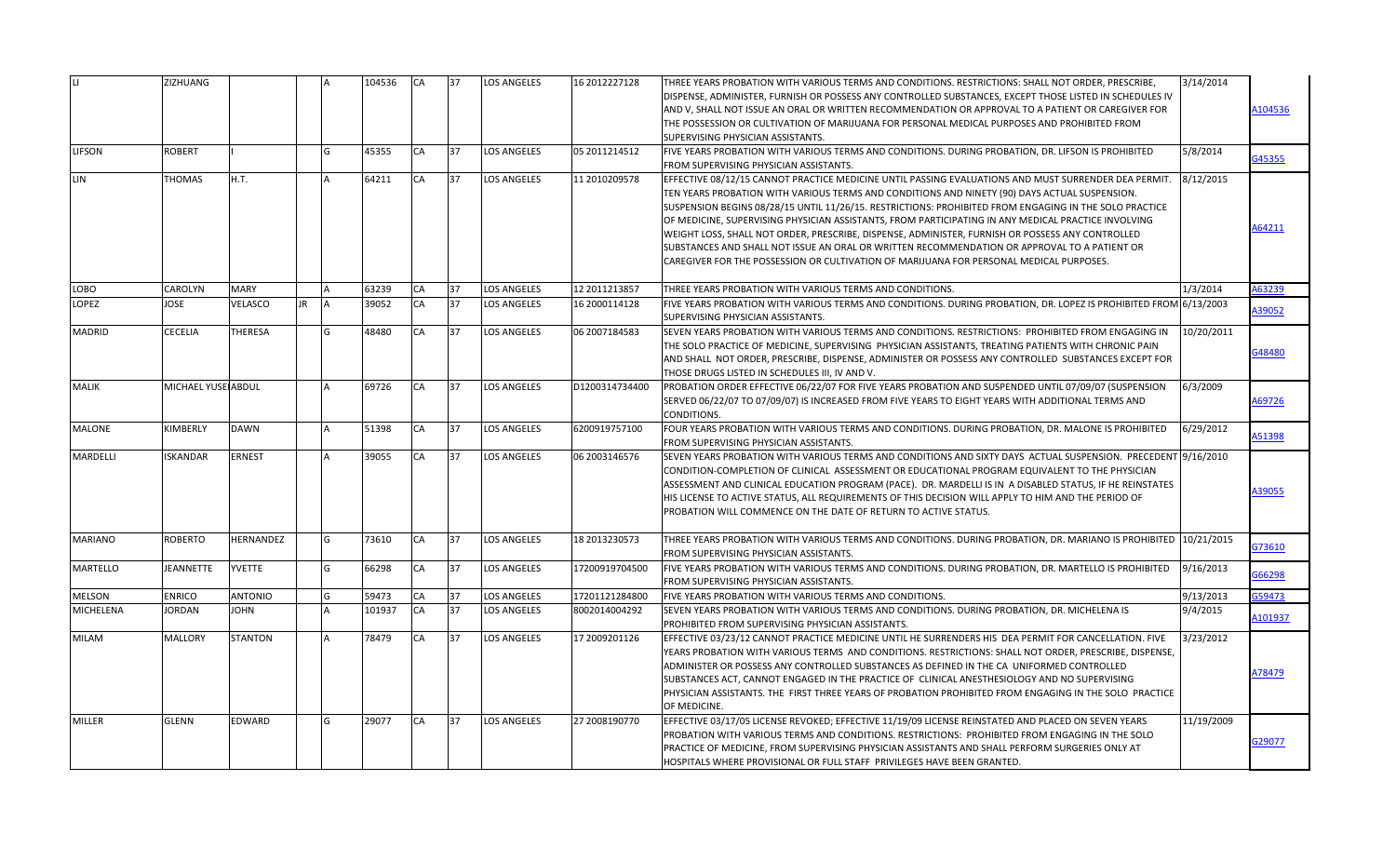|                  | ZIZHUANG           |                |     | 104536 | <b>CA</b> | 37 | <b>LOS ANGELES</b> | 16 2012227128  | THREE YEARS PROBATION WITH VARIOUS TERMS AND CONDITIONS. RESTRICTIONS: SHALL NOT ORDER, PRESCRIBE,<br>DISPENSE, ADMINISTER, FURNISH OR POSSESS ANY CONTROLLED SUBSTANCES, EXCEPT THOSE LISTED IN SCHEDULES IV<br>AND V, SHALL NOT ISSUE AN ORAL OR WRITTEN RECOMMENDATION OR APPROVAL TO A PATIENT OR CAREGIVER FOR                                                                                                                                                                                                                                                                                                                                                                                                   | 3/14/2014  | A104536       |
|------------------|--------------------|----------------|-----|--------|-----------|----|--------------------|----------------|-----------------------------------------------------------------------------------------------------------------------------------------------------------------------------------------------------------------------------------------------------------------------------------------------------------------------------------------------------------------------------------------------------------------------------------------------------------------------------------------------------------------------------------------------------------------------------------------------------------------------------------------------------------------------------------------------------------------------|------------|---------------|
|                  |                    |                |     |        |           |    |                    |                | THE POSSESSION OR CULTIVATION OF MARIJUANA FOR PERSONAL MEDICAL PURPOSES AND PROHIBITED FROM<br>SUPERVISING PHYSICIAN ASSISTANTS.                                                                                                                                                                                                                                                                                                                                                                                                                                                                                                                                                                                     |            |               |
| <b>LIFSON</b>    | <b>ROBERT</b>      |                |     | 45355  | CA        | 37 | <b>LOS ANGELES</b> | 05 2011214512  | FIVE YEARS PROBATION WITH VARIOUS TERMS AND CONDITIONS. DURING PROBATION, DR. LIFSON IS PROHIBITED<br>FROM SUPERVISING PHYSICIAN ASSISTANTS.                                                                                                                                                                                                                                                                                                                                                                                                                                                                                                                                                                          | 5/8/2014   | G45355        |
| LIN              | <b>THOMAS</b>      | H.T.           |     | 64211  | CA        | 37 | <b>LOS ANGELES</b> | 11 2010209578  | EFFECTIVE 08/12/15 CANNOT PRACTICE MEDICINE UNTIL PASSING EVALUATIONS AND MUST SURRENDER DEA PERMIT.<br>TEN YEARS PROBATION WITH VARIOUS TERMS AND CONDITIONS AND NINETY (90) DAYS ACTUAL SUSPENSION.<br>SUSPENSION BEGINS 08/28/15 UNTIL 11/26/15. RESTRICTIONS: PROHIBITED FROM ENGAGING IN THE SOLO PRACTICE<br>OF MEDICINE, SUPERVISING PHYSICIAN ASSISTANTS, FROM PARTICIPATING IN ANY MEDICAL PRACTICE INVOLVING<br>WEIGHT LOSS, SHALL NOT ORDER, PRESCRIBE, DISPENSE, ADMINISTER, FURNISH OR POSSESS ANY CONTROLLED<br>SUBSTANCES AND SHALL NOT ISSUE AN ORAL OR WRITTEN RECOMMENDATION OR APPROVAL TO A PATIENT OR<br>CAREGIVER FOR THE POSSESSION OR CULTIVATION OF MARIJUANA FOR PERSONAL MEDICAL PURPOSES. | 8/12/2015  | 164211        |
| LOBO             | <b>CAROLYN</b>     | <b>MARY</b>    |     | 63239  | CA        | 37 | <b>LOS ANGELES</b> | 12 2011213857  | THREE YEARS PROBATION WITH VARIOUS TERMS AND CONDITIONS.                                                                                                                                                                                                                                                                                                                                                                                                                                                                                                                                                                                                                                                              | 1/3/2014   | A63239        |
| <b>LOPEZ</b>     | <b>JOSE</b>        | VELASCO        | JR. | 39052  | <b>CA</b> | 37 | <b>LOS ANGELES</b> | 16 2000114128  | FIVE YEARS PROBATION WITH VARIOUS TERMS AND CONDITIONS. DURING PROBATION, DR. LOPEZ IS PROHIBITED FROM 6/13/2003<br>SUPERVISING PHYSICIAN ASSISTANTS.                                                                                                                                                                                                                                                                                                                                                                                                                                                                                                                                                                 |            | 139052        |
| <b>MADRID</b>    | <b>CECELIA</b>     | THERESA        |     | 48480  | CA        | 37 | LOS ANGELES        | 06 2007184583  | SEVEN YEARS PROBATION WITH VARIOUS TERMS AND CONDITIONS. RESTRICTIONS: PROHIBITED FROM ENGAGING IN<br>THE SOLO PRACTICE OF MEDICINE, SUPERVISING PHYSICIAN ASSISTANTS, TREATING PATIENTS WITH CHRONIC PAIN<br>AND SHALL NOT ORDER, PRESCRIBE, DISPENSE, ADMINISTER OR POSSESS ANY CONTROLLED SUBSTANCES EXCEPT FOR<br>THOSE DRUGS LISTED IN SCHEDULES III, IV AND V.                                                                                                                                                                                                                                                                                                                                                  | 10/20/2011 | 648480        |
| <b>MALIK</b>     | MICHAEL YUSE ABDUL |                |     | 69726  | CA        | 37 | <b>LOS ANGELES</b> | D1200314734400 | PROBATION ORDER EFFECTIVE 06/22/07 FOR FIVE YEARS PROBATION AND SUSPENDED UNTIL 07/09/07 (SUSPENSION<br>SERVED 06/22/07 TO 07/09/07) IS INCREASED FROM FIVE YEARS TO EIGHT YEARS WITH ADDITIONAL TERMS AND<br>CONDITIONS.                                                                                                                                                                                                                                                                                                                                                                                                                                                                                             | 6/3/2009   | A69726        |
| <b>MALONE</b>    | KIMBERLY           | <b>DAWN</b>    |     | 51398  | CA        | 37 | <b>LOS ANGELES</b> | 5200919757100  | FOUR YEARS PROBATION WITH VARIOUS TERMS AND CONDITIONS. DURING PROBATION, DR. MALONE IS PROHIBITED<br>FROM SUPERVISING PHYSICIAN ASSISTANTS.                                                                                                                                                                                                                                                                                                                                                                                                                                                                                                                                                                          | 6/29/2012  | 151398        |
| <b>MARDELLI</b>  | <b>ISKANDAR</b>    | <b>ERNEST</b>  |     | 39055  | CA        | 37 | <b>LOS ANGELES</b> | 06 2003146576  | SEVEN YEARS PROBATION WITH VARIOUS TERMS AND CONDITIONS AND SIXTY DAYS ACTUAL SUSPENSION. PRECEDENT 9/16/2010<br>CONDITION-COMPLETION OF CLINICAL ASSESSMENT OR EDUCATIONAL PROGRAM EQUIVALENT TO THE PHYSICIAN<br>ASSESSMENT AND CLINICAL EDUCATION PROGRAM (PACE). DR. MARDELLI IS IN A DISABLED STATUS, IF HE REINSTATES<br>HIS LICENSE TO ACTIVE STATUS, ALL REQUIREMENTS OF THIS DECISION WILL APPLY TO HIM AND THE PERIOD OF<br>PROBATION WILL COMMENCE ON THE DATE OF RETURN TO ACTIVE STATUS.                                                                                                                                                                                                                 |            | <b>\39055</b> |
| <b>MARIANO</b>   | <b>ROBERTO</b>     | HERNANDEZ      |     | 73610  | CA        | 37 | <b>LOS ANGELES</b> | 18 2013230573  | THREE YEARS PROBATION WITH VARIOUS TERMS AND CONDITIONS. DURING PROBATION, DR. MARIANO IS PROHIBITED 10/21/2015<br>FROM SUPERVISING PHYSICIAN ASSISTANTS.                                                                                                                                                                                                                                                                                                                                                                                                                                                                                                                                                             |            | 373610        |
| <b>MARTELLO</b>  | <b>JEANNETTE</b>   | <b>YVETTE</b>  |     | 66298  | CA        | 37 | <b>LOS ANGELES</b> | 17200919704500 | FIVE YEARS PROBATION WITH VARIOUS TERMS AND CONDITIONS. DURING PROBATION, DR. MARTELLO IS PROHIBITED<br>FROM SUPERVISING PHYSICIAN ASSISTANTS.                                                                                                                                                                                                                                                                                                                                                                                                                                                                                                                                                                        | 9/16/2013  | G66298        |
| <b>MELSON</b>    | <b>ENRICO</b>      | <b>ANTONIO</b> |     | 59473  | CA        | 37 | <b>LOS ANGELES</b> | 17201121284800 | FIVE YEARS PROBATION WITH VARIOUS TERMS AND CONDITIONS.                                                                                                                                                                                                                                                                                                                                                                                                                                                                                                                                                                                                                                                               | 9/13/2013  | 359473        |
| <b>MICHELENA</b> | <b>JORDAN</b>      | <b>JOHN</b>    |     | 101937 | CA        | 37 | <b>LOS ANGELES</b> | 8002014004292  | SEVEN YEARS PROBATION WITH VARIOUS TERMS AND CONDITIONS. DURING PROBATION, DR. MICHELENA IS<br>PROHIBITED FROM SUPERVISING PHYSICIAN ASSISTANTS.                                                                                                                                                                                                                                                                                                                                                                                                                                                                                                                                                                      | 9/4/2015   | 101937        |
| <b>MILAM</b>     | <b>MALLORY</b>     | <b>STANTON</b> |     | 78479  | CA        | 37 | <b>LOS ANGELES</b> | 17 2009201126  | EFFECTIVE 03/23/12 CANNOT PRACTICE MEDICINE UNTIL HE SURRENDERS HIS DEA PERMIT FOR CANCELLATION. FIVE<br>YEARS PROBATION WITH VARIOUS TERMS AND CONDITIONS. RESTRICTIONS: SHALL NOT ORDER, PRESCRIBE, DISPENSE,<br>ADMINISTER OR POSSESS ANY CONTROLLED SUBSTANCES AS DEFINED IN THE CA UNIFORMED CONTROLLED<br>SUBSTANCES ACT, CANNOT ENGAGED IN THE PRACTICE OF CLINICAL ANESTHESIOLOGY AND NO SUPERVISING<br>PHYSICIAN ASSISTANTS. THE FIRST THREE YEARS OF PROBATION PROHIBITED FROM ENGAGING IN THE SOLO PRACTICE<br>OF MEDICINE.                                                                                                                                                                                | 3/23/2012  | A78479        |
| <b>MILLER</b>    | <b>GLENN</b>       | EDWARD         |     | 29077  | CA        | 37 | <b>LOS ANGELES</b> | 27 2008190770  | EFFECTIVE 03/17/05 LICENSE REVOKED; EFFECTIVE 11/19/09 LICENSE REINSTATED AND PLACED ON SEVEN YEARS<br>PROBATION WITH VARIOUS TERMS AND CONDITIONS. RESTRICTIONS: PROHIBITED FROM ENGAGING IN THE SOLO<br>PRACTICE OF MEDICINE, FROM SUPERVISING PHYSICIAN ASSISTANTS AND SHALL PERFORM SURGERIES ONLY AT<br>HOSPITALS WHERE PROVISIONAL OR FULL STAFF PRIVILEGES HAVE BEEN GRANTED.                                                                                                                                                                                                                                                                                                                                  | 11/19/2009 | 329077        |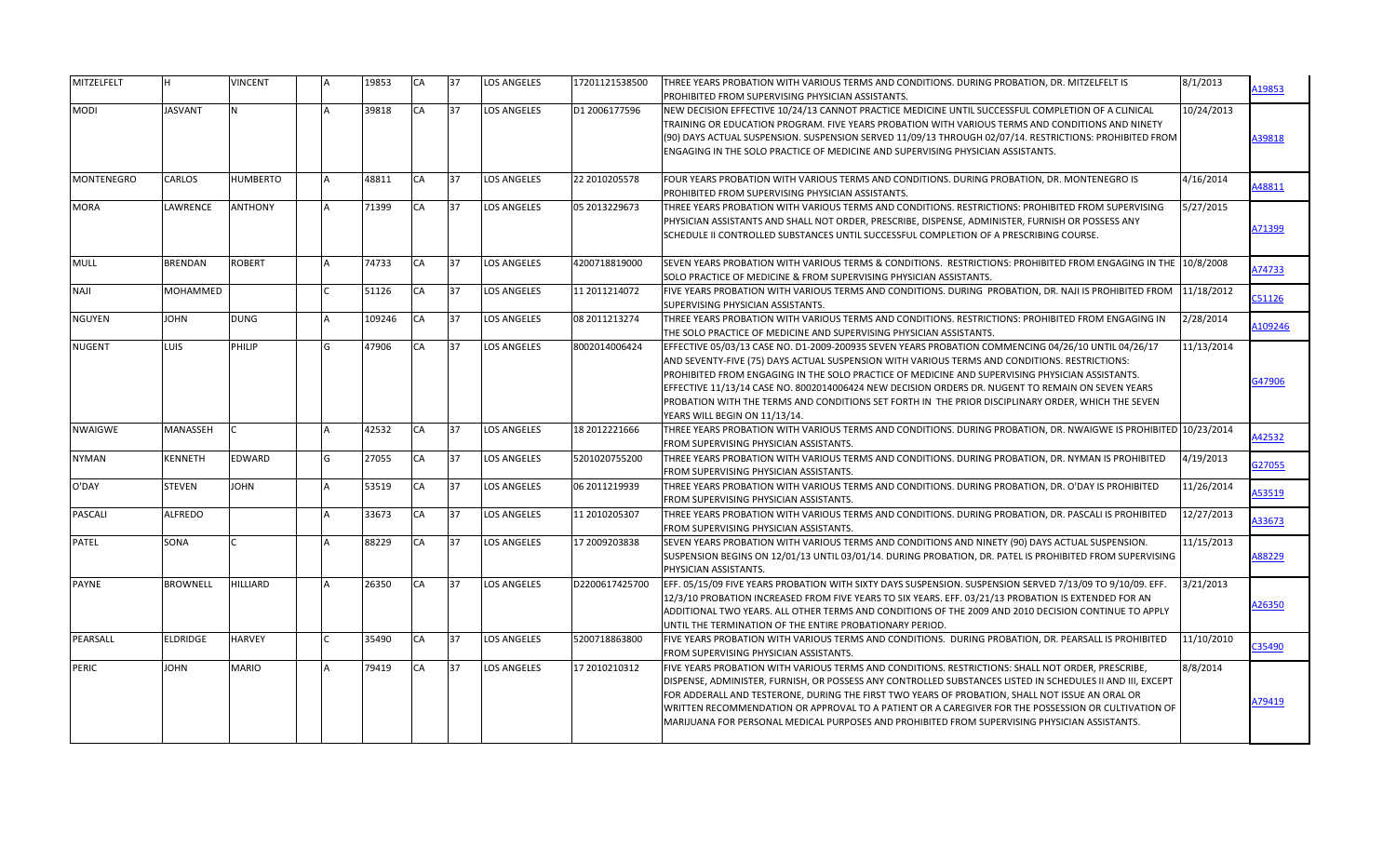| MITZELFELT        | lн.             | <b>VINCENT</b>  | 19853  | <b>CA</b> | 37 | <b>LOS ANGELES</b> | 17201121538500 | THREE YEARS PROBATION WITH VARIOUS TERMS AND CONDITIONS. DURING PROBATION, DR. MITZELFELT IS                    | 8/1/2013   | A19853 |
|-------------------|-----------------|-----------------|--------|-----------|----|--------------------|----------------|-----------------------------------------------------------------------------------------------------------------|------------|--------|
|                   |                 |                 |        |           |    |                    |                | PROHIBITED FROM SUPERVISING PHYSICIAN ASSISTANTS.                                                               |            |        |
| <b>MODI</b>       | <b>JASVANT</b>  | N.              | 39818  | <b>CA</b> | 37 | <b>LOS ANGELES</b> | D1 2006177596  | NEW DECISION EFFECTIVE 10/24/13 CANNOT PRACTICE MEDICINE UNTIL SUCCESSFUL COMPLETION OF A CLINICAL              | 10/24/2013 |        |
|                   |                 |                 |        |           |    |                    |                | TRAINING OR EDUCATION PROGRAM. FIVE YEARS PROBATION WITH VARIOUS TERMS AND CONDITIONS AND NINETY                |            |        |
|                   |                 |                 |        |           |    |                    |                | (90) DAYS ACTUAL SUSPENSION. SUSPENSION SERVED 11/09/13 THROUGH 02/07/14. RESTRICTIONS: PROHIBITED FROM         |            | A39818 |
|                   |                 |                 |        |           |    |                    |                | ENGAGING IN THE SOLO PRACTICE OF MEDICINE AND SUPERVISING PHYSICIAN ASSISTANTS.                                 |            |        |
| <b>MONTENEGRO</b> | <b>CARLOS</b>   | <b>HUMBERTO</b> | 48811  | CA        | 37 | <b>LOS ANGELES</b> | 22 2010205578  | FOUR YEARS PROBATION WITH VARIOUS TERMS AND CONDITIONS. DURING PROBATION, DR. MONTENEGRO IS                     | 4/16/2014  |        |
|                   |                 |                 |        |           |    |                    |                | PROHIBITED FROM SUPERVISING PHYSICIAN ASSISTANTS.                                                               |            | A48811 |
| <b>MORA</b>       | <b>LAWRENCE</b> | <b>ANTHONY</b>  | 71399  | CA        | 37 | <b>LOS ANGELES</b> | 05 2013229673  | THREE YEARS PROBATION WITH VARIOUS TERMS AND CONDITIONS. RESTRICTIONS: PROHIBITED FROM SUPERVISING              | 5/27/2015  |        |
|                   |                 |                 |        |           |    |                    |                | PHYSICIAN ASSISTANTS AND SHALL NOT ORDER, PRESCRIBE, DISPENSE, ADMINISTER, FURNISH OR POSSESS ANY               |            |        |
|                   |                 |                 |        |           |    |                    |                | SCHEDULE II CONTROLLED SUBSTANCES UNTIL SUCCESSFUL COMPLETION OF A PRESCRIBING COURSE.                          |            | A71399 |
|                   |                 |                 |        |           |    |                    |                |                                                                                                                 |            |        |
| <b>MULL</b>       | <b>BRENDAN</b>  | <b>ROBERT</b>   | 74733  | CA        | 37 | <b>LOS ANGELES</b> | 4200718819000  | SEVEN YEARS PROBATION WITH VARIOUS TERMS & CONDITIONS. RESTRICTIONS: PROHIBITED FROM ENGAGING IN THE 10/8/2008  |            |        |
|                   |                 |                 |        |           |    |                    |                | SOLO PRACTICE OF MEDICINE & FROM SUPERVISING PHYSICIAN ASSISTANTS.                                              |            | A74733 |
| <b>NAJI</b>       | <b>MOHAMMED</b> |                 | 51126  | CA        | 37 | <b>LOS ANGELES</b> | 11 2011214072  | FIVE YEARS PROBATION WITH VARIOUS TERMS AND CONDITIONS. DURING PROBATION, DR. NAJI IS PROHIBITED FROM           | 11/18/2012 | C51126 |
|                   |                 |                 |        |           |    |                    |                | SUPERVISING PHYSICIAN ASSISTANTS.                                                                               |            |        |
| <b>NGUYEN</b>     | <b>JOHN</b>     | <b>DUNG</b>     | 109246 | CA        | 37 | <b>LOS ANGELES</b> | 08 2011213274  | THREE YEARS PROBATION WITH VARIOUS TERMS AND CONDITIONS. RESTRICTIONS: PROHIBITED FROM ENGAGING IN              | 2/28/2014  | 109246 |
|                   |                 |                 |        |           |    |                    |                | THE SOLO PRACTICE OF MEDICINE AND SUPERVISING PHYSICIAN ASSISTANTS.                                             |            |        |
| <b>NUGENT</b>     | LUIS            | PHILIP          | 47906  | CA        | 37 | <b>LOS ANGELES</b> | 8002014006424  | EFFECTIVE 05/03/13 CASE NO. D1-2009-200935 SEVEN YEARS PROBATION COMMENCING 04/26/10 UNTIL 04/26/17             | 11/13/2014 |        |
|                   |                 |                 |        |           |    |                    |                | AND SEVENTY-FIVE (75) DAYS ACTUAL SUSPENSION WITH VARIOUS TERMS AND CONDITIONS. RESTRICTIONS:                   |            |        |
|                   |                 |                 |        |           |    |                    |                | PROHIBITED FROM ENGAGING IN THE SOLO PRACTICE OF MEDICINE AND SUPERVISING PHYSICIAN ASSISTANTS.                 |            | G47906 |
|                   |                 |                 |        |           |    |                    |                | EFFECTIVE 11/13/14 CASE NO. 8002014006424 NEW DECISION ORDERS DR. NUGENT TO REMAIN ON SEVEN YEARS               |            |        |
|                   |                 |                 |        |           |    |                    |                | PROBATION WITH THE TERMS AND CONDITIONS SET FORTH IN THE PRIOR DISCIPLINARY ORDER, WHICH THE SEVEN              |            |        |
|                   |                 |                 |        |           |    |                    |                | YEARS WILL BEGIN ON 11/13/14.                                                                                   |            |        |
| <b>NWAIGWE</b>    | MANASSEH        | $\mathsf{C}$    | 42532  | CA        | 37 | <b>LOS ANGELES</b> | 18 2012221666  | THREE YEARS PROBATION WITH VARIOUS TERMS AND CONDITIONS. DURING PROBATION, DR. NWAIGWE IS PROHIBITED 10/23/2014 |            | 142532 |
|                   |                 |                 |        |           |    |                    |                | FROM SUPERVISING PHYSICIAN ASSISTANTS.                                                                          |            |        |
| <b>NYMAN</b>      | KENNETH         | EDWARD          | 27055  | CA        | 37 | <b>LOS ANGELES</b> | 5201020755200  | THREE YEARS PROBATION WITH VARIOUS TERMS AND CONDITIONS. DURING PROBATION, DR. NYMAN IS PROHIBITED              | 4/19/2013  | G27055 |
|                   |                 |                 |        |           |    |                    |                | FROM SUPERVISING PHYSICIAN ASSISTANTS.                                                                          |            |        |
| O'DAY             | <b>STEVEN</b>   | <b>JOHN</b>     | 53519  | CA        | 37 | <b>LOS ANGELES</b> | 06 2011219939  | THREE YEARS PROBATION WITH VARIOUS TERMS AND CONDITIONS. DURING PROBATION, DR. O'DAY IS PROHIBITED              | 11/26/2014 | 153519 |
|                   |                 |                 |        |           |    |                    |                | FROM SUPERVISING PHYSICIAN ASSISTANTS.                                                                          |            |        |
| <b>PASCALI</b>    | <b>ALFREDO</b>  |                 | 33673  | CA        | 37 | <b>LOS ANGELES</b> | 11 2010205307  | THREE YEARS PROBATION WITH VARIOUS TERMS AND CONDITIONS. DURING PROBATION, DR. PASCALI IS PROHIBITED            | 12/27/2013 | A33673 |
|                   |                 |                 |        |           |    |                    |                | FROM SUPERVISING PHYSICIAN ASSISTANTS.                                                                          |            |        |
| <b>PATEL</b>      | SONA            |                 | 88229  | CA        | 37 | <b>LOS ANGELES</b> | 17 2009203838  | SEVEN YEARS PROBATION WITH VARIOUS TERMS AND CONDITIONS AND NINETY (90) DAYS ACTUAL SUSPENSION.                 | 11/15/2013 |        |
|                   |                 |                 |        |           |    |                    |                | SUSPENSION BEGINS ON 12/01/13 UNTIL 03/01/14. DURING PROBATION, DR. PATEL IS PROHIBITED FROM SUPERVISING        |            | A88229 |
|                   |                 |                 |        |           |    |                    |                | PHYSICIAN ASSISTANTS.                                                                                           |            |        |
| <b>PAYNE</b>      | <b>BROWNELL</b> | <b>HILLIARD</b> | 26350  | CA        | 37 | <b>LOS ANGELES</b> | D2200617425700 | EFF. 05/15/09 FIVE YEARS PROBATION WITH SIXTY DAYS SUSPENSION. SUSPENSION SERVED 7/13/09 TO 9/10/09. EFF.       | 3/21/2013  |        |
|                   |                 |                 |        |           |    |                    |                | 12/3/10 PROBATION INCREASED FROM FIVE YEARS TO SIX YEARS. EFF. 03/21/13 PROBATION IS EXTENDED FOR AN            |            | A26350 |
|                   |                 |                 |        |           |    |                    |                | ADDITIONAL TWO YEARS. ALL OTHER TERMS AND CONDITIONS OF THE 2009 AND 2010 DECISION CONTINUE TO APPLY            |            |        |
|                   |                 |                 |        |           |    |                    |                | UNTIL THE TERMINATION OF THE ENTIRE PROBATIONARY PERIOD.                                                        |            |        |
| PEARSALL          | <b>ELDRIDGE</b> | <b>HARVEY</b>   | 35490  | CA        | 37 | <b>LOS ANGELES</b> | 5200718863800  | FIVE YEARS PROBATION WITH VARIOUS TERMS AND CONDITIONS. DURING PROBATION, DR. PEARSALL IS PROHIBITED            | 11/10/2010 | C35490 |
|                   |                 |                 |        |           |    |                    |                | FROM SUPERVISING PHYSICIAN ASSISTANTS.                                                                          |            |        |
| PERIC             | <b>JOHN</b>     | <b>MARIO</b>    | 79419  | CA        | 37 | <b>LOS ANGELES</b> | 17 2010210312  | FIVE YEARS PROBATION WITH VARIOUS TERMS AND CONDITIONS. RESTRICTIONS: SHALL NOT ORDER, PRESCRIBE,               | 8/8/2014   |        |
|                   |                 |                 |        |           |    |                    |                | DISPENSE, ADMINISTER, FURNISH, OR POSSESS ANY CONTROLLED SUBSTANCES LISTED IN SCHEDULES II AND III, EXCEPT      |            |        |
|                   |                 |                 |        |           |    |                    |                | FOR ADDERALL AND TESTERONE, DURING THE FIRST TWO YEARS OF PROBATION, SHALL NOT ISSUE AN ORAL OR                 |            | A79419 |
|                   |                 |                 |        |           |    |                    |                | WRITTEN RECOMMENDATION OR APPROVAL TO A PATIENT OR A CAREGIVER FOR THE POSSESSION OR CULTIVATION OF             |            |        |
|                   |                 |                 |        |           |    |                    |                | MARIJUANA FOR PERSONAL MEDICAL PURPOSES AND PROHIBITED FROM SUPERVISING PHYSICIAN ASSISTANTS.                   |            |        |
|                   |                 |                 |        |           |    |                    |                |                                                                                                                 |            |        |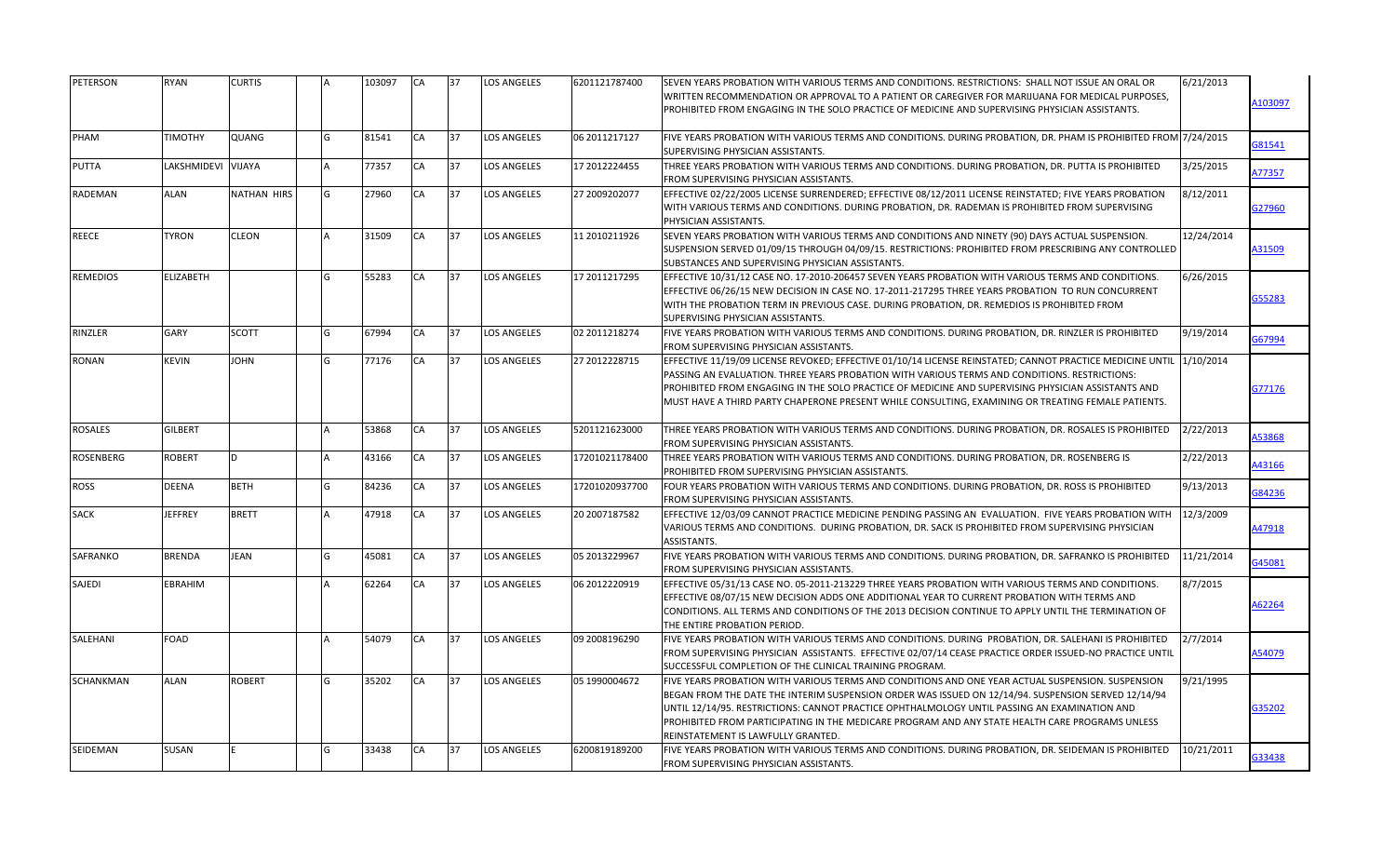| PETERSON         | <b>RYAN</b>        | <b>CURTIS</b>      |     | 103097 | <b>CA</b> | 37 | <b>LOS ANGELES</b> | 6201121787400  | SEVEN YEARS PROBATION WITH VARIOUS TERMS AND CONDITIONS. RESTRICTIONS: SHALL NOT ISSUE AN ORAL OR                                                                                                                                                                                                                                                                                                                                                 | 6/21/2013  |        |
|------------------|--------------------|--------------------|-----|--------|-----------|----|--------------------|----------------|---------------------------------------------------------------------------------------------------------------------------------------------------------------------------------------------------------------------------------------------------------------------------------------------------------------------------------------------------------------------------------------------------------------------------------------------------|------------|--------|
|                  |                    |                    |     |        |           |    |                    |                | WRITTEN RECOMMENDATION OR APPROVAL TO A PATIENT OR CAREGIVER FOR MARIJUANA FOR MEDICAL PURPOSES,                                                                                                                                                                                                                                                                                                                                                  |            | 103097 |
|                  |                    |                    |     |        |           |    |                    |                | PROHIBITED FROM ENGAGING IN THE SOLO PRACTICE OF MEDICINE AND SUPERVISING PHYSICIAN ASSISTANTS.                                                                                                                                                                                                                                                                                                                                                   |            |        |
| PHAM             | <b>TIMOTHY</b>     | QUANG              |     | 81541  | CA        | 37 | <b>LOS ANGELES</b> | 06 2011217127  | FIVE YEARS PROBATION WITH VARIOUS TERMS AND CONDITIONS. DURING PROBATION, DR. PHAM IS PROHIBITED FROM 7/24/2015<br>SUPERVISING PHYSICIAN ASSISTANTS.                                                                                                                                                                                                                                                                                              |            | G81541 |
| <b>PUTTA</b>     | LAKSHMIDEVI VIJAYA |                    |     | 77357  | CA        | 37 | <b>LOS ANGELES</b> | 17 2012224455  | THREE YEARS PROBATION WITH VARIOUS TERMS AND CONDITIONS. DURING PROBATION, DR. PUTTA IS PROHIBITED<br>FROM SUPERVISING PHYSICIAN ASSISTANTS.                                                                                                                                                                                                                                                                                                      | 3/25/2015  | A77357 |
| <b>RADEMAN</b>   | <b>ALAN</b>        | <b>NATHAN HIRS</b> | G   | 27960  | CA        | 37 | LOS ANGELES        | 27 2009202077  | EFFECTIVE 02/22/2005 LICENSE SURRENDERED; EFFECTIVE 08/12/2011 LICENSE REINSTATED; FIVE YEARS PROBATION<br>WITH VARIOUS TERMS AND CONDITIONS. DURING PROBATION, DR. RADEMAN IS PROHIBITED FROM SUPERVISING<br>PHYSICIAN ASSISTANTS.                                                                                                                                                                                                               | 8/12/2011  | G27960 |
| <b>REECE</b>     | <b>TYRON</b>       | CLEON              |     | 31509  | <b>CA</b> | 37 | <b>LOS ANGELES</b> | 11 2010211926  | SEVEN YEARS PROBATION WITH VARIOUS TERMS AND CONDITIONS AND NINETY (90) DAYS ACTUAL SUSPENSION.<br>SUSPENSION SERVED 01/09/15 THROUGH 04/09/15. RESTRICTIONS: PROHIBITED FROM PRESCRIBING ANY CONTROLLED<br>SUBSTANCES AND SUPERVISING PHYSICIAN ASSISTANTS.                                                                                                                                                                                      | 12/24/2014 | A31509 |
| <b>REMEDIOS</b>  | <b>ELIZABETH</b>   |                    |     | 55283  | CA        | 37 | <b>LOS ANGELES</b> | 17 2011217295  | EFFECTIVE 10/31/12 CASE NO. 17-2010-206457 SEVEN YEARS PROBATION WITH VARIOUS TERMS AND CONDITIONS.<br>EFFECTIVE 06/26/15 NEW DECISION IN CASE NO. 17-2011-217295 THREE YEARS PROBATION TO RUN CONCURRENT<br>WITH THE PROBATION TERM IN PREVIOUS CASE. DURING PROBATION, DR. REMEDIOS IS PROHIBITED FROM<br>SUPERVISING PHYSICIAN ASSISTANTS.                                                                                                     | 6/26/2015  | G55283 |
| RINZLER          | <b>GARY</b>        | <b>SCOTT</b>       | IG. | 67994  | CA        | 37 | <b>LOS ANGELES</b> | 02 2011218274  | FIVE YEARS PROBATION WITH VARIOUS TERMS AND CONDITIONS. DURING PROBATION, DR. RINZLER IS PROHIBITED<br>FROM SUPERVISING PHYSICIAN ASSISTANTS.                                                                                                                                                                                                                                                                                                     | 9/19/2014  | G67994 |
| <b>RONAN</b>     | <b>KEVIN</b>       | <b>JOHN</b>        | G   | 77176  | CA        | 37 | <b>LOS ANGELES</b> | 27 2012228715  | EFFECTIVE 11/19/09 LICENSE REVOKED; EFFECTIVE 01/10/14 LICENSE REINSTATED; CANNOT PRACTICE MEDICINE UNTIL 1/10/2014<br>PASSING AN EVALUATION. THREE YEARS PROBATION WITH VARIOUS TERMS AND CONDITIONS. RESTRICTIONS:<br>PROHIBITED FROM ENGAGING IN THE SOLO PRACTICE OF MEDICINE AND SUPERVISING PHYSICIAN ASSISTANTS AND<br>MUST HAVE A THIRD PARTY CHAPERONE PRESENT WHILE CONSULTING, EXAMINING OR TREATING FEMALE PATIENTS.                  |            | G77176 |
| <b>ROSALES</b>   | <b>GILBERT</b>     |                    |     | 53868  | CA        | 37 | <b>LOS ANGELES</b> | 5201121623000  | THREE YEARS PROBATION WITH VARIOUS TERMS AND CONDITIONS. DURING PROBATION, DR. ROSALES IS PROHIBITED<br>FROM SUPERVISING PHYSICIAN ASSISTANTS.                                                                                                                                                                                                                                                                                                    | 2/22/2013  | A53868 |
| ROSENBERG        | <b>ROBERT</b>      | D                  |     | 43166  | <b>CA</b> | 37 | <b>LOS ANGELES</b> | 17201021178400 | THREE YEARS PROBATION WITH VARIOUS TERMS AND CONDITIONS. DURING PROBATION, DR. ROSENBERG IS<br>PROHIBITED FROM SUPERVISING PHYSICIAN ASSISTANTS.                                                                                                                                                                                                                                                                                                  | 2/22/2013  | A43166 |
| <b>ROSS</b>      | <b>DEENA</b>       | <b>BETH</b>        |     | 84236  | <b>CA</b> | 37 | <b>LOS ANGELES</b> | 17201020937700 | FOUR YEARS PROBATION WITH VARIOUS TERMS AND CONDITIONS. DURING PROBATION, DR. ROSS IS PROHIBITED<br>FROM SUPERVISING PHYSICIAN ASSISTANTS.                                                                                                                                                                                                                                                                                                        | 9/13/2013  | 384236 |
| <b>SACK</b>      | <b>JEFFREY</b>     | <b>BRETT</b>       |     | 47918  | CA        | 37 | <b>LOS ANGELES</b> | 20 2007187582  | EFFECTIVE 12/03/09 CANNOT PRACTICE MEDICINE PENDING PASSING AN EVALUATION. FIVE YEARS PROBATION WITH<br>VARIOUS TERMS AND CONDITIONS. DURING PROBATION, DR. SACK IS PROHIBITED FROM SUPERVISING PHYSICIAN<br><b>ASSISTANTS.</b>                                                                                                                                                                                                                   | 12/3/2009  | A47918 |
| SAFRANKO         | <b>BRENDA</b>      | <b>JEAN</b>        | G   | 45081  | CA        | 37 | LOS ANGELES        | 05 2013229967  | FIVE YEARS PROBATION WITH VARIOUS TERMS AND CONDITIONS. DURING PROBATION, DR. SAFRANKO IS PROHIBITED<br>FROM SUPERVISING PHYSICIAN ASSISTANTS.                                                                                                                                                                                                                                                                                                    | 11/21/2014 | 345081 |
| <b>SAJEDI</b>    | <b>EBRAHIM</b>     |                    |     | 62264  | CA        | 37 | <b>LOS ANGELES</b> | 06 2012220919  | EFFECTIVE 05/31/13 CASE NO. 05-2011-213229 THREE YEARS PROBATION WITH VARIOUS TERMS AND CONDITIONS.<br>EFFECTIVE 08/07/15 NEW DECISION ADDS ONE ADDITIONAL YEAR TO CURRENT PROBATION WITH TERMS AND<br>CONDITIONS. ALL TERMS AND CONDITIONS OF THE 2013 DECISION CONTINUE TO APPLY UNTIL THE TERMINATION OF<br>THE ENTIRE PROBATION PERIOD.                                                                                                       | 8/7/2015   | 62264  |
| SALEHANI         | <b>FOAD</b>        |                    |     | 54079  | CA        | 37 | <b>LOS ANGELES</b> | 09 2008196290  | FIVE YEARS PROBATION WITH VARIOUS TERMS AND CONDITIONS. DURING PROBATION, DR. SALEHANI IS PROHIBITED<br>FROM SUPERVISING PHYSICIAN ASSISTANTS. EFFECTIVE 02/07/14 CEASE PRACTICE ORDER ISSUED-NO PRACTICE UNTIL<br>SUCCESSFUL COMPLETION OF THE CLINICAL TRAINING PROGRAM.                                                                                                                                                                        | 2/7/2014   | A54079 |
| <b>SCHANKMAN</b> | <b>ALAN</b>        | <b>ROBERT</b>      | G   | 35202  | <b>CA</b> | 37 | <b>LOS ANGELES</b> | 05 1990004672  | FIVE YEARS PROBATION WITH VARIOUS TERMS AND CONDITIONS AND ONE YEAR ACTUAL SUSPENSION. SUSPENSION<br>BEGAN FROM THE DATE THE INTERIM SUSPENSION ORDER WAS ISSUED ON 12/14/94. SUSPENSION SERVED 12/14/94<br>UNTIL 12/14/95. RESTRICTIONS: CANNOT PRACTICE OPHTHALMOLOGY UNTIL PASSING AN EXAMINATION AND<br>PROHIBITED FROM PARTICIPATING IN THE MEDICARE PROGRAM AND ANY STATE HEALTH CARE PROGRAMS UNLESS<br>REINSTATEMENT IS LAWFULLY GRANTED. | 9/21/1995  | G35202 |
| SEIDEMAN         | <b>SUSAN</b>       |                    |     | 33438  | CA        | 37 | <b>LOS ANGELES</b> | 6200819189200  | FIVE YEARS PROBATION WITH VARIOUS TERMS AND CONDITIONS. DURING PROBATION, DR. SEIDEMAN IS PROHIBITED<br>FROM SUPERVISING PHYSICIAN ASSISTANTS.                                                                                                                                                                                                                                                                                                    | 10/21/2011 | 333438 |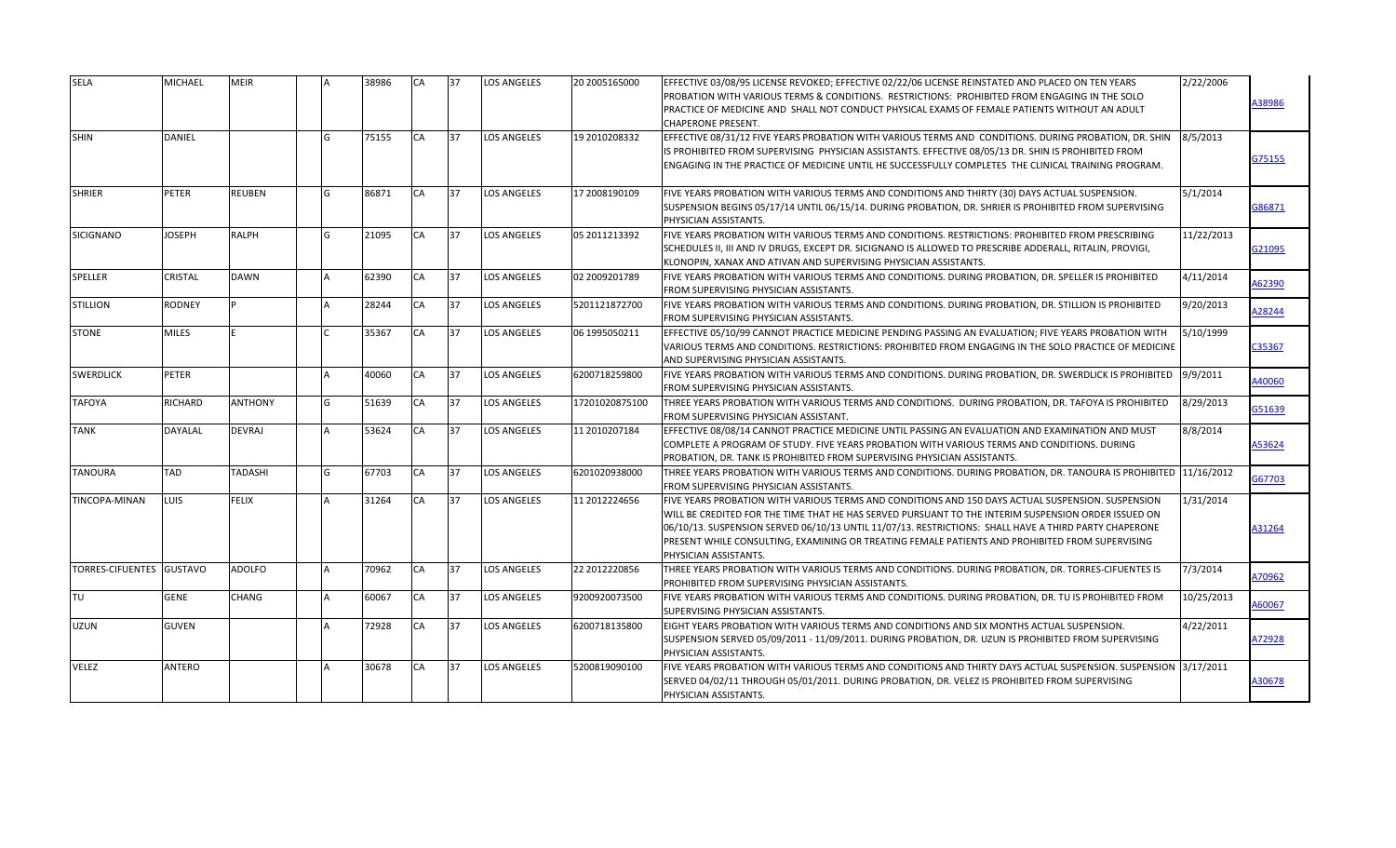| <b>SELA</b>              | <b>MICHAEL</b> | <b>MEIR</b>    | 38986 | <b>CA</b> | 37 | <b>LOS ANGELES</b> | 20 2005165000  | EFFECTIVE 03/08/95 LICENSE REVOKED; EFFECTIVE 02/22/06 LICENSE REINSTATED AND PLACED ON TEN YEARS<br>PROBATION WITH VARIOUS TERMS & CONDITIONS.  RESTRICTIONS:  PROHIBITED FROM ENGAGING IN THE SOLO<br>PRACTICE OF MEDICINE AND SHALL NOT CONDUCT PHYSICAL EXAMS OF FEMALE PATIENTS WITHOUT AN ADULT<br><b>CHAPERONE PRESENT.</b>                                                                                                            | 2/22/2006  | A38986 |
|--------------------------|----------------|----------------|-------|-----------|----|--------------------|----------------|-----------------------------------------------------------------------------------------------------------------------------------------------------------------------------------------------------------------------------------------------------------------------------------------------------------------------------------------------------------------------------------------------------------------------------------------------|------------|--------|
| <b>SHIN</b>              | <b>DANIEL</b>  |                | 75155 | CA        | 37 | <b>LOS ANGELES</b> | 19 2010208332  | EFFECTIVE 08/31/12 FIVE YEARS PROBATION WITH VARIOUS TERMS AND CONDITIONS. DURING PROBATION, DR. SHIN<br>IS PROHIBITED FROM SUPERVISING PHYSICIAN ASSISTANTS. EFFECTIVE 08/05/13 DR. SHIN IS PROHIBITED FROM<br>ENGAGING IN THE PRACTICE OF MEDICINE UNTIL HE SUCCESSFULLY COMPLETES THE CLINICAL TRAINING PROGRAM.                                                                                                                           | 8/5/2013   | 375155 |
| <b>SHRIER</b>            | <b>PETER</b>   | <b>REUBEN</b>  | 86871 | CA        | 37 | <b>LOS ANGELES</b> | 17 2008190109  | FIVE YEARS PROBATION WITH VARIOUS TERMS AND CONDITIONS AND THIRTY (30) DAYS ACTUAL SUSPENSION.<br>SUSPENSION BEGINS 05/17/14 UNTIL 06/15/14. DURING PROBATION, DR. SHRIER IS PROHIBITED FROM SUPERVISING<br>PHYSICIAN ASSISTANTS.                                                                                                                                                                                                             | 5/1/2014   | 386871 |
| SICIGNANO                | <b>JOSEPH</b>  | <b>RALPH</b>   | 21095 | CA        | 37 | <b>LOS ANGELES</b> | 05 2011213392  | FIVE YEARS PROBATION WITH VARIOUS TERMS AND CONDITIONS. RESTRICTIONS: PROHIBITED FROM PRESCRIBING<br>SCHEDULES II, III AND IV DRUGS, EXCEPT DR. SICIGNANO IS ALLOWED TO PRESCRIBE ADDERALL, RITALIN, PROVIGI,<br>KLONOPIN, XANAX AND ATIVAN AND SUPERVISING PHYSICIAN ASSISTANTS.                                                                                                                                                             | 11/22/2013 | 321095 |
| <b>SPELLER</b>           | <b>CRISTAL</b> | <b>DAWN</b>    | 62390 | CA        | 37 | <b>LOS ANGELES</b> | 02 2009201789  | FIVE YEARS PROBATION WITH VARIOUS TERMS AND CONDITIONS. DURING PROBATION, DR. SPELLER IS PROHIBITED<br>FROM SUPERVISING PHYSICIAN ASSISTANTS.                                                                                                                                                                                                                                                                                                 | 4/11/2014  | 462390 |
| <b>STILLION</b>          | <b>RODNEY</b>  | l p            | 28244 | CA        | 37 | <b>LOS ANGELES</b> | 5201121872700  | FIVE YEARS PROBATION WITH VARIOUS TERMS AND CONDITIONS. DURING PROBATION, DR. STILLION IS PROHIBITED<br>FROM SUPERVISING PHYSICIAN ASSISTANTS.                                                                                                                                                                                                                                                                                                | 9/20/2013  | A28244 |
| <b>STONE</b>             | <b>MILES</b>   |                | 35367 | CA        | 37 | <b>LOS ANGELES</b> | 06 1995050211  | EFFECTIVE 05/10/99 CANNOT PRACTICE MEDICINE PENDING PASSING AN EVALUATION; FIVE YEARS PROBATION WITH<br>VARIOUS TERMS AND CONDITIONS. RESTRICTIONS: PROHIBITED FROM ENGAGING IN THE SOLO PRACTICE OF MEDICINE<br>AND SUPERVISING PHYSICIAN ASSISTANTS.                                                                                                                                                                                        | 5/10/1999  | C35367 |
| <b>SWERDLICK</b>         | PETER          |                | 40060 | CA        | 37 | <b>LOS ANGELES</b> | 6200718259800  | FIVE YEARS PROBATION WITH VARIOUS TERMS AND CONDITIONS. DURING PROBATION, DR. SWERDLICK IS PROHIBITED<br>FROM SUPERVISING PHYSICIAN ASSISTANTS.                                                                                                                                                                                                                                                                                               | 9/9/2011   | 440060 |
| <b>TAFOYA</b>            | RICHARD        | <b>ANTHONY</b> | 51639 | CA        | 37 | <b>LOS ANGELES</b> | 17201020875100 | THREE YEARS PROBATION WITH VARIOUS TERMS AND CONDITIONS. DURING PROBATION, DR. TAFOYA IS PROHIBITED<br>FROM SUPERVISING PHYSICIAN ASSISTANT.                                                                                                                                                                                                                                                                                                  | 8/29/2013  | G51639 |
| <b>TANK</b>              | <b>DAYALAL</b> | <b>DEVRAJ</b>  | 53624 | CA        | 37 | <b>LOS ANGELES</b> | 11 2010207184  | EFFECTIVE 08/08/14 CANNOT PRACTICE MEDICINE UNTIL PASSING AN EVALUATION AND EXAMINATION AND MUST<br>COMPLETE A PROGRAM OF STUDY. FIVE YEARS PROBATION WITH VARIOUS TERMS AND CONDITIONS. DURING<br>PROBATION, DR. TANK IS PROHIBITED FROM SUPERVISING PHYSICIAN ASSISTANTS.                                                                                                                                                                   | 8/8/2014   | A53624 |
| <b>TANOURA</b>           | <b>TAD</b>     | <b>TADASHI</b> | 67703 | CA        | 37 | <b>LOS ANGELES</b> | 6201020938000  | THREE YEARS PROBATION WITH VARIOUS TERMS AND CONDITIONS. DURING PROBATION, DR. TANOURA IS PROHIBITED  11/16/2012<br>FROM SUPERVISING PHYSICIAN ASSISTANTS.                                                                                                                                                                                                                                                                                    |            | 367703 |
| <b>TINCOPA-MINAN</b>     | LUIS           | <b>FELIX</b>   | 31264 | CA        | 37 | <b>LOS ANGELES</b> | 11 2012224656  | FIVE YEARS PROBATION WITH VARIOUS TERMS AND CONDITIONS AND 150 DAYS ACTUAL SUSPENSION. SUSPENSION<br>WILL BE CREDITED FOR THE TIME THAT HE HAS SERVED PURSUANT TO THE INTERIM SUSPENSION ORDER ISSUED ON<br>06/10/13. SUSPENSION SERVED 06/10/13 UNTIL 11/07/13. RESTRICTIONS: SHALL HAVE A THIRD PARTY CHAPERONE<br>PRESENT WHILE CONSULTING, EXAMINING OR TREATING FEMALE PATIENTS AND PROHIBITED FROM SUPERVISING<br>PHYSICIAN ASSISTANTS. | 1/31/2014  | A31264 |
| TORRES-CIFUENTES GUSTAVO |                | <b>ADOLFO</b>  | 70962 | <b>CA</b> | 37 | <b>LOS ANGELES</b> | 22 2012220856  | THREE YEARS PROBATION WITH VARIOUS TERMS AND CONDITIONS. DURING PROBATION, DR. TORRES-CIFUENTES IS<br>PROHIBITED FROM SUPERVISING PHYSICIAN ASSISTANTS.                                                                                                                                                                                                                                                                                       | 7/3/2014   | 170962 |
| TU                       | <b>GENE</b>    | <b>CHANG</b>   | 60067 | CA        | 37 | <b>LOS ANGELES</b> | 9200920073500  | FIVE YEARS PROBATION WITH VARIOUS TERMS AND CONDITIONS. DURING PROBATION, DR. TU IS PROHIBITED FROM<br>SUPERVISING PHYSICIAN ASSISTANTS.                                                                                                                                                                                                                                                                                                      | 10/25/2013 | A60067 |
| UZUN                     | <b>GUVEN</b>   |                | 72928 | CA        | 37 | <b>LOS ANGELES</b> | 6200718135800  | EIGHT YEARS PROBATION WITH VARIOUS TERMS AND CONDITIONS AND SIX MONTHS ACTUAL SUSPENSION.<br>SUSPENSION SERVED 05/09/2011 - 11/09/2011. DURING PROBATION, DR. UZUN IS PROHIBITED FROM SUPERVISING<br>PHYSICIAN ASSISTANTS.                                                                                                                                                                                                                    | 4/22/2011  | 472928 |
| <b>VELEZ</b>             | <b>ANTERO</b>  |                | 30678 | CA        | 37 | <b>LOS ANGELES</b> | 5200819090100  | FIVE YEARS PROBATION WITH VARIOUS TERMS AND CONDITIONS AND THIRTY DAYS ACTUAL SUSPENSION. SUSPENSION 13/17/2011<br>SERVED 04/02/11 THROUGH 05/01/2011. DURING PROBATION, DR. VELEZ IS PROHIBITED FROM SUPERVISING<br>PHYSICIAN ASSISTANTS.                                                                                                                                                                                                    |            | A30678 |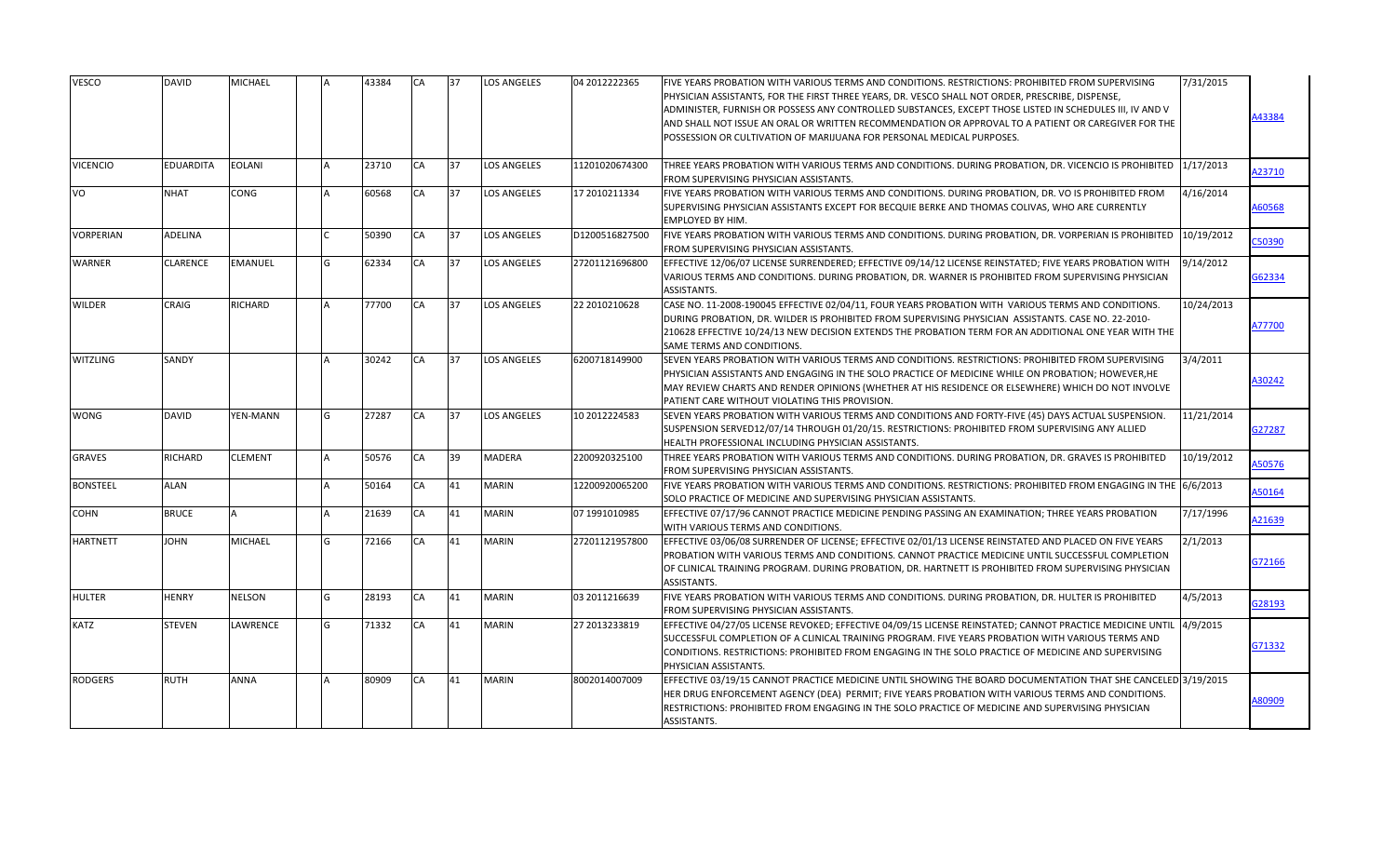| <b>VESCO</b>     | <b>DAVID</b>     | MICHAEL        |    | 43384 | CA        | 37 | <b>LOS ANGELES</b> | 04 2012222365  | FIVE YEARS PROBATION WITH VARIOUS TERMS AND CONDITIONS. RESTRICTIONS: PROHIBITED FROM SUPERVISING<br>PHYSICIAN ASSISTANTS, FOR THE FIRST THREE YEARS, DR. VESCO SHALL NOT ORDER, PRESCRIBE, DISPENSE,<br>ADMINISTER, FURNISH OR POSSESS ANY CONTROLLED SUBSTANCES, EXCEPT THOSE LISTED IN SCHEDULES III, IV AND V<br>AND SHALL NOT ISSUE AN ORAL OR WRITTEN RECOMMENDATION OR APPROVAL TO A PATIENT OR CAREGIVER FOR THE<br>POSSESSION OR CULTIVATION OF MARIJUANA FOR PERSONAL MEDICAL PURPOSES. | 7/31/2015  | 43384  |
|------------------|------------------|----------------|----|-------|-----------|----|--------------------|----------------|---------------------------------------------------------------------------------------------------------------------------------------------------------------------------------------------------------------------------------------------------------------------------------------------------------------------------------------------------------------------------------------------------------------------------------------------------------------------------------------------------|------------|--------|
| <b>VICENCIO</b>  | <b>EDUARDITA</b> | <b>EOLANI</b>  |    | 23710 | CA        | 37 | <b>LOS ANGELES</b> | 11201020674300 | THREE YEARS PROBATION WITH VARIOUS TERMS AND CONDITIONS. DURING PROBATION, DR. VICENCIO IS PROHIBITED<br>FROM SUPERVISING PHYSICIAN ASSISTANTS.                                                                                                                                                                                                                                                                                                                                                   | 1/17/2013  | 423710 |
| VO               | <b>NHAT</b>      | CONG           |    | 60568 | CA        | 37 | <b>LOS ANGELES</b> | 17 2010211334  | FIVE YEARS PROBATION WITH VARIOUS TERMS AND CONDITIONS. DURING PROBATION, DR. VO IS PROHIBITED FROM<br>SUPERVISING PHYSICIAN ASSISTANTS EXCEPT FOR BECQUIE BERKE AND THOMAS COLIVAS, WHO ARE CURRENTLY<br><b>EMPLOYED BY HIM.</b>                                                                                                                                                                                                                                                                 | 4/16/2014  | 160568 |
| <b>VORPERIAN</b> | ADELINA          |                |    | 50390 | CA        | 37 | <b>LOS ANGELES</b> | D1200516827500 | FIVE YEARS PROBATION WITH VARIOUS TERMS AND CONDITIONS. DURING PROBATION, DR. VORPERIAN IS PROHIBITED<br>FROM SUPERVISING PHYSICIAN ASSISTANTS.                                                                                                                                                                                                                                                                                                                                                   | 10/19/2012 | 250390 |
| <b>WARNER</b>    | <b>CLARENCE</b>  | EMANUEL        | G  | 62334 | <b>CA</b> | 37 | <b>LOS ANGELES</b> | 27201121696800 | EFFECTIVE 12/06/07 LICENSE SURRENDERED; EFFECTIVE 09/14/12 LICENSE REINSTATED; FIVE YEARS PROBATION WITH<br>VARIOUS TERMS AND CONDITIONS. DURING PROBATION, DR. WARNER IS PROHIBITED FROM SUPERVISING PHYSICIAN<br>ASSISTANTS.                                                                                                                                                                                                                                                                    | 9/14/2012  | 362334 |
| <b>WILDER</b>    | <b>CRAIG</b>     | RICHARD        |    | 77700 | CA        | 37 | <b>LOS ANGELES</b> | 22 2010210628  | CASE NO. 11-2008-190045 EFFECTIVE 02/04/11, FOUR YEARS PROBATION WITH VARIOUS TERMS AND CONDITIONS.<br>DURING PROBATION, DR. WILDER IS PROHIBITED FROM SUPERVISING PHYSICIAN ASSISTANTS. CASE NO. 22-2010-<br>210628 EFFECTIVE 10/24/13 NEW DECISION EXTENDS THE PROBATION TERM FOR AN ADDITIONAL ONE YEAR WITH THE<br>SAME TERMS AND CONDITIONS.                                                                                                                                                 | 10/24/2013 | 177700 |
| <b>WITZLING</b>  | SANDY            |                |    | 30242 | CA        | 37 | <b>LOS ANGELES</b> | 6200718149900  | SEVEN YEARS PROBATION WITH VARIOUS TERMS AND CONDITIONS. RESTRICTIONS: PROHIBITED FROM SUPERVISING<br>PHYSICIAN ASSISTANTS AND ENGAGING IN THE SOLO PRACTICE OF MEDICINE WHILE ON PROBATION; HOWEVER, HE<br>MAY REVIEW CHARTS AND RENDER OPINIONS (WHETHER AT HIS RESIDENCE OR ELSEWHERE) WHICH DO NOT INVOLVE<br>PATIENT CARE WITHOUT VIOLATING THIS PROVISION.                                                                                                                                  | 3/4/2011   | 30242  |
| <b>WONG</b>      | <b>DAVID</b>     | YEN-MANN       | G. | 27287 | CA        | 37 | <b>LOS ANGELES</b> | 10 2012224583  | SEVEN YEARS PROBATION WITH VARIOUS TERMS AND CONDITIONS AND FORTY-FIVE (45) DAYS ACTUAL SUSPENSION.<br>SUSPENSION SERVED12/07/14 THROUGH 01/20/15. RESTRICTIONS: PROHIBITED FROM SUPERVISING ANY ALLIED<br>HEALTH PROFESSIONAL INCLUDING PHYSICIAN ASSISTANTS.                                                                                                                                                                                                                                    | 11/21/2014 | 327287 |
| <b>GRAVES</b>    | <b>RICHARD</b>   | <b>CLEMENT</b> |    | 50576 | CA        | 39 | <b>MADERA</b>      | 2200920325100  | THREE YEARS PROBATION WITH VARIOUS TERMS AND CONDITIONS. DURING PROBATION, DR. GRAVES IS PROHIBITED<br><b>FROM SUPERVISING PHYSICIAN ASSISTANTS.</b>                                                                                                                                                                                                                                                                                                                                              | 10/19/2012 | A50576 |
| <b>BONSTEEL</b>  | <b>ALAN</b>      |                |    | 50164 | CA        | 41 | <b>MARIN</b>       | 12200920065200 | FIVE YEARS PROBATION WITH VARIOUS TERMS AND CONDITIONS. RESTRICTIONS: PROHIBITED FROM ENGAGING IN THE 6/6/2013<br>SOLO PRACTICE OF MEDICINE AND SUPERVISING PHYSICIAN ASSISTANTS.                                                                                                                                                                                                                                                                                                                 |            | A50164 |
| <b>COHN</b>      | <b>BRUCE</b>     | Δ              |    | 21639 | CA        | 41 | <b>MARIN</b>       | 07 1991010985  | EFFECTIVE 07/17/96 CANNOT PRACTICE MEDICINE PENDING PASSING AN EXAMINATION; THREE YEARS PROBATION<br>WITH VARIOUS TERMS AND CONDITIONS.                                                                                                                                                                                                                                                                                                                                                           | 7/17/1996  | 421639 |
| <b>HARTNETT</b>  | <b>JOHN</b>      | MICHAEL        |    | 72166 | <b>CA</b> | 41 | <b>MARIN</b>       | 27201121957800 | EFFECTIVE 03/06/08 SURRENDER OF LICENSE; EFFECTIVE 02/01/13 LICENSE REINSTATED AND PLACED ON FIVE YEARS<br>PROBATION WITH VARIOUS TERMS AND CONDITIONS. CANNOT PRACTICE MEDICINE UNTIL SUCCESSFUL COMPLETION<br>OF CLINICAL TRAINING PROGRAM. DURING PROBATION, DR. HARTNETT IS PROHIBITED FROM SUPERVISING PHYSICIAN<br>ASSISTANTS.                                                                                                                                                              | 2/1/2013   | G72166 |
| <b>HULTER</b>    | <b>HENRY</b>     | NELSON         | G  | 28193 | CA        | 41 | <b>MARIN</b>       | 03 2011216639  | FIVE YEARS PROBATION WITH VARIOUS TERMS AND CONDITIONS. DURING PROBATION, DR. HULTER IS PROHIBITED<br>FROM SUPERVISING PHYSICIAN ASSISTANTS.                                                                                                                                                                                                                                                                                                                                                      | 4/5/2013   | G28193 |
| <b>KATZ</b>      | <b>STEVEN</b>    | LAWRENCE       | G  | 71332 | CA        | 41 | <b>MARIN</b>       | 27 2013233819  | EFFECTIVE 04/27/05 LICENSE REVOKED; EFFECTIVE 04/09/15 LICENSE REINSTATED; CANNOT PRACTICE MEDICINE UNTIL  4/9/2015<br>SUCCESSFUL COMPLETION OF A CLINICAL TRAINING PROGRAM. FIVE YEARS PROBATION WITH VARIOUS TERMS AND<br>CONDITIONS. RESTRICTIONS: PROHIBITED FROM ENGAGING IN THE SOLO PRACTICE OF MEDICINE AND SUPERVISING<br>PHYSICIAN ASSISTANTS.                                                                                                                                          |            | G71332 |
| <b>RODGERS</b>   | <b>RUTH</b>      | ANNA           |    | 80909 | CA        | 41 | <b>MARIN</b>       | 8002014007009  | EFFECTIVE 03/19/15 CANNOT PRACTICE MEDICINE UNTIL SHOWING THE BOARD DOCUMENTATION THAT SHE CANCELED 3/19/2015<br>HER DRUG ENFORCEMENT AGENCY (DEA) PERMIT; FIVE YEARS PROBATION WITH VARIOUS TERMS AND CONDITIONS.<br>RESTRICTIONS: PROHIBITED FROM ENGAGING IN THE SOLO PRACTICE OF MEDICINE AND SUPERVISING PHYSICIAN<br>ASSISTANTS.                                                                                                                                                            |            | 180909 |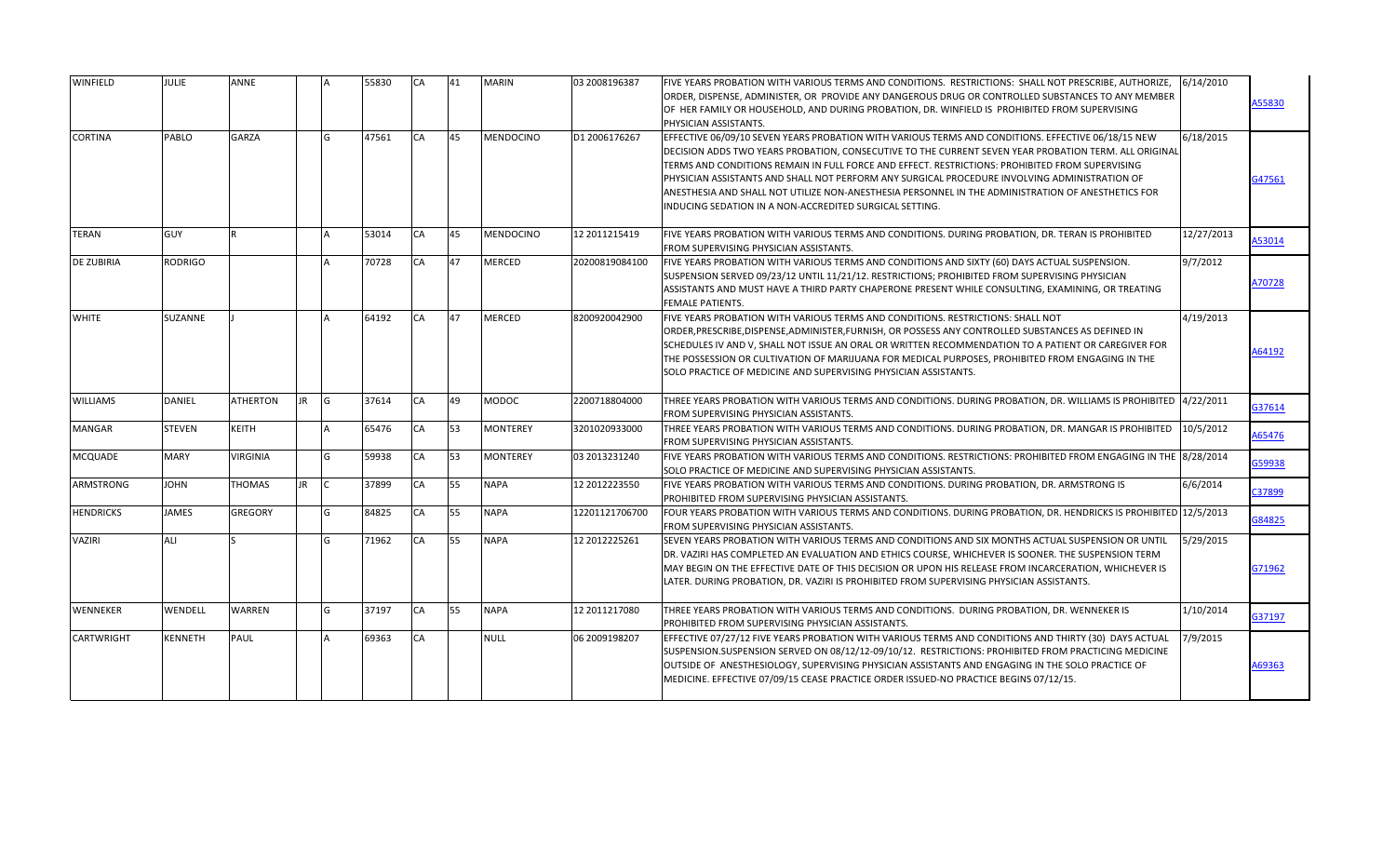| <b>WINFIELD</b>   | <b>JULIE</b>   | ANNE            |           | 55830 | <b>CA</b> | 41 | <b>MARIN</b>     | 03 2008196387  | FIVE YEARS PROBATION WITH VARIOUS TERMS AND CONDITIONS. RESTRICTIONS: SHALL NOT PRESCRIBE, AUTHORIZE,<br>ORDER, DISPENSE, ADMINISTER, OR  PROVIDE ANY DANGEROUS DRUG OR CONTROLLED SUBSTANCES TO ANY MEMBER <br>OF HER FAMILY OR HOUSEHOLD, AND DURING PROBATION, DR. WINFIELD IS PROHIBITED FROM SUPERVISING<br>PHYSICIAN ASSISTANTS.                                                                                                                                                                                                                                           | 6/14/2010  | A55830 |
|-------------------|----------------|-----------------|-----------|-------|-----------|----|------------------|----------------|----------------------------------------------------------------------------------------------------------------------------------------------------------------------------------------------------------------------------------------------------------------------------------------------------------------------------------------------------------------------------------------------------------------------------------------------------------------------------------------------------------------------------------------------------------------------------------|------------|--------|
| <b>CORTINA</b>    | PABLO          | <b>GARZA</b>    |           | 47561 | CA        | 45 | <b>MENDOCINO</b> | D1 2006176267  | EFFECTIVE 06/09/10 SEVEN YEARS PROBATION WITH VARIOUS TERMS AND CONDITIONS. EFFECTIVE 06/18/15 NEW<br>DECISION ADDS TWO YEARS PROBATION, CONSECUTIVE TO THE CURRENT SEVEN YEAR PROBATION TERM. ALL ORIGINAL<br>TERMS AND CONDITIONS REMAIN IN FULL FORCE AND EFFECT. RESTRICTIONS: PROHIBITED FROM SUPERVISING<br>PHYSICIAN ASSISTANTS AND SHALL NOT PERFORM ANY SURGICAL PROCEDURE INVOLVING ADMINISTRATION OF<br>ANESTHESIA AND SHALL NOT UTILIZE NON-ANESTHESIA PERSONNEL IN THE ADMINISTRATION OF ANESTHETICS FOR<br>INDUCING SEDATION IN A NON-ACCREDITED SURGICAL SETTING. | 6/18/2015  | G47561 |
| <b>TERAN</b>      | GUY            | R               |           | 53014 | CA        | 45 | <b>MENDOCINO</b> | 12 2011215419  | FIVE YEARS PROBATION WITH VARIOUS TERMS AND CONDITIONS. DURING PROBATION, DR. TERAN IS PROHIBITED<br>FROM SUPERVISING PHYSICIAN ASSISTANTS.                                                                                                                                                                                                                                                                                                                                                                                                                                      | 12/27/2013 | A53014 |
| <b>DE ZUBIRIA</b> | <b>RODRIGO</b> |                 |           | 70728 | CA        | 47 | <b>MERCED</b>    | 20200819084100 | FIVE YEARS PROBATION WITH VARIOUS TERMS AND CONDITIONS AND SIXTY (60) DAYS ACTUAL SUSPENSION.<br>SUSPENSION SERVED 09/23/12 UNTIL 11/21/12. RESTRICTIONS; PROHIBITED FROM SUPERVISING PHYSICIAN<br>ASSISTANTS AND MUST HAVE A THIRD PARTY CHAPERONE PRESENT WHILE CONSULTING, EXAMINING, OR TREATING<br><b>FEMALE PATIENTS.</b>                                                                                                                                                                                                                                                  | 9/7/2012   | A70728 |
| <b>WHITE</b>      | SUZANNE        |                 |           | 64192 | <b>CA</b> | 47 | <b>MERCED</b>    | 8200920042900  | FIVE YEARS PROBATION WITH VARIOUS TERMS AND CONDITIONS. RESTRICTIONS: SHALL NOT<br>ORDER, PRESCRIBE, DISPENSE, ADMINISTER, FURNISH, OR POSSESS ANY CONTROLLED SUBSTANCES AS DEFINED IN<br>SCHEDULES IV AND V, SHALL NOT ISSUE AN ORAL OR WRITTEN RECOMMENDATION TO A PATIENT OR CAREGIVER FOR<br>THE POSSESSION OR CULTIVATION OF MARIJUANA FOR MEDICAL PURPOSES, PROHIBITED FROM ENGAGING IN THE<br>SOLO PRACTICE OF MEDICINE AND SUPERVISING PHYSICIAN ASSISTANTS.                                                                                                             | 4/19/2013  | A64192 |
| <b>WILLIAMS</b>   | <b>DANIEL</b>  | <b>ATHERTON</b> | <b>JR</b> | 37614 | CA        | 49 | <b>MODOC</b>     | 2200718804000  | THREE YEARS PROBATION WITH VARIOUS TERMS AND CONDITIONS. DURING PROBATION, DR. WILLIAMS IS PROHIBITED  4/22/2011<br>FROM SUPERVISING PHYSICIAN ASSISTANTS.                                                                                                                                                                                                                                                                                                                                                                                                                       |            | G37614 |
| <b>MANGAR</b>     | <b>STEVEN</b>  | KEITH           |           | 65476 | CA        | 53 | <b>MONTEREY</b>  | 3201020933000  | THREE YEARS PROBATION WITH VARIOUS TERMS AND CONDITIONS. DURING PROBATION, DR. MANGAR IS PROHIBITED<br>FROM SUPERVISING PHYSICIAN ASSISTANTS.                                                                                                                                                                                                                                                                                                                                                                                                                                    | 10/5/2012  | A65476 |
| <b>MCQUADE</b>    | <b>MARY</b>    | VIRGINIA        |           | 59938 | CA        | 53 | <b>MONTEREY</b>  | 03 2013231240  | FIVE YEARS PROBATION WITH VARIOUS TERMS AND CONDITIONS. RESTRICTIONS: PROHIBITED FROM ENGAGING IN THE 8/28/2014<br>SOLO PRACTICE OF MEDICINE AND SUPERVISING PHYSICIAN ASSISTANTS.                                                                                                                                                                                                                                                                                                                                                                                               |            | G59938 |
| <b>ARMSTRONG</b>  | <b>JOHN</b>    | THOMAS          | JR.       | 37899 | <b>CA</b> | 55 | <b>NAPA</b>      | 12 2012223550  | FIVE YEARS PROBATION WITH VARIOUS TERMS AND CONDITIONS. DURING PROBATION, DR. ARMSTRONG IS<br>PROHIBITED FROM SUPERVISING PHYSICIAN ASSISTANTS.                                                                                                                                                                                                                                                                                                                                                                                                                                  | 6/6/2014   | C37899 |
| <b>HENDRICKS</b>  | <b>JAMES</b>   | GREGORY         |           | 84825 | CA        | 55 | <b>NAPA</b>      | 12201121706700 | FOUR YEARS PROBATION WITH VARIOUS TERMS AND CONDITIONS. DURING PROBATION, DR. HENDRICKS IS PROHIBITED 12/5/2013<br>FROM SUPERVISING PHYSICIAN ASSISTANTS.                                                                                                                                                                                                                                                                                                                                                                                                                        |            | G84825 |
| <b>VAZIRI</b>     | ALI            |                 |           | 71962 | CA        | 55 | <b>NAPA</b>      | 12 2012225261  | SEVEN YEARS PROBATION WITH VARIOUS TERMS AND CONDITIONS AND SIX MONTHS ACTUAL SUSPENSION OR UNTIL<br>DR. VAZIRI HAS COMPLETED AN EVALUATION AND ETHICS COURSE, WHICHEVER IS SOONER. THE SUSPENSION TERM<br>MAY BEGIN ON THE EFFECTIVE DATE OF THIS DECISION OR UPON HIS RELEASE FROM INCARCERATION, WHICHEVER IS<br>LATER. DURING PROBATION, DR. VAZIRI IS PROHIBITED FROM SUPERVISING PHYSICIAN ASSISTANTS.                                                                                                                                                                     | 5/29/2015  | G71962 |
| WENNEKER          | WENDELL        | WARREN          |           | 37197 | <b>CA</b> | 55 | <b>NAPA</b>      | 12 2011217080  | THREE YEARS PROBATION WITH VARIOUS TERMS AND CONDITIONS. DURING PROBATION, DR. WENNEKER IS<br>PROHIBITED FROM SUPERVISING PHYSICIAN ASSISTANTS.                                                                                                                                                                                                                                                                                                                                                                                                                                  | 1/10/2014  | G37197 |
| <b>CARTWRIGHT</b> | <b>KENNETH</b> | <b>PAUL</b>     |           | 69363 | CA        |    | <b>NULL</b>      | 06 2009198207  | EFFECTIVE 07/27/12 FIVE YEARS PROBATION WITH VARIOUS TERMS AND CONDITIONS AND THIRTY (30) DAYS ACTUAL<br>SUSPENSION.SUSPENSION SERVED ON 08/12/12-09/10/12. RESTRICTIONS: PROHIBITED FROM PRACTICING MEDICINE<br>OUTSIDE OF ANESTHESIOLOGY, SUPERVISING PHYSICIAN ASSISTANTS AND ENGAGING IN THE SOLO PRACTICE OF<br>MEDICINE. EFFECTIVE 07/09/15 CEASE PRACTICE ORDER ISSUED-NO PRACTICE BEGINS 07/12/15.                                                                                                                                                                       | 7/9/2015   | A69363 |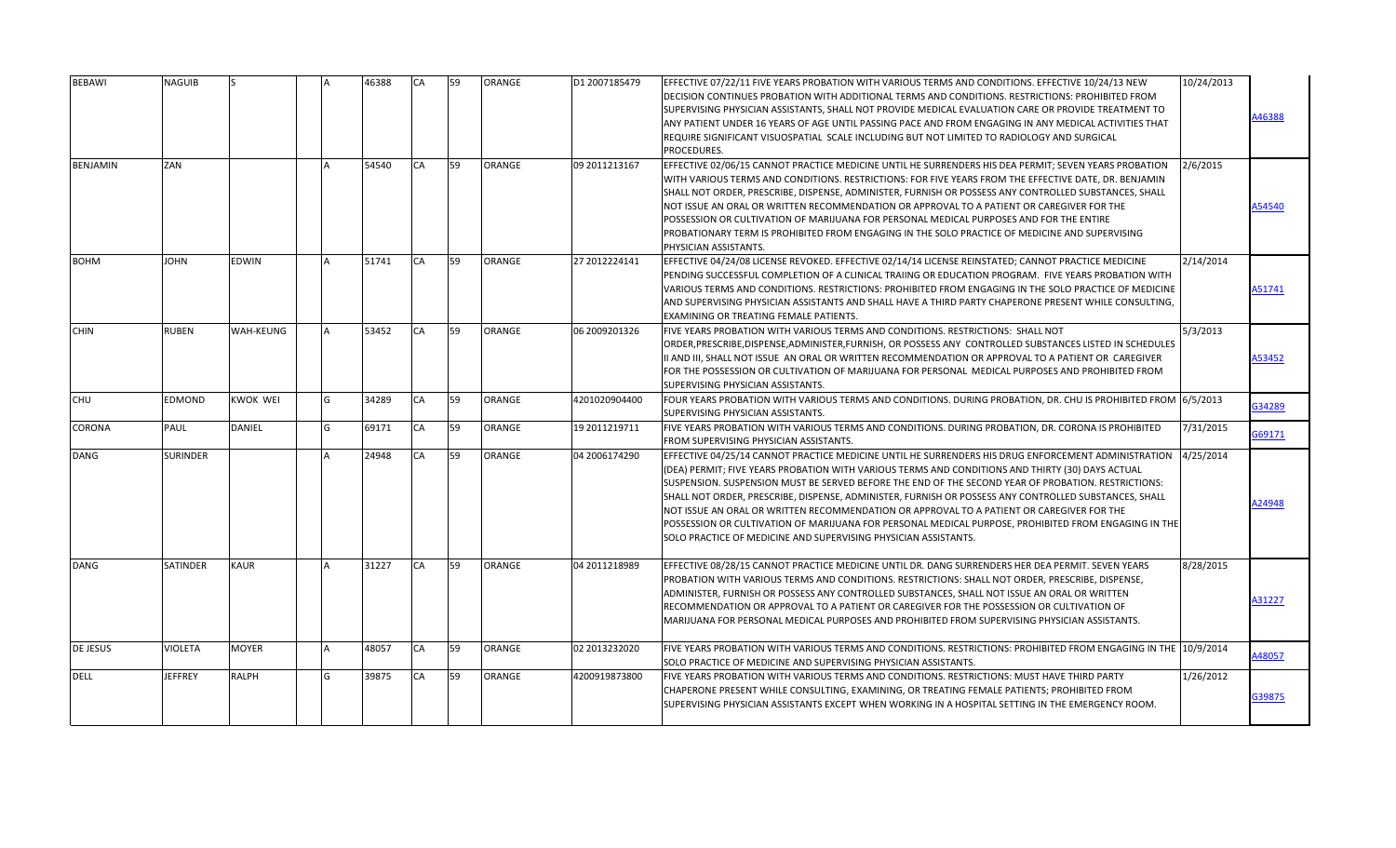| <b>BEBAWI</b>   | NAGUIB          |                 |   | 46388 | <b>CA</b> | 59 | <b>ORANGE</b> | D1 2007185479   | EFFECTIVE 07/22/11 FIVE YEARS PROBATION WITH VARIOUS TERMS AND CONDITIONS. EFFECTIVE 10/24/13 NEW<br>DECISION CONTINUES PROBATION WITH ADDITIONAL TERMS AND CONDITIONS. RESTRICTIONS: PROHIBITED FROM<br>SUPERVISING PHYSICIAN ASSISTANTS, SHALL NOT PROVIDE MEDICAL EVALUATION CARE OR PROVIDE TREATMENT TO<br>ANY PATIENT UNDER 16 YEARS OF AGE UNTIL PASSING PACE AND FROM ENGAGING IN ANY MEDICAL ACTIVITIES THAT<br>REQUIRE SIGNIFICANT VISUOSPATIAL SCALE INCLUDING BUT NOT LIMITED TO RADIOLOGY AND SURGICAL<br>PROCEDURES.                                                                                                                                                              | 10/24/2013 | 46388  |
|-----------------|-----------------|-----------------|---|-------|-----------|----|---------------|-----------------|-------------------------------------------------------------------------------------------------------------------------------------------------------------------------------------------------------------------------------------------------------------------------------------------------------------------------------------------------------------------------------------------------------------------------------------------------------------------------------------------------------------------------------------------------------------------------------------------------------------------------------------------------------------------------------------------------|------------|--------|
| <b>BENJAMIN</b> | ZAN             |                 |   | 54540 | CA        | 59 | <b>ORANGE</b> | 09 2011213167   | EFFECTIVE 02/06/15 CANNOT PRACTICE MEDICINE UNTIL HE SURRENDERS HIS DEA PERMIT; SEVEN YEARS PROBATION<br>WITH VARIOUS TERMS AND CONDITIONS. RESTRICTIONS: FOR FIVE YEARS FROM THE EFFECTIVE DATE, DR. BENJAMIN<br>SHALL NOT ORDER, PRESCRIBE, DISPENSE, ADMINISTER, FURNISH OR POSSESS ANY CONTROLLED SUBSTANCES, SHALL<br>NOT ISSUE AN ORAL OR WRITTEN RECOMMENDATION OR APPROVAL TO A PATIENT OR CAREGIVER FOR THE<br>POSSESSION OR CULTIVATION OF MARIJUANA FOR PERSONAL MEDICAL PURPOSES AND FOR THE ENTIRE<br>PROBATIONARY TERM IS PROHIBITED FROM ENGAGING IN THE SOLO PRACTICE OF MEDICINE AND SUPERVISING<br>PHYSICIAN ASSISTANTS.                                                      | 2/6/2015   | 454540 |
| <b>BOHM</b>     | <b>JOHN</b>     | EDWIN           |   | 51741 | CA        | 59 | <b>ORANGE</b> | 27 2012224141   | EFFECTIVE 04/24/08 LICENSE REVOKED. EFFECTIVE 02/14/14 LICENSE REINSTATED; CANNOT PRACTICE MEDICINE<br>PENDING SUCCESSFUL COMPLETION OF A CLINICAL TRAIING OR EDUCATION PROGRAM. FIVE YEARS PROBATION WITH<br>VARIOUS TERMS AND CONDITIONS. RESTRICTIONS: PROHIBITED FROM ENGAGING IN THE SOLO PRACTICE OF MEDICINE<br>AND SUPERVISING PHYSICIAN ASSISTANTS AND SHALL HAVE A THIRD PARTY CHAPERONE PRESENT WHILE CONSULTING,<br>EXAMINING OR TREATING FEMALE PATIENTS.                                                                                                                                                                                                                          | 2/14/2014  | A51741 |
| <b>CHIN</b>     | <b>RUBEN</b>    | WAH-KEUNG       |   | 53452 | CA        | 59 | <b>ORANGE</b> | 06 2009 2013 26 | FIVE YEARS PROBATION WITH VARIOUS TERMS AND CONDITIONS. RESTRICTIONS: SHALL NOT<br>ORDER, PRESCRIBE, DISPENSE, ADMINISTER, FURNISH, OR POSSESS ANY CONTROLLED SUBSTANCES LISTED IN SCHEDULES<br>II AND III, SHALL NOT ISSUE AN ORAL OR WRITTEN RECOMMENDATION OR APPROVAL TO A PATIENT OR CAREGIVER<br>FOR THE POSSESSION OR CULTIVATION OF MARIJUANA FOR PERSONAL MEDICAL PURPOSES AND PROHIBITED FROM<br>SUPERVISING PHYSICIAN ASSISTANTS.                                                                                                                                                                                                                                                    | 5/3/2013   | 453452 |
| <b>CHU</b>      | EDMOND          | <b>KWOK WEI</b> | G | 34289 | CA        | 59 | <b>ORANGE</b> | 4201020904400   | FOUR YEARS PROBATION WITH VARIOUS TERMS AND CONDITIONS. DURING PROBATION, DR. CHU IS PROHIBITED FROM 6/5/2013<br>SUPERVISING PHYSICIAN ASSISTANTS.                                                                                                                                                                                                                                                                                                                                                                                                                                                                                                                                              |            | G34289 |
| <b>CORONA</b>   | PAUL            | DANIEL          | G | 69171 | CA        | 59 | <b>ORANGE</b> | 19 2011219711   | FIVE YEARS PROBATION WITH VARIOUS TERMS AND CONDITIONS. DURING PROBATION, DR. CORONA IS PROHIBITED<br><b>FROM SUPERVISING PHYSICIAN ASSISTANTS.</b>                                                                                                                                                                                                                                                                                                                                                                                                                                                                                                                                             | 7/31/2015  | G69171 |
| DANG            | <b>SURINDER</b> |                 |   | 24948 | CA        | 59 | <b>ORANGE</b> | 04 2006174290   | EFFECTIVE 04/25/14 CANNOT PRACTICE MEDICINE UNTIL HE SURRENDERS HIS DRUG ENFORCEMENT ADMINISTRATION<br>(DEA) PERMIT; FIVE YEARS PROBATION WITH VARIOUS TERMS AND CONDITIONS AND THIRTY (30) DAYS ACTUAL<br>SUSPENSION. SUSPENSION MUST BE SERVED BEFORE THE END OF THE SECOND YEAR OF PROBATION. RESTRICTIONS:<br>SHALL NOT ORDER, PRESCRIBE, DISPENSE, ADMINISTER, FURNISH OR POSSESS ANY CONTROLLED SUBSTANCES, SHALL<br>NOT ISSUE AN ORAL OR WRITTEN RECOMMENDATION OR APPROVAL TO A PATIENT OR CAREGIVER FOR THE<br>POSSESSION OR CULTIVATION OF MARIJUANA FOR PERSONAL MEDICAL PURPOSE, PROHIBITED FROM ENGAGING IN THE<br>SOLO PRACTICE OF MEDICINE AND SUPERVISING PHYSICIAN ASSISTANTS. | 4/25/2014  | 424948 |
| <b>DANG</b>     | <b>SATINDER</b> | <b>KAUR</b>     |   | 31227 | <b>CA</b> | 59 | <b>ORANGE</b> | 04 2011218989   | EFFECTIVE 08/28/15 CANNOT PRACTICE MEDICINE UNTIL DR. DANG SURRENDERS HER DEA PERMIT. SEVEN YEARS<br>PROBATION WITH VARIOUS TERMS AND CONDITIONS. RESTRICTIONS: SHALL NOT ORDER, PRESCRIBE, DISPENSE,<br>ADMINISTER, FURNISH OR POSSESS ANY CONTROLLED SUBSTANCES, SHALL NOT ISSUE AN ORAL OR WRITTEN<br>RECOMMENDATION OR APPROVAL TO A PATIENT OR CAREGIVER FOR THE POSSESSION OR CULTIVATION OF<br>MARIJUANA FOR PERSONAL MEDICAL PURPOSES AND PROHIBITED FROM SUPERVISING PHYSICIAN ASSISTANTS.                                                                                                                                                                                             | 8/28/2015  | 431227 |
| DE JESUS        | <b>VIOLETA</b>  | <b>MOYER</b>    |   | 48057 | CA        | 59 | <b>ORANGE</b> | 02 2013232020   | FIVE YEARS PROBATION WITH VARIOUS TERMS AND CONDITIONS. RESTRICTIONS: PROHIBITED FROM ENGAGING IN THE<br>SOLO PRACTICE OF MEDICINE AND SUPERVISING PHYSICIAN ASSISTANTS.                                                                                                                                                                                                                                                                                                                                                                                                                                                                                                                        | 10/9/2014  | 448057 |
| <b>DELL</b>     | JEFFREY         | RALPH           | G | 39875 | CA        | 59 | <b>ORANGE</b> | 4200919873800   | FIVE YEARS PROBATION WITH VARIOUS TERMS AND CONDITIONS. RESTRICTIONS: MUST HAVE THIRD PARTY<br>CHAPERONE PRESENT WHILE CONSULTING, EXAMINING, OR TREATING FEMALE PATIENTS; PROHIBITED FROM<br>ISUPERVISING PHYSICIAN ASSISTANTS EXCEPT WHEN WORKING IN A HOSPITAL SETTING IN THE EMERGENCY ROOM.                                                                                                                                                                                                                                                                                                                                                                                                | 1/26/2012  | G39875 |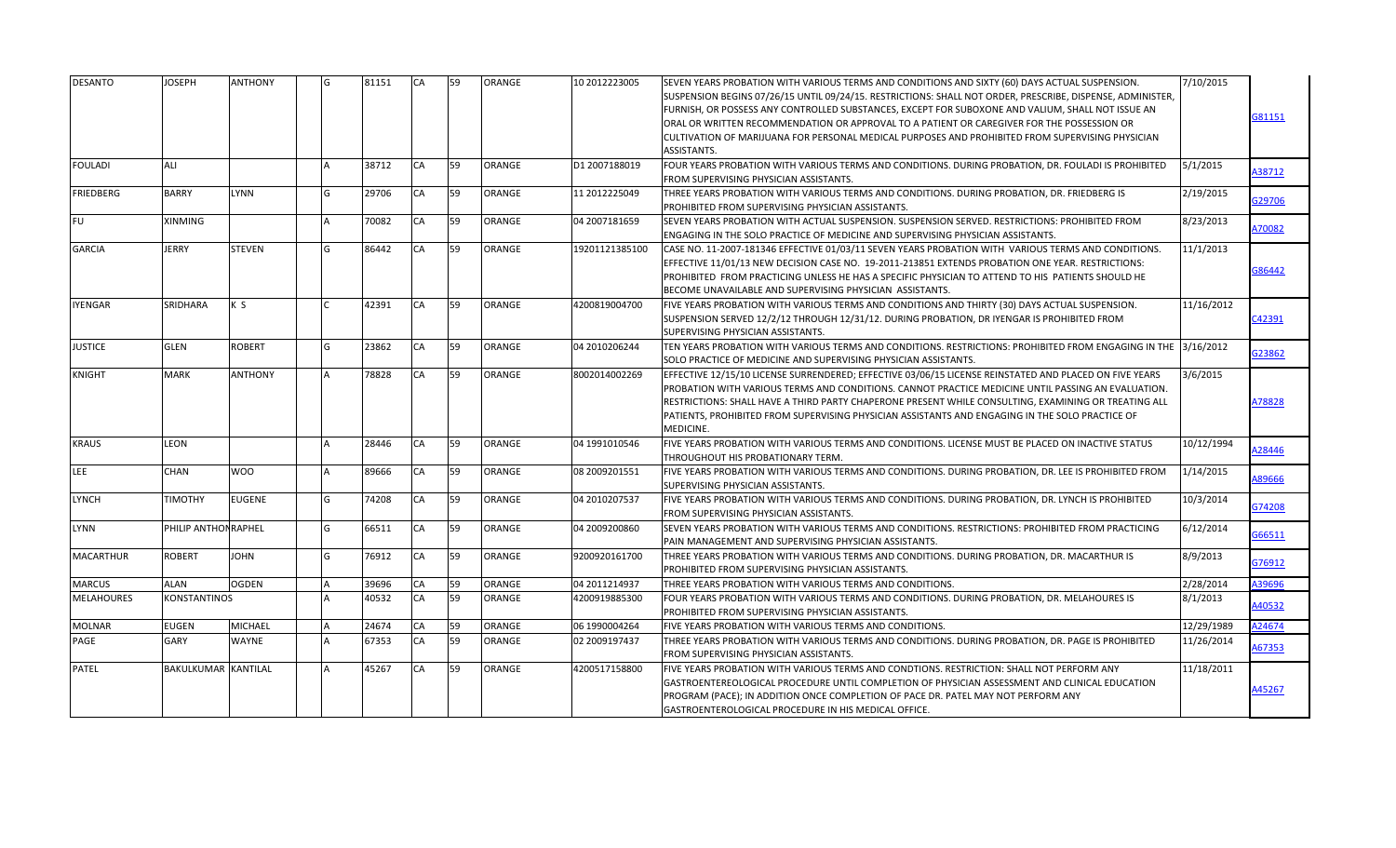| <b>DESANTO</b>    | <b>JOSEPH</b>              | <b>ANTHONY</b> |   | 81151 | CA | 59 | ORANGE        | 10 2012223005   | SEVEN YEARS PROBATION WITH VARIOUS TERMS AND CONDITIONS AND SIXTY (60) DAYS ACTUAL SUSPENSION.<br>SUSPENSION BEGINS 07/26/15 UNTIL 09/24/15. RESTRICTIONS: SHALL NOT ORDER, PRESCRIBE, DISPENSE, ADMINISTER,<br>FURNISH, OR POSSESS ANY CONTROLLED SUBSTANCES, EXCEPT FOR SUBOXONE AND VALIUM, SHALL NOT ISSUE AN<br>ORAL OR WRITTEN RECOMMENDATION OR APPROVAL TO A PATIENT OR CAREGIVER FOR THE POSSESSION OR<br>CULTIVATION OF MARIJUANA FOR PERSONAL MEDICAL PURPOSES AND PROHIBITED FROM SUPERVISING PHYSICIAN<br>ASSISTANTS. | 7/10/2015  | G81151 |
|-------------------|----------------------------|----------------|---|-------|----|----|---------------|-----------------|------------------------------------------------------------------------------------------------------------------------------------------------------------------------------------------------------------------------------------------------------------------------------------------------------------------------------------------------------------------------------------------------------------------------------------------------------------------------------------------------------------------------------------|------------|--------|
| <b>FOULADI</b>    | ALI                        |                |   | 38712 | CA | 59 | ORANGE        | D1 2007188019   | FOUR YEARS PROBATION WITH VARIOUS TERMS AND CONDITIONS. DURING PROBATION, DR. FOULADI IS PROHIBITED<br>FROM SUPERVISING PHYSICIAN ASSISTANTS.                                                                                                                                                                                                                                                                                                                                                                                      | 5/1/2015   | A38712 |
| <b>FRIEDBERG</b>  | <b>BARRY</b>               | <b>LYNN</b>    |   | 29706 | CA | 59 | ORANGE        | 11 2012225049   | THREE YEARS PROBATION WITH VARIOUS TERMS AND CONDITIONS. DURING PROBATION, DR. FRIEDBERG IS<br>PROHIBITED FROM SUPERVISING PHYSICIAN ASSISTANTS.                                                                                                                                                                                                                                                                                                                                                                                   | 2/19/2015  | G29706 |
| <b>FU</b>         | <b>XINMING</b>             |                |   | 70082 | CA | 59 | ORANGE        | 04 2007181659   | SEVEN YEARS PROBATION WITH ACTUAL SUSPENSION. SUSPENSION SERVED. RESTRICTIONS: PROHIBITED FROM<br>ENGAGING IN THE SOLO PRACTICE OF MEDICINE AND SUPERVISING PHYSICIAN ASSISTANTS.                                                                                                                                                                                                                                                                                                                                                  | 8/23/2013  | A70082 |
| <b>GARCIA</b>     | <b>JERRY</b>               | <b>STEVEN</b>  |   | 86442 | CA | 59 | ORANGE        | 19201121385100  | CASE NO. 11-2007-181346 EFFECTIVE 01/03/11 SEVEN YEARS PROBATION WITH VARIOUS TERMS AND CONDITIONS.<br>EFFECTIVE 11/01/13 NEW DECISION CASE NO. 19-2011-213851 EXTENDS PROBATION ONE YEAR. RESTRICTIONS:<br>PROHIBITED FROM PRACTICING UNLESS HE HAS A SPECIFIC PHYSICIAN TO ATTEND TO HIS PATIENTS SHOULD HE<br>BECOME UNAVAILABLE AND SUPERVISING PHYSICIAN ASSISTANTS.                                                                                                                                                          | 11/1/2013  | 386442 |
| YENGAR            | SRIDHARA                   | K S            |   | 42391 | CA | 59 | <b>ORANGE</b> | 4200819004700   | FIVE YEARS PROBATION WITH VARIOUS TERMS AND CONDITIONS AND THIRTY (30) DAYS ACTUAL SUSPENSION.<br>SUSPENSION SERVED 12/2/12 THROUGH 12/31/12. DURING PROBATION, DR IYENGAR IS PROHIBITED FROM<br>SUPERVISING PHYSICIAN ASSISTANTS.                                                                                                                                                                                                                                                                                                 | 11/16/2012 | C42391 |
| <b>JUSTICE</b>    | <b>GLEN</b>                | <b>ROBERT</b>  |   | 23862 | CA | 59 | ORANGE        | 04 2010206244   | TEN YEARS PROBATION WITH VARIOUS TERMS AND CONDITIONS. RESTRICTIONS: PROHIBITED FROM ENGAGING IN THE 3/16/2012<br>SOLO PRACTICE OF MEDICINE AND SUPERVISING PHYSICIAN ASSISTANTS.                                                                                                                                                                                                                                                                                                                                                  |            | G23862 |
| <b>KNIGHT</b>     | <b>MARK</b>                | <b>ANTHONY</b> |   | 78828 | CA | 59 | ORANGE        | 8002014002269   | EFFECTIVE 12/15/10 LICENSE SURRENDERED; EFFECTIVE 03/06/15 LICENSE REINSTATED AND PLACED ON FIVE YEARS<br>PROBATION WITH VARIOUS TERMS AND CONDITIONS. CANNOT PRACTICE MEDICINE UNTIL PASSING AN EVALUATION.<br>RESTRICTIONS: SHALL HAVE A THIRD PARTY CHAPERONE PRESENT WHILE CONSULTING, EXAMINING OR TREATING ALL<br>PATIENTS, PROHIBITED FROM SUPERVISING PHYSICIAN ASSISTANTS AND ENGAGING IN THE SOLO PRACTICE OF<br>MEDICINE.                                                                                               | 3/6/2015   | A78828 |
| <b>KRAUS</b>      | LEON                       |                |   | 28446 | CA | 59 | <b>ORANGE</b> | 04 1991010546   | FIVE YEARS PROBATION WITH VARIOUS TERMS AND CONDITIONS. LICENSE MUST BE PLACED ON INACTIVE STATUS<br>THROUGHOUT HIS PROBATIONARY TERM.                                                                                                                                                                                                                                                                                                                                                                                             | 10/12/1994 | 128446 |
| LEE               | CHAN                       | <b>WOO</b>     |   | 89666 | CA | 59 | ORANGE        | 08 2009 2015 51 | FIVE YEARS PROBATION WITH VARIOUS TERMS AND CONDITIONS. DURING PROBATION, DR. LEE IS PROHIBITED FROM<br>SUPERVISING PHYSICIAN ASSISTANTS.                                                                                                                                                                                                                                                                                                                                                                                          | 1/14/2015  | A89666 |
| LYNCH             | <b>TIMOTHY</b>             | <b>EUGENE</b>  |   | 74208 | CA | 59 | ORANGE        | 04 2010207537   | FIVE YEARS PROBATION WITH VARIOUS TERMS AND CONDITIONS. DURING PROBATION, DR. LYNCH IS PROHIBITED<br>FROM SUPERVISING PHYSICIAN ASSISTANTS.                                                                                                                                                                                                                                                                                                                                                                                        | 10/3/2014  | G74208 |
| LYNN              | PHILIP ANTHON RAPHEL       |                |   | 66511 | CA | 59 | ORANGE        | 04 2009200860   | SEVEN YEARS PROBATION WITH VARIOUS TERMS AND CONDITIONS. RESTRICTIONS: PROHIBITED FROM PRACTICING<br>PAIN MANAGEMENT AND SUPERVISING PHYSICIAN ASSISTANTS.                                                                                                                                                                                                                                                                                                                                                                         | 6/12/2014  | G66511 |
| <b>MACARTHUR</b>  | <b>ROBERT</b>              | <b>JOHN</b>    | G | 76912 | CA | 59 | ORANGE        | 9200920161700   | THREE YEARS PROBATION WITH VARIOUS TERMS AND CONDITIONS. DURING PROBATION, DR. MACARTHUR IS<br>PROHIBITED FROM SUPERVISING PHYSICIAN ASSISTANTS.                                                                                                                                                                                                                                                                                                                                                                                   | 8/9/2013   | G76912 |
| <b>MARCUS</b>     | ALAN                       | <b>OGDEN</b>   |   | 39696 | CA | 59 | ORANGE        | 04 2011214937   | THREE YEARS PROBATION WITH VARIOUS TERMS AND CONDITIONS.                                                                                                                                                                                                                                                                                                                                                                                                                                                                           | 2/28/2014  | A39696 |
| <b>MELAHOURES</b> | KONSTANTINOS               |                |   | 40532 | CA | 59 | ORANGE        | 4200919885300   | FOUR YEARS PROBATION WITH VARIOUS TERMS AND CONDITIONS. DURING PROBATION, DR. MELAHOURES IS<br>PROHIBITED FROM SUPERVISING PHYSICIAN ASSISTANTS.                                                                                                                                                                                                                                                                                                                                                                                   | 8/1/2013   | 140532 |
| <b>MOLNAR</b>     | <b>EUGEN</b>               | <b>MICHAEL</b> |   | 24674 | CA | 59 | ORANGE        | 06 1990004264   | FIVE YEARS PROBATION WITH VARIOUS TERMS AND CONDITIONS.                                                                                                                                                                                                                                                                                                                                                                                                                                                                            | 12/29/1989 | A24674 |
| PAGE              | GARY                       | <b>WAYNE</b>   |   | 67353 | CA | 59 | <b>ORANGE</b> | 02 2009197437   | THREE YEARS PROBATION WITH VARIOUS TERMS AND CONDITIONS. DURING PROBATION, DR. PAGE IS PROHIBITED<br>FROM SUPERVISING PHYSICIAN ASSISTANTS.                                                                                                                                                                                                                                                                                                                                                                                        | 11/26/2014 | 467353 |
| PATEL             | <b>BAKULKUMAR KANTILAL</b> |                |   | 45267 | CA | 59 | <b>ORANGE</b> | 4200517158800   | FIVE YEARS PROBATION WITH VARIOUS TERMS AND CONDTIONS. RESTRICTION: SHALL NOT PERFORM ANY<br>GASTROENTEREOLOGICAL PROCEDURE UNTIL COMPLETION OF PHYSICIAN ASSESSMENT AND CLINICAL EDUCATION<br>PROGRAM (PACE); IN ADDITION ONCE COMPLETION OF PACE DR. PATEL MAY NOT PERFORM ANY<br>GASTROENTEROLOGICAL PROCEDURE IN HIS MEDICAL OFFICE.                                                                                                                                                                                           | 11/18/2011 | A45267 |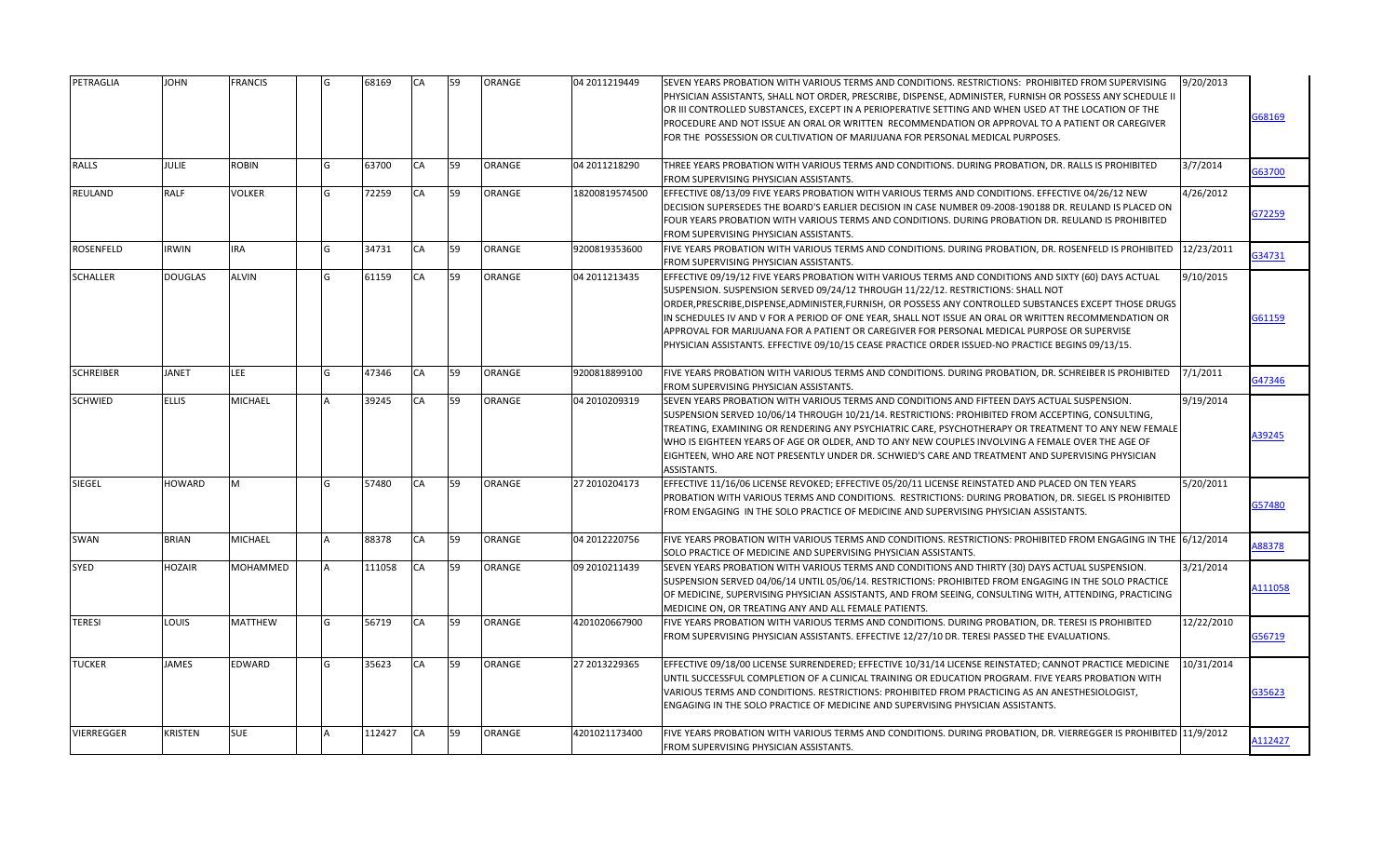| PETRAGLIA        | <b>JOHN</b>    | <b>FRANCIS</b> | G | 68169  | <b>CA</b> | 59 | ORANGE        | 04 2011219449  | SEVEN YEARS PROBATION WITH VARIOUS TERMS AND CONDITIONS. RESTRICTIONS: PROHIBITED FROM SUPERVISING<br>PHYSICIAN ASSISTANTS, SHALL NOT ORDER, PRESCRIBE, DISPENSE, ADMINISTER, FURNISH OR POSSESS ANY SCHEDULE II<br>OR III CONTROLLED SUBSTANCES, EXCEPT IN A PERIOPERATIVE SETTING AND WHEN USED AT THE LOCATION OF THE<br>PROCEDURE AND NOT ISSUE AN ORAL OR WRITTEN RECOMMENDATION OR APPROVAL TO A PATIENT OR CAREGIVER<br>FOR THE POSSESSION OR CULTIVATION OF MARIJUANA FOR PERSONAL MEDICAL PURPOSES.                                                                                                     | 9/20/2013  | 68169  |
|------------------|----------------|----------------|---|--------|-----------|----|---------------|----------------|------------------------------------------------------------------------------------------------------------------------------------------------------------------------------------------------------------------------------------------------------------------------------------------------------------------------------------------------------------------------------------------------------------------------------------------------------------------------------------------------------------------------------------------------------------------------------------------------------------------|------------|--------|
| <b>RALLS</b>     | <b>JULIE</b>   | <b>ROBIN</b>   | G | 63700  | <b>CA</b> | 59 | ORANGE        | 04 2011218290  | THREE YEARS PROBATION WITH VARIOUS TERMS AND CONDITIONS. DURING PROBATION, DR. RALLS IS PROHIBITED<br>FROM SUPERVISING PHYSICIAN ASSISTANTS.                                                                                                                                                                                                                                                                                                                                                                                                                                                                     | 3/7/2014   | 363700 |
| REULAND          | RALF           | <b>VOLKER</b>  | G | 72259  | CA        | 59 | <b>ORANGE</b> | 18200819574500 | EFFECTIVE 08/13/09 FIVE YEARS PROBATION WITH VARIOUS TERMS AND CONDITIONS. EFFECTIVE 04/26/12 NEW<br>DECISION SUPERSEDES THE BOARD'S EARLIER DECISION IN CASE NUMBER 09-2008-190188 DR. REULAND IS PLACED ON<br>FOUR YEARS PROBATION WITH VARIOUS TERMS AND CONDITIONS. DURING PROBATION DR. REULAND IS PROHIBITED<br>FROM SUPERVISING PHYSICIAN ASSISTANTS.                                                                                                                                                                                                                                                     | 4/26/2012  | 372259 |
| ROSENFELD        | <b>IRWIN</b>   | <b>IRA</b>     | G | 34731  | CA        | 59 | ORANGE        | 9200819353600  | FIVE YEARS PROBATION WITH VARIOUS TERMS AND CONDITIONS. DURING PROBATION, DR. ROSENFELD IS PROHIBITED<br>FROM SUPERVISING PHYSICIAN ASSISTANTS.                                                                                                                                                                                                                                                                                                                                                                                                                                                                  | 12/23/2011 | G34731 |
| <b>SCHALLER</b>  | <b>DOUGLAS</b> | <b>ALVIN</b>   | G | 61159  | CA        | 59 | ORANGE        | 04 2011213435  | EFFECTIVE 09/19/12 FIVE YEARS PROBATION WITH VARIOUS TERMS AND CONDITIONS AND SIXTY (60) DAYS ACTUAL<br>SUSPENSION. SUSPENSION SERVED 09/24/12 THROUGH 11/22/12. RESTRICTIONS: SHALL NOT<br>ORDER, PRESCRIBE, DISPENSE, ADMINISTER, FURNISH, OR POSSESS ANY CONTROLLED SUBSTANCES EXCEPT THOSE DRUGS<br>IN SCHEDULES IV AND V FOR A PERIOD OF ONE YEAR, SHALL NOT ISSUE AN ORAL OR WRITTEN RECOMMENDATION OR<br>APPROVAL FOR MARIJUANA FOR A PATIENT OR CAREGIVER FOR PERSONAL MEDICAL PURPOSE OR SUPERVISE<br>PHYSICIAN ASSISTANTS. EFFECTIVE 09/10/15 CEASE PRACTICE ORDER ISSUED-NO PRACTICE BEGINS 09/13/15. | 9/10/2015  | 361159 |
| <b>SCHREIBER</b> | <b>JANET</b>   | LEE            | G | 47346  | CA        | 59 | <b>ORANGE</b> | 9200818899100  | FIVE YEARS PROBATION WITH VARIOUS TERMS AND CONDITIONS. DURING PROBATION, DR. SCHREIBER IS PROHIBITED<br>FROM SUPERVISING PHYSICIAN ASSISTANTS.                                                                                                                                                                                                                                                                                                                                                                                                                                                                  | 7/1/2011   | G47346 |
| <b>SCHWIED</b>   | <b>ELLIS</b>   | <b>MICHAEL</b> |   | 39245  | <b>CA</b> | 59 | ORANGE        | 04 2010209319  | SEVEN YEARS PROBATION WITH VARIOUS TERMS AND CONDITIONS AND FIFTEEN DAYS ACTUAL SUSPENSION.<br>SUSPENSION SERVED 10/06/14 THROUGH 10/21/14. RESTRICTIONS: PROHIBITED FROM ACCEPTING, CONSULTING,<br>TREATING, EXAMINING OR RENDERING ANY PSYCHIATRIC CARE, PSYCHOTHERAPY OR TREATMENT TO ANY NEW FEMALE<br>WHO IS EIGHTEEN YEARS OF AGE OR OLDER, AND TO ANY NEW COUPLES INVOLVING A FEMALE OVER THE AGE OF<br>EIGHTEEN, WHO ARE NOT PRESENTLY UNDER DR. SCHWIED'S CARE AND TREATMENT AND SUPERVISING PHYSICIAN<br>ASSISTANTS.                                                                                   | 9/19/2014  | 39245  |
| SIEGEL           | HOWARD         | M              | G | 57480  | CA        | 59 | ORANGE        | 27 2010204173  | EFFECTIVE 11/16/06 LICENSE REVOKED; EFFECTIVE 05/20/11 LICENSE REINSTATED AND PLACED ON TEN YEARS<br>PROBATION WITH VARIOUS TERMS AND CONDITIONS. RESTRICTIONS: DURING PROBATION, DR. SIEGEL IS PROHIBITED<br>FROM ENGAGING IN THE SOLO PRACTICE OF MEDICINE AND SUPERVISING PHYSICIAN ASSISTANTS.                                                                                                                                                                                                                                                                                                               | 5/20/2011  | 357480 |
| SWAN             | <b>BRIAN</b>   | <b>MICHAEL</b> |   | 88378  | <b>CA</b> | 59 | <b>ORANGE</b> | 04 2012220756  | FIVE YEARS PROBATION WITH VARIOUS TERMS AND CONDITIONS. RESTRICTIONS: PROHIBITED FROM ENGAGING IN THE 16/12/2014<br>SOLO PRACTICE OF MEDICINE AND SUPERVISING PHYSICIAN ASSISTANTS.                                                                                                                                                                                                                                                                                                                                                                                                                              |            | 188378 |
| SYED             | HOZAIR         | MOHAMMED       |   | 111058 | <b>CA</b> | 59 | ORANGE        | 09 2010211439  | SEVEN YEARS PROBATION WITH VARIOUS TERMS AND CONDITIONS AND THIRTY (30) DAYS ACTUAL SUSPENSION.<br>SUSPENSION SERVED 04/06/14 UNTIL 05/06/14. RESTRICTIONS: PROHIBITED FROM ENGAGING IN THE SOLO PRACTICE<br>OF MEDICINE, SUPERVISING PHYSICIAN ASSISTANTS, AND FROM SEEING, CONSULTING WITH, ATTENDING, PRACTICING<br>MEDICINE ON, OR TREATING ANY AND ALL FEMALE PATIENTS.                                                                                                                                                                                                                                     | 3/21/2014  | 111058 |
| <b>TERESI</b>    | LOUIS          | MATTHEW        |   | 56719  | <b>CA</b> | 59 | ORANGE        | 4201020667900  | FIVE YEARS PROBATION WITH VARIOUS TERMS AND CONDITIONS. DURING PROBATION, DR. TERESI IS PROHIBITED<br>FROM SUPERVISING PHYSICIAN ASSISTANTS. EFFECTIVE 12/27/10 DR. TERESI PASSED THE EVALUATIONS.                                                                                                                                                                                                                                                                                                                                                                                                               | 12/22/2010 | G56719 |
| <b>TUCKER</b>    | <b>JAMES</b>   | EDWARD         |   | 35623  | <b>CA</b> | 59 | <b>ORANGE</b> | 27 2013229365  | EFFECTIVE 09/18/00 LICENSE SURRENDERED; EFFECTIVE 10/31/14 LICENSE REINSTATED; CANNOT PRACTICE MEDICINE<br>UNTIL SUCCESSFUL COMPLETION OF A CLINICAL TRAINING OR EDUCATION PROGRAM. FIVE YEARS PROBATION WITH<br>VARIOUS TERMS AND CONDITIONS. RESTRICTIONS: PROHIBITED FROM PRACTICING AS AN ANESTHESIOLOGIST,<br>ENGAGING IN THE SOLO PRACTICE OF MEDICINE AND SUPERVISING PHYSICIAN ASSISTANTS.                                                                                                                                                                                                               | 10/31/2014 | 335623 |
| VIERREGGER       | KRISTEN        | <b>SUE</b>     |   | 112427 | <b>CA</b> | 59 | <b>ORANGE</b> | 4201021173400  | FIVE YEARS PROBATION WITH VARIOUS TERMS AND CONDITIONS. DURING PROBATION, DR. VIERREGGER IS PROHIBITED 11/9/2012<br>FROM SUPERVISING PHYSICIAN ASSISTANTS.                                                                                                                                                                                                                                                                                                                                                                                                                                                       |            | 112427 |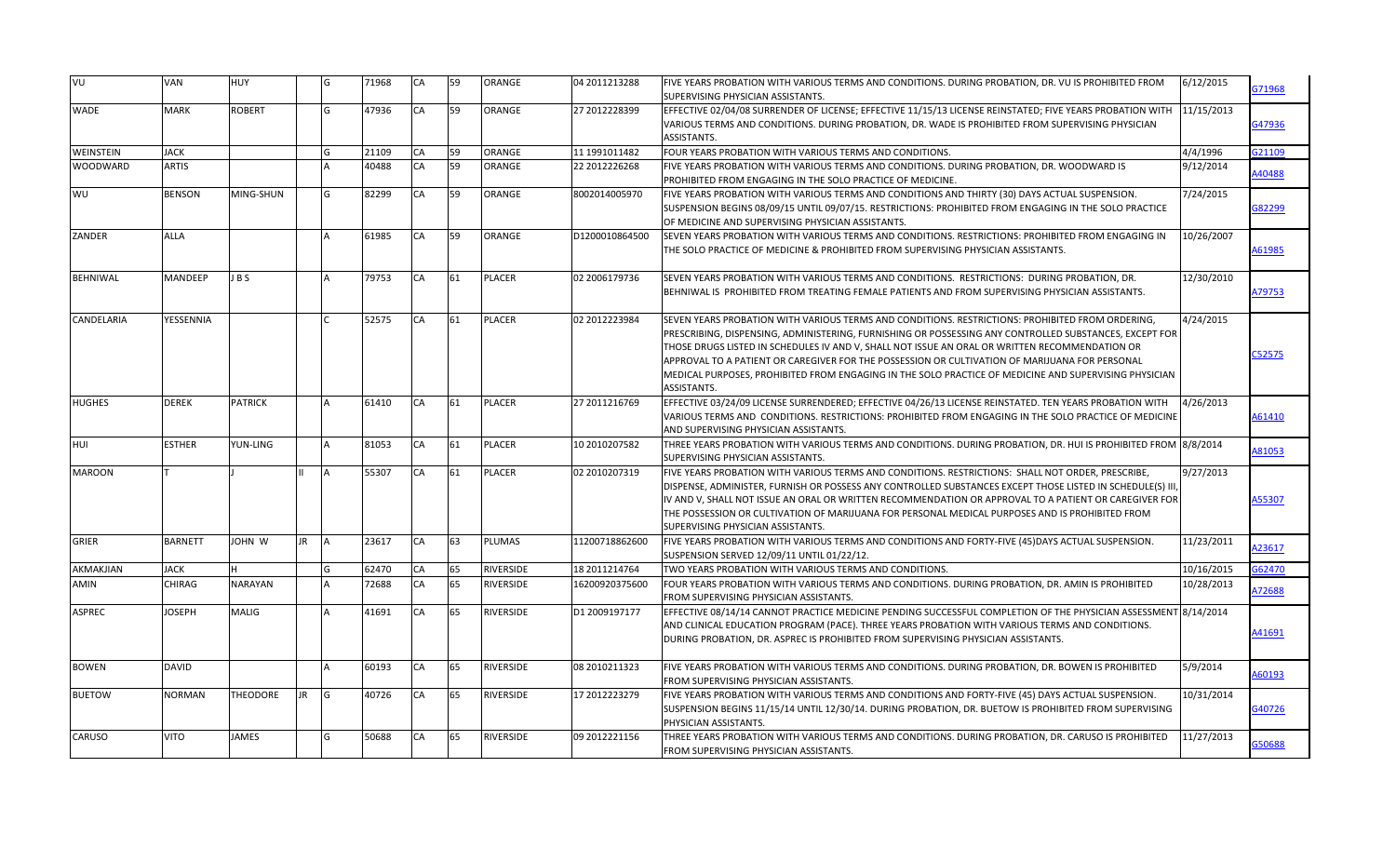| VU            | VAN            | <b>HUY</b>     |           | G            | 71968 | CA | 59 | ORANGE           | 04 2011213288  | FIVE YEARS PROBATION WITH VARIOUS TERMS AND CONDITIONS. DURING PROBATION, DR. VU IS PROHIBITED FROM<br>6/12/2015<br><b>SUPERVISING PHYSICIAN ASSISTANTS.</b>                                                                                                                                                                                                                                                                                                                                                                                        | G71968        |
|---------------|----------------|----------------|-----------|--------------|-------|----|----|------------------|----------------|-----------------------------------------------------------------------------------------------------------------------------------------------------------------------------------------------------------------------------------------------------------------------------------------------------------------------------------------------------------------------------------------------------------------------------------------------------------------------------------------------------------------------------------------------------|---------------|
| <b>WADE</b>   | <b>MARK</b>    | <b>ROBERT</b>  |           | G            | 47936 | CA | 59 | ORANGE           | 27 2012228399  | EFFECTIVE 02/04/08 SURRENDER OF LICENSE; EFFECTIVE 11/15/13 LICENSE REINSTATED; FIVE YEARS PROBATION WITH<br>11/15/2013<br>VARIOUS TERMS AND CONDITIONS. DURING PROBATION, DR. WADE IS PROHIBITED FROM SUPERVISING PHYSICIAN<br>ASSISTANTS.                                                                                                                                                                                                                                                                                                         | G47936        |
| WEINSTEIN     | <b>JACK</b>    |                |           |              | 21109 | CA | 59 | ORANGE           | 11 1991011482  | FOUR YEARS PROBATION WITH VARIOUS TERMS AND CONDITIONS.<br>4/4/1996                                                                                                                                                                                                                                                                                                                                                                                                                                                                                 | G21109        |
| WOODWARD      | ARTIS          |                |           |              | 40488 | CA | 59 | ORANGE           | 22 2012226268  | FIVE YEARS PROBATION WITH VARIOUS TERMS AND CONDITIONS. DURING PROBATION, DR. WOODWARD IS<br>9/12/2014<br>PROHIBITED FROM ENGAGING IN THE SOLO PRACTICE OF MEDICINE.                                                                                                                                                                                                                                                                                                                                                                                | 140488        |
| WU            | <b>BENSON</b>  | MING-SHUN      |           | G            | 82299 | CA | 59 | ORANGE           | 8002014005970  | FIVE YEARS PROBATION WITH VARIOUS TERMS AND CONDITIONS AND THIRTY (30) DAYS ACTUAL SUSPENSION.<br>7/24/2015<br>SUSPENSION BEGINS 08/09/15 UNTIL 09/07/15. RESTRICTIONS: PROHIBITED FROM ENGAGING IN THE SOLO PRACTICE<br>OF MEDICINE AND SUPERVISING PHYSICIAN ASSISTANTS.                                                                                                                                                                                                                                                                          | 382299        |
| ZANDER        | <b>ALLA</b>    |                |           |              | 61985 | CA | 59 | <b>ORANGE</b>    | D1200010864500 | SEVEN YEARS PROBATION WITH VARIOUS TERMS AND CONDITIONS. RESTRICTIONS: PROHIBITED FROM ENGAGING IN<br>10/26/2007<br>THE SOLO PRACTICE OF MEDICINE & PROHIBITED FROM SUPERVISING PHYSICIAN ASSISTANTS.                                                                                                                                                                                                                                                                                                                                               | 161985        |
| BEHNIWAL      | MANDEEP        | JBS            |           |              | 79753 | CA | 61 | PLACER           | 02 2006179736  | 12/30/2010<br>SEVEN YEARS PROBATION WITH VARIOUS TERMS AND CONDITIONS. RESTRICTIONS: DURING PROBATION, DR.<br>BEHNIWAL IS PROHIBITED FROM TREATING FEMALE PATIENTS AND FROM SUPERVISING PHYSICIAN ASSISTANTS.                                                                                                                                                                                                                                                                                                                                       | 479753        |
| CANDELARIA    | YESSENNIA      |                |           | $\mathsf{C}$ | 52575 | CA | 61 | PLACER           | 02 2012223984  | SEVEN YEARS PROBATION WITH VARIOUS TERMS AND CONDITIONS. RESTRICTIONS: PROHIBITED FROM ORDERING,<br>4/24/2015<br>PRESCRIBING, DISPENSING, ADMINISTERING, FURNISHING OR POSSESSING ANY CONTROLLED SUBSTANCES, EXCEPT FOR<br>THOSE DRUGS LISTED IN SCHEDULES IV AND V, SHALL NOT ISSUE AN ORAL OR WRITTEN RECOMMENDATION OR<br>APPROVAL TO A PATIENT OR CAREGIVER FOR THE POSSESSION OR CULTIVATION OF MARIJUANA FOR PERSONAL<br>MEDICAL PURPOSES, PROHIBITED FROM ENGAGING IN THE SOLO PRACTICE OF MEDICINE AND SUPERVISING PHYSICIAN<br>ASSISTANTS. | C52575        |
| <b>HUGHES</b> | <b>DEREK</b>   | <b>PATRICK</b> |           |              | 61410 | CA | 61 | <b>PLACER</b>    | 27 2011216769  | EFFECTIVE 03/24/09 LICENSE SURRENDERED; EFFECTIVE 04/26/13 LICENSE REINSTATED. TEN YEARS PROBATION WITH<br>4/26/2013<br>VARIOUS TERMS AND CONDITIONS. RESTRICTIONS: PROHIBITED FROM ENGAGING IN THE SOLO PRACTICE OF MEDICINE<br>AND SUPERVISING PHYSICIAN ASSISTANTS.                                                                                                                                                                                                                                                                              | 461410        |
| HUI           | <b>ESTHER</b>  | YUN-LING       |           |              | 81053 | CA | 61 | <b>PLACER</b>    | 10 2010207582  | THREE YEARS PROBATION WITH VARIOUS TERMS AND CONDITIONS. DURING PROBATION, DR. HUI IS PROHIBITED FROM 8/8/2014<br>SUPERVISING PHYSICIAN ASSISTANTS.                                                                                                                                                                                                                                                                                                                                                                                                 | <b>81053</b>  |
| <b>MAROON</b> |                |                |           |              | 55307 | CA | 61 | PLACER           | 02 2010207319  | FIVE YEARS PROBATION WITH VARIOUS TERMS AND CONDITIONS. RESTRICTIONS: SHALL NOT ORDER, PRESCRIBE,<br>9/27/2013<br>DISPENSE, ADMINISTER, FURNISH OR POSSESS ANY CONTROLLED SUBSTANCES EXCEPT THOSE LISTED IN SCHEDULE(S) III,<br>IV AND V, SHALL NOT ISSUE AN ORAL OR WRITTEN RECOMMENDATION OR APPROVAL TO A PATIENT OR CAREGIVER FOR<br>THE POSSESSION OR CULTIVATION OF MARIJUANA FOR PERSONAL MEDICAL PURPOSES AND IS PROHIBITED FROM<br>SUPERVISING PHYSICIAN ASSISTANTS.                                                                       | <b>A55307</b> |
| <b>GRIER</b>  | <b>BARNETT</b> | W <i>NH</i> OL | <b>JR</b> | A            | 23617 | CA | 63 | <b>PLUMAS</b>    | 11200718862600 | FIVE YEARS PROBATION WITH VARIOUS TERMS AND CONDITIONS AND FORTY-FIVE (45) DAYS ACTUAL SUSPENSION.<br>11/23/2011<br>SUSPENSION SERVED 12/09/11 UNTIL 01/22/12.                                                                                                                                                                                                                                                                                                                                                                                      | 423617        |
| AKMAKJIAN     | <b>JACK</b>    | H.             |           | G            | 62470 | CA | 65 | RIVERSIDE        | 18 2011214764  | 10/16/2015<br>TWO YEARS PROBATION WITH VARIOUS TERMS AND CONDITIONS.                                                                                                                                                                                                                                                                                                                                                                                                                                                                                | G62470        |
| AMIN          | CHIRAG         | NARAYAN        |           |              | 72688 | CA | 65 | <b>RIVERSIDE</b> | 16200920375600 | FOUR YEARS PROBATION WITH VARIOUS TERMS AND CONDITIONS. DURING PROBATION, DR. AMIN IS PROHIBITED<br>10/28/2013<br>FROM SUPERVISING PHYSICIAN ASSISTANTS.                                                                                                                                                                                                                                                                                                                                                                                            | 172688        |
| <b>ASPREC</b> | JOSEPH         | MALIG          |           |              | 41691 | CA | 65 | RIVERSIDE        | D1 2009197177  | EFFECTIVE 08/14/14 CANNOT PRACTICE MEDICINE PENDING SUCCESSFUL COMPLETION OF THE PHYSICIAN ASSESSMENT 8/14/2014<br>AND CLINICAL EDUCATION PROGRAM (PACE). THREE YEARS PROBATION WITH VARIOUS TERMS AND CONDITIONS.<br>DURING PROBATION, DR. ASPREC IS PROHIBITED FROM SUPERVISING PHYSICIAN ASSISTANTS.                                                                                                                                                                                                                                             | 41691         |
| <b>BOWEN</b>  | <b>DAVID</b>   |                |           |              | 60193 | CA | 65 | <b>RIVERSIDE</b> | 08 2010211323  | 5/9/2014<br>FIVE YEARS PROBATION WITH VARIOUS TERMS AND CONDITIONS. DURING PROBATION, DR. BOWEN IS PROHIBITED<br>FROM SUPERVISING PHYSICIAN ASSISTANTS.                                                                                                                                                                                                                                                                                                                                                                                             | 460193        |
| <b>BUETOW</b> | NORMAN         | THEODORE       | <b>JR</b> | G            | 40726 | CA | 65 | <b>RIVERSIDE</b> | 17 2012223279  | FIVE YEARS PROBATION WITH VARIOUS TERMS AND CONDITIONS AND FORTY-FIVE (45) DAYS ACTUAL SUSPENSION.<br>10/31/2014<br>SUSPENSION BEGINS 11/15/14 UNTIL 12/30/14. DURING PROBATION, DR. BUETOW IS PROHIBITED FROM SUPERVISING<br>PHYSICIAN ASSISTANTS.                                                                                                                                                                                                                                                                                                 | G40726        |
| CARUSO        | VITO           | <b>JAMES</b>   |           | G            | 50688 | CA | 65 | <b>RIVERSIDE</b> | 09 2012221156  | 11/27/2013<br>THREE YEARS PROBATION WITH VARIOUS TERMS AND CONDITIONS. DURING PROBATION, DR. CARUSO IS PROHIBITED<br>FROM SUPERVISING PHYSICIAN ASSISTANTS.                                                                                                                                                                                                                                                                                                                                                                                         | <b>G50688</b> |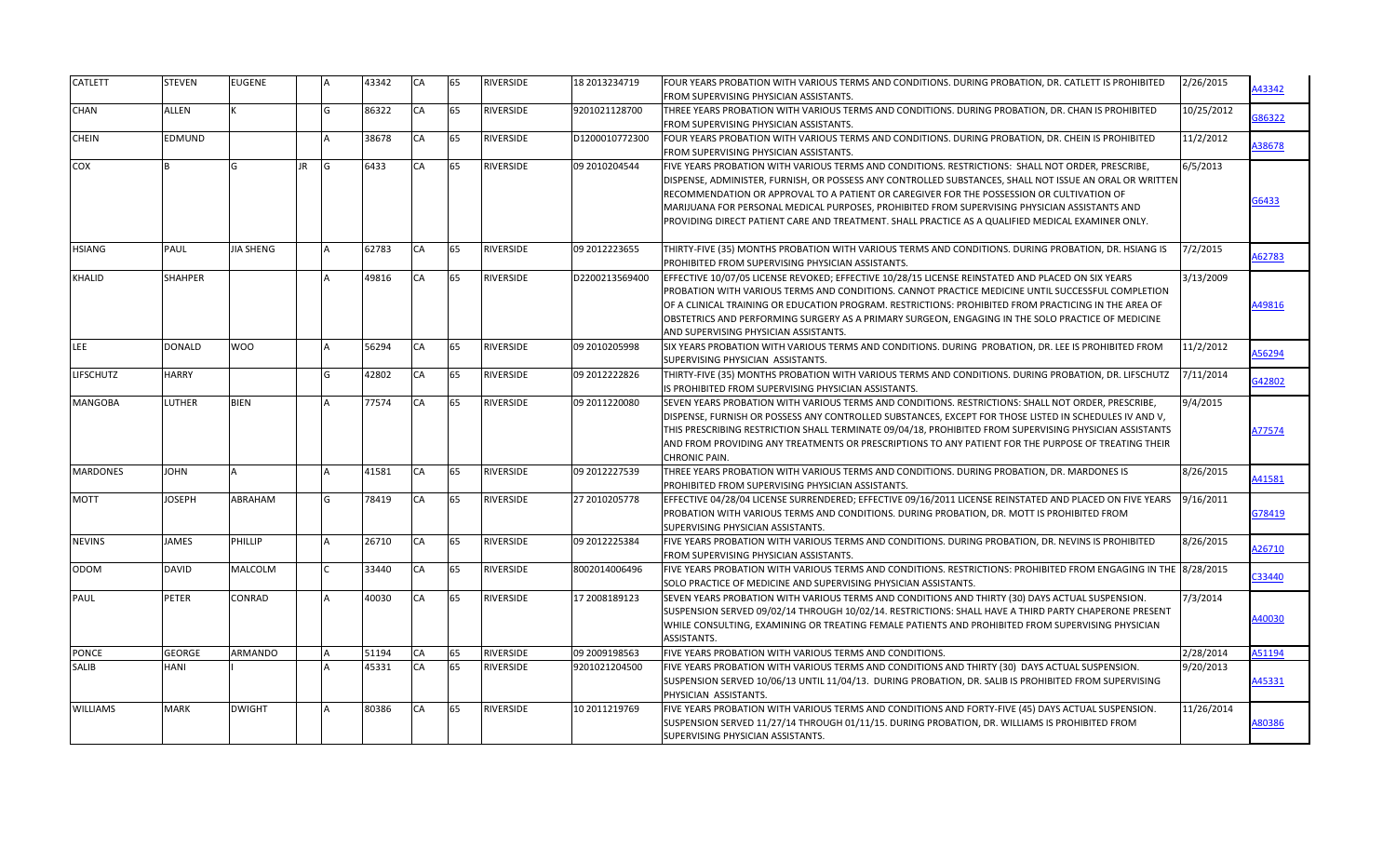| <b>CATLETT</b>   | <b>STEVEN</b> | <b>EUGENE</b> |                 | 43342 | CA        | 65 | <b>RIVERSIDE</b> | 18 2013234719  | FOUR YEARS PROBATION WITH VARIOUS TERMS AND CONDITIONS. DURING PROBATION, DR. CATLETT IS PROHIBITED<br>FROM SUPERVISING PHYSICIAN ASSISTANTS.                                                                                                                                                                                                                                                                                                                                                                   | 2/26/2015  | A43342 |
|------------------|---------------|---------------|-----------------|-------|-----------|----|------------------|----------------|-----------------------------------------------------------------------------------------------------------------------------------------------------------------------------------------------------------------------------------------------------------------------------------------------------------------------------------------------------------------------------------------------------------------------------------------------------------------------------------------------------------------|------------|--------|
| CHAN             | <b>ALLEN</b>  |               | G               | 86322 | CA        | 65 | <b>RIVERSIDE</b> | 9201021128700  | THREE YEARS PROBATION WITH VARIOUS TERMS AND CONDITIONS. DURING PROBATION, DR. CHAN IS PROHIBITED<br>FROM SUPERVISING PHYSICIAN ASSISTANTS.                                                                                                                                                                                                                                                                                                                                                                     | 10/25/2012 | 686322 |
| CHEIN            | EDMUND        |               |                 | 38678 | CA        | 65 | <b>RIVERSIDE</b> | D1200010772300 | FOUR YEARS PROBATION WITH VARIOUS TERMS AND CONDITIONS. DURING PROBATION, DR. CHEIN IS PROHIBITED<br>FROM SUPERVISING PHYSICIAN ASSISTANTS.                                                                                                                                                                                                                                                                                                                                                                     | 11/2/2012  | A38678 |
| COX              | R             | G             | <b>JR</b><br>lG | 6433  | CA        | 65 | <b>RIVERSIDE</b> | 09 2010204544  | FIVE YEARS PROBATION WITH VARIOUS TERMS AND CONDITIONS. RESTRICTIONS: SHALL NOT ORDER, PRESCRIBE,<br>DISPENSE, ADMINISTER, FURNISH, OR POSSESS ANY CONTROLLED SUBSTANCES, SHALL NOT ISSUE AN ORAL OR WRITTEN<br>RECOMMENDATION OR APPROVAL TO A PATIENT OR CAREGIVER FOR THE POSSESSION OR CULTIVATION OF<br>MARIJUANA FOR PERSONAL MEDICAL PURPOSES, PROHIBITED FROM SUPERVISING PHYSICIAN ASSISTANTS AND<br>PROVIDING DIRECT PATIENT CARE AND TREATMENT. SHALL PRACTICE AS A QUALIFIED MEDICAL EXAMINER ONLY. | 6/5/2013   | 56433  |
| HSIANG           | PAUL          | JIA SHENG     |                 | 62783 | CA        | 65 | <b>RIVERSIDE</b> | 09 2012223655  | THIRTY-FIVE (35) MONTHS PROBATION WITH VARIOUS TERMS AND CONDITIONS. DURING PROBATION, DR. HSIANG IS<br>PROHIBITED FROM SUPERVISING PHYSICIAN ASSISTANTS.                                                                                                                                                                                                                                                                                                                                                       | 7/2/2015   | 462783 |
| KHALID           | SHAHPER       |               |                 | 49816 | CA        | 65 | <b>RIVERSIDE</b> | D2200213569400 | EFFECTIVE 10/07/05 LICENSE REVOKED; EFFECTIVE 10/28/15 LICENSE REINSTATED AND PLACED ON SIX YEARS<br>PROBATION WITH VARIOUS TERMS AND CONDITIONS. CANNOT PRACTICE MEDICINE UNTIL SUCCESSFUL COMPLETION<br>OF A CLINICAL TRAINING OR EDUCATION PROGRAM. RESTRICTIONS: PROHIBITED FROM PRACTICING IN THE AREA OF<br>OBSTETRICS AND PERFORMING SURGERY AS A PRIMARY SURGEON, ENGAGING IN THE SOLO PRACTICE OF MEDICINE<br>AND SUPERVISING PHYSICIAN ASSISTANTS.                                                    | 3/13/2009  | A49816 |
| LEE              | <b>DONALD</b> | WOO           |                 | 56294 | CA        | 65 | <b>RIVERSIDE</b> | 09 2010205998  | SIX YEARS PROBATION WITH VARIOUS TERMS AND CONDITIONS. DURING PROBATION, DR. LEE IS PROHIBITED FROM<br>SUPERVISING PHYSICIAN ASSISTANTS.                                                                                                                                                                                                                                                                                                                                                                        | 11/2/2012  | 156294 |
| <b>LIFSCHUTZ</b> | <b>HARRY</b>  |               | G               | 42802 | CA        | 65 | <b>RIVERSIDE</b> | 09 2012222826  | THIRTY-FIVE (35) MONTHS PROBATION WITH VARIOUS TERMS AND CONDITIONS. DURING PROBATION, DR. LIFSCHUTZ<br>IS PROHIBITED FROM SUPERVISING PHYSICIAN ASSISTANTS.                                                                                                                                                                                                                                                                                                                                                    | 7/11/2014  | 342802 |
| MANGOBA          | LUTHER        | BIEN          |                 | 77574 | CA        | 65 | <b>RIVERSIDE</b> | 09 2011220080  | SEVEN YEARS PROBATION WITH VARIOUS TERMS AND CONDITIONS. RESTRICTIONS: SHALL NOT ORDER, PRESCRIBE,<br>DISPENSE, FURNISH OR POSSESS ANY CONTROLLED SUBSTANCES, EXCEPT FOR THOSE LISTED IN SCHEDULES IV AND V,<br>THIS PRESCRIBING RESTRICTION SHALL TERMINATE 09/04/18, PROHIBITED FROM SUPERVISING PHYSICIAN ASSISTANTS<br>AND FROM PROVIDING ANY TREATMENTS OR PRESCRIPTIONS TO ANY PATIENT FOR THE PURPOSE OF TREATING THEIR<br><b>CHRONIC PAIN.</b>                                                          | 9/4/2015   | A77574 |
| <b>MARDONES</b>  | <b>NHOL</b>   |               |                 | 41581 | CA        | 65 | <b>RIVERSIDE</b> | 09 2012227539  | THREE YEARS PROBATION WITH VARIOUS TERMS AND CONDITIONS. DURING PROBATION, DR. MARDONES IS<br>PROHIBITED FROM SUPERVISING PHYSICIAN ASSISTANTS.                                                                                                                                                                                                                                                                                                                                                                 | 8/26/2015  | 441581 |
| MOTT             | JOSEPH        | ABRAHAM       | G               | 78419 | CA        | 65 | <b>RIVERSIDE</b> | 27 2010205778  | EFFECTIVE 04/28/04 LICENSE SURRENDERED; EFFECTIVE 09/16/2011 LICENSE REINSTATED AND PLACED ON FIVE YEARS<br>PROBATION WITH VARIOUS TERMS AND CONDITIONS. DURING PROBATION, DR. MOTT IS PROHIBITED FROM<br>SUPERVISING PHYSICIAN ASSISTANTS.                                                                                                                                                                                                                                                                     | 9/16/2011  | G78419 |
| <b>NEVINS</b>    | <b>JAMES</b>  | PHILLIP       |                 | 26710 | CA        | 65 | RIVERSIDE        | 09 2012225384  | FIVE YEARS PROBATION WITH VARIOUS TERMS AND CONDITIONS. DURING PROBATION, DR. NEVINS IS PROHIBITED<br>FROM SUPERVISING PHYSICIAN ASSISTANTS.                                                                                                                                                                                                                                                                                                                                                                    | 8/26/2015  | A26710 |
| <b>ODOM</b>      | <b>DAVID</b>  | MALCOLM       |                 | 33440 | CA        | 65 | <b>RIVERSIDE</b> | 8002014006496  | FIVE YEARS PROBATION WITH VARIOUS TERMS AND CONDITIONS. RESTRICTIONS: PROHIBITED FROM ENGAGING IN THE 8/28/2015<br>SOLO PRACTICE OF MEDICINE AND SUPERVISING PHYSICIAN ASSISTANTS.                                                                                                                                                                                                                                                                                                                              |            | C33440 |
| PAUL             | <b>PETER</b>  | CONRAD        |                 | 40030 | CA        | 65 | <b>RIVERSIDE</b> | 17 2008189123  | SEVEN YEARS PROBATION WITH VARIOUS TERMS AND CONDITIONS AND THIRTY (30) DAYS ACTUAL SUSPENSION.<br>SUSPENSION SERVED 09/02/14 THROUGH 10/02/14. RESTRICTIONS: SHALL HAVE A THIRD PARTY CHAPERONE PRESENT<br>WHILE CONSULTING, EXAMINING OR TREATING FEMALE PATIENTS AND PROHIBITED FROM SUPERVISING PHYSICIAN<br>ASSISTANTS.                                                                                                                                                                                    | 7/3/2014   | 440030 |
| <b>PONCE</b>     | <b>GEORGE</b> | ARMANDO       |                 | 51194 | CA        | 65 | RIVERSIDE        | 09 2009198563  | FIVE YEARS PROBATION WITH VARIOUS TERMS AND CONDITIONS.                                                                                                                                                                                                                                                                                                                                                                                                                                                         | 2/28/2014  | A51194 |
| <b>SALIB</b>     | HANI          |               |                 | 45331 | CA        | 65 | <b>RIVERSIDE</b> | 9201021204500  | FIVE YEARS PROBATION WITH VARIOUS TERMS AND CONDITIONS AND THIRTY (30) DAYS ACTUAL SUSPENSION.<br>SUSPENSION SERVED 10/06/13 UNTIL 11/04/13. DURING PROBATION, DR. SALIB IS PROHIBITED FROM SUPERVISING<br>PHYSICIAN ASSISTANTS.                                                                                                                                                                                                                                                                                | 9/20/2013  | A45331 |
| <b>WILLIAMS</b>  | <b>MARK</b>   | <b>DWIGHT</b> |                 | 80386 | <b>CA</b> | 65 | <b>RIVERSIDE</b> | 10 2011219769  | FIVE YEARS PROBATION WITH VARIOUS TERMS AND CONDITIONS AND FORTY-FIVE (45) DAYS ACTUAL SUSPENSION.<br>SUSPENSION SERVED 11/27/14 THROUGH 01/11/15. DURING PROBATION, DR. WILLIAMS IS PROHIBITED FROM<br>SUPERVISING PHYSICIAN ASSISTANTS.                                                                                                                                                                                                                                                                       | 11/26/2014 | A80386 |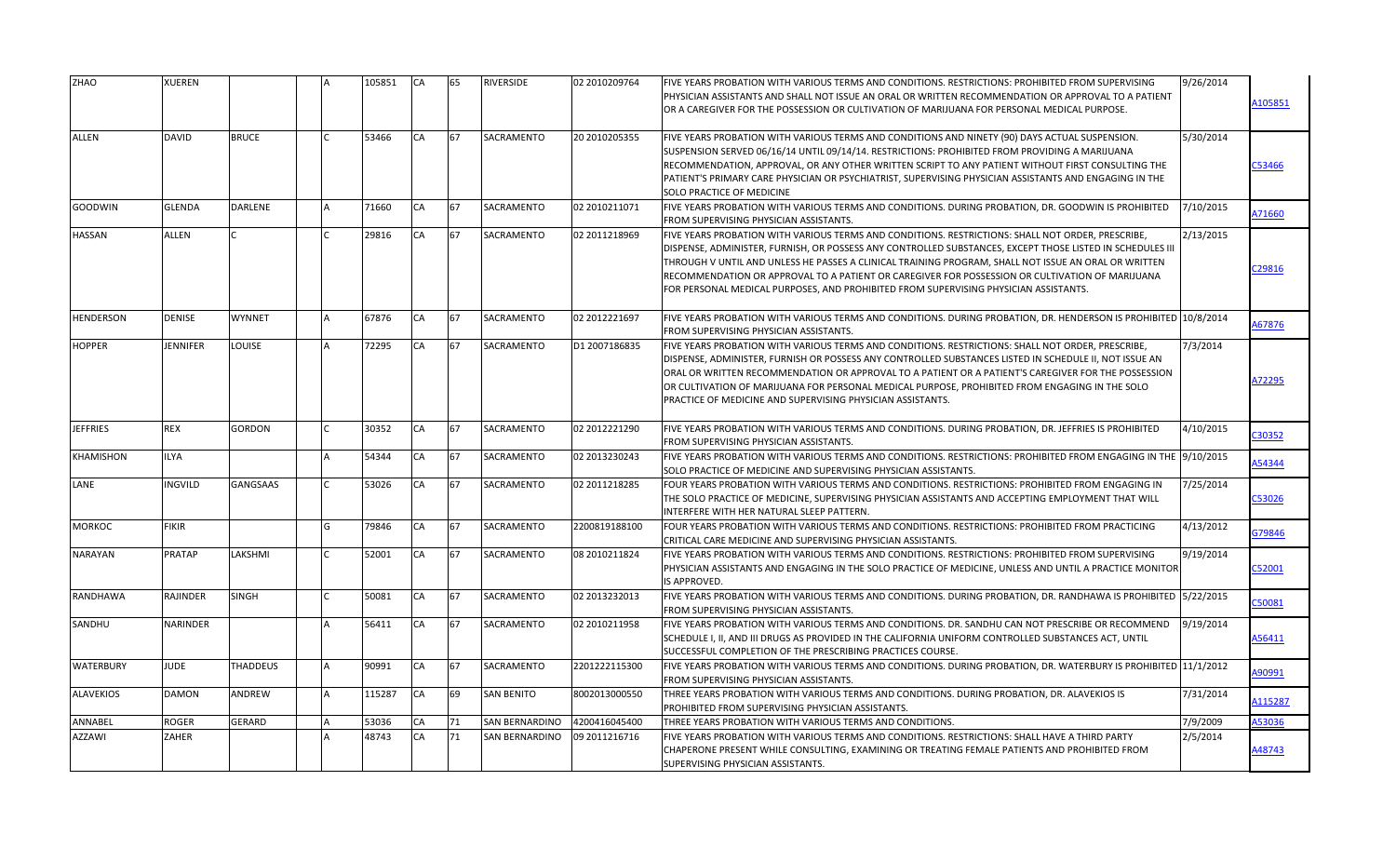| <b>BRUCE</b><br>67<br><b>SACRAMENTO</b><br>20 2010205355<br>ALLEN<br><b>DAVID</b><br>53466<br><b>CA</b><br>FIVE YEARS PROBATION WITH VARIOUS TERMS AND CONDITIONS AND NINETY (90) DAYS ACTUAL SUSPENSION.<br>5/30/2014<br>SUSPENSION SERVED 06/16/14 UNTIL 09/14/14. RESTRICTIONS: PROHIBITED FROM PROVIDING A MARIJUANA<br>RECOMMENDATION, APPROVAL, OR ANY OTHER WRITTEN SCRIPT TO ANY PATIENT WITHOUT FIRST CONSULTING THE<br>PATIENT'S PRIMARY CARE PHYSICIAN OR PSYCHIATRIST, SUPERVISING PHYSICIAN ASSISTANTS AND ENGAGING IN THE<br>SOLO PRACTICE OF MEDICINE<br>GOODWIN<br><b>GLENDA</b><br><b>DARLENE</b><br>71660<br><b>CA</b><br>67<br>SACRAMENTO<br>02 2010211071<br>FIVE YEARS PROBATION WITH VARIOUS TERMS AND CONDITIONS. DURING PROBATION, DR. GOODWIN IS PROHIBITED<br>7/10/2015<br>FROM SUPERVISING PHYSICIAN ASSISTANTS.<br>67<br>SACRAMENTO<br>HASSAN<br><b>ALLEN</b><br>29816<br>CA<br>02 2011218969<br>FIVE YEARS PROBATION WITH VARIOUS TERMS AND CONDITIONS. RESTRICTIONS: SHALL NOT ORDER, PRESCRIBE,<br>2/13/2015<br>DISPENSE, ADMINISTER, FURNISH, OR POSSESS ANY CONTROLLED SUBSTANCES, EXCEPT THOSE LISTED IN SCHEDULES III<br>THROUGH V UNTIL AND UNLESS HE PASSES A CLINICAL TRAINING PROGRAM, SHALL NOT ISSUE AN ORAL OR WRITTEN<br>RECOMMENDATION OR APPROVAL TO A PATIENT OR CAREGIVER FOR POSSESSION OR CULTIVATION OF MARIJUANA<br>FOR PERSONAL MEDICAL PURPOSES, AND PROHIBITED FROM SUPERVISING PHYSICIAN ASSISTANTS.<br>HENDERSON<br>DENISE<br>WYNNET<br>67876<br>CA<br>67<br><b>SACRAMENTO</b><br>02 2012221697<br>FIVE YEARS PROBATION WITH VARIOUS TERMS AND CONDITIONS. DURING PROBATION, DR. HENDERSON IS PROHIBITED 10/8/2014<br><b>FROM SUPERVISING PHYSICIAN ASSISTANTS.</b><br>67<br>SACRAMENTO<br>JENNIFER<br>LOUISE<br>72295<br>CA<br>D1 2007186835<br>7/3/2014<br><b>HOPPER</b><br>FIVE YEARS PROBATION WITH VARIOUS TERMS AND CONDITIONS. RESTRICTIONS: SHALL NOT ORDER, PRESCRIBE,<br>DISPENSE, ADMINISTER, FURNISH OR POSSESS ANY CONTROLLED SUBSTANCES LISTED IN SCHEDULE II, NOT ISSUE AN<br>ORAL OR WRITTEN RECOMMENDATION OR APPROVAL TO A PATIENT OR A PATIENT'S CAREGIVER FOR THE POSSESSION<br>OR CULTIVATION OF MARIJUANA FOR PERSONAL MEDICAL PURPOSE, PROHIBITED FROM ENGAGING IN THE SOLO<br>PRACTICE OF MEDICINE AND SUPERVISING PHYSICIAN ASSISTANTS.<br><b>JEFFRIES</b><br><b>REX</b><br>GORDON<br>30352<br>CA<br>67<br>SACRAMENTO<br>02 2012221290<br>FIVE YEARS PROBATION WITH VARIOUS TERMS AND CONDITIONS. DURING PROBATION, DR. JEFFRIES IS PROHIBITED<br>4/10/2015<br>FROM SUPERVISING PHYSICIAN ASSISTANTS.<br>KHAMISHON<br><b>ILYA</b><br>54344<br>CA<br>67<br><b>SACRAMENTO</b><br>02 2013230243<br>FIVE YEARS PROBATION WITH VARIOUS TERMS AND CONDITIONS. RESTRICTIONS: PROHIBITED FROM ENGAGING IN THE 19/10/2015<br>SOLO PRACTICE OF MEDICINE AND SUPERVISING PHYSICIAN ASSISTANTS.<br>SACRAMENTO<br>LANE<br><b>INGVILD</b><br><b>GANGSAAS</b><br>53026<br>CA<br>67<br>02 2011218285<br>7/25/2014<br>FOUR YEARS PROBATION WITH VARIOUS TERMS AND CONDITIONS. RESTRICTIONS: PROHIBITED FROM ENGAGING IN<br>THE SOLO PRACTICE OF MEDICINE, SUPERVISING PHYSICIAN ASSISTANTS AND ACCEPTING EMPLOYMENT THAT WILL<br>INTERFERE WITH HER NATURAL SLEEP PATTERN.<br><b>MORKOC</b><br><b>FIKIR</b><br>79846<br>CA<br>67<br><b>SACRAMENTO</b><br>2200819188100<br>FOUR YEARS PROBATION WITH VARIOUS TERMS AND CONDITIONS. RESTRICTIONS: PROHIBITED FROM PRACTICING<br>4/13/2012<br>G<br>CRITICAL CARE MEDICINE AND SUPERVISING PHYSICIAN ASSISTANTS.<br><b>NARAYAN</b><br>PRATAP<br>LAKSHMI<br>CA<br>67<br><b>SACRAMENTO</b><br>08 2010211824<br>9/19/2014<br>52001<br>FIVE YEARS PROBATION WITH VARIOUS TERMS AND CONDITIONS. RESTRICTIONS: PROHIBITED FROM SUPERVISING<br>PHYSICIAN ASSISTANTS AND ENGAGING IN THE SOLO PRACTICE OF MEDICINE, UNLESS AND UNTIL A PRACTICE MONITOR<br>IS APPROVED.<br>SACRAMENTO<br>RANDHAWA<br>RAJINDER<br><b>SINGH</b><br>50081<br>CA<br>67<br>02 2013232013<br>FIVE YEARS PROBATION WITH VARIOUS TERMS AND CONDITIONS. DURING PROBATION, DR. RANDHAWA IS PROHIBITED 5/22/2015<br>FROM SUPERVISING PHYSICIAN ASSISTANTS.<br>67<br>SACRAMENTO<br>SANDHU<br>NARINDER<br>56411<br>CA<br>02 2010211958<br>FIVE YEARS PROBATION WITH VARIOUS TERMS AND CONDITIONS. DR. SANDHU CAN NOT PRESCRIBE OR RECOMMEND<br>9/19/2014<br>SCHEDULE I, II, AND III DRUGS AS PROVIDED IN THE CALIFORNIA UNIFORM CONTROLLED SUBSTANCES ACT, UNTIL<br>SUCCESSFUL COMPLETION OF THE PRESCRIBING PRACTICES COURSE.<br>67<br>2201222115300<br><b>WATERBURY</b><br>JUDE.<br><b>THADDEUS</b><br>90991<br><b>CA</b><br><b>SACRAMENTO</b><br>FIVE YEARS PROBATION WITH VARIOUS TERMS AND CONDITIONS. DURING PROBATION, DR. WATERBURY IS PROHIBITED 11/1/2012<br>FROM SUPERVISING PHYSICIAN ASSISTANTS.<br>DAMON<br>CA<br>69<br><b>SAN BENITO</b><br>8002013000550<br><b>ALAVEKIOS</b><br>ANDREW<br>115287<br>THREE YEARS PROBATION WITH VARIOUS TERMS AND CONDITIONS. DURING PROBATION, DR. ALAVEKIOS IS<br>7/31/2014<br>PROHIBITED FROM SUPERVISING PHYSICIAN ASSISTANTS.<br>ANNABEL<br>ROGER<br><b>GERARD</b><br>53036<br>CA<br>71<br><b>SAN BERNARDINO</b><br>4200416045400<br>THREE YEARS PROBATION WITH VARIOUS TERMS AND CONDITIONS.<br>7/9/2009<br>AZZAWI<br>48743<br>ZAHER<br>CA<br>71<br><b>SAN BERNARDINO</b><br>09 2011216716<br>FIVE YEARS PROBATION WITH VARIOUS TERMS AND CONDITIONS. RESTRICTIONS: SHALL HAVE A THIRD PARTY<br>2/5/2014 | ZHAO | XUEREN |  | 105851 | <b>CA</b> | 65 | <b>RIVERSIDE</b> | 02 2010209764 | FIVE YEARS PROBATION WITH VARIOUS TERMS AND CONDITIONS. RESTRICTIONS: PROHIBITED FROM SUPERVISING<br>PHYSICIAN ASSISTANTS AND SHALL NOT ISSUE AN ORAL OR WRITTEN RECOMMENDATION OR APPROVAL TO A PATIENT<br>OR A CAREGIVER FOR THE POSSESSION OR CULTIVATION OF MARIJUANA FOR PERSONAL MEDICAL PURPOSE. | 9/26/2014 | 1105851 |
|--------------------------------------------------------------------------------------------------------------------------------------------------------------------------------------------------------------------------------------------------------------------------------------------------------------------------------------------------------------------------------------------------------------------------------------------------------------------------------------------------------------------------------------------------------------------------------------------------------------------------------------------------------------------------------------------------------------------------------------------------------------------------------------------------------------------------------------------------------------------------------------------------------------------------------------------------------------------------------------------------------------------------------------------------------------------------------------------------------------------------------------------------------------------------------------------------------------------------------------------------------------------------------------------------------------------------------------------------------------------------------------------------------------------------------------------------------------------------------------------------------------------------------------------------------------------------------------------------------------------------------------------------------------------------------------------------------------------------------------------------------------------------------------------------------------------------------------------------------------------------------------------------------------------------------------------------------------------------------------------------------------------------------------------------------------------------------------------------------------------------------------------------------------------------------------------------------------------------------------------------------------------------------------------------------------------------------------------------------------------------------------------------------------------------------------------------------------------------------------------------------------------------------------------------------------------------------------------------------------------------------------------------------------------------------------------------------------------------------------------------------------------------------------------------------------------------------------------------------------------------------------------------------------------------------------------------------------------------------------------------------------------------------------------------------------------------------------------------------------------------------------------------------------------------------------------------------------------------------------------------------------------------------------------------------------------------------------------------------------------------------------------------------------------------------------------------------------------------------------------------------------------------------------------------------------------------------------------------------------------------------------------------------------------------------------------------------------------------------------------------------------------------------------------------------------------------------------------------------------------------------------------------------------------------------------------------------------------------------------------------------------------------------------------------------------------------------------------------------------------------------------------------------------------------------------------------------------------------------------------------------------------------------------------------------------------------------------------------------------------------------------------------------------------------------------------------------------------------------------------------------------------------------------------------------------------------------------------------------------------------------------------------------------------------------------------------------------------------------------------------------------------------------------------------------------------------------------------------------------------------------------------------------------------------------------------------------------------------------------------------------------------------------------------------------------------------------------------------------------------------------------------------------------------------------------------------------------------------------------------------------------------------------------------------------------------------------------------------------------------------------------------------------------------------------------|------|--------|--|--------|-----------|----|------------------|---------------|---------------------------------------------------------------------------------------------------------------------------------------------------------------------------------------------------------------------------------------------------------------------------------------------------------|-----------|---------|
|                                                                                                                                                                                                                                                                                                                                                                                                                                                                                                                                                                                                                                                                                                                                                                                                                                                                                                                                                                                                                                                                                                                                                                                                                                                                                                                                                                                                                                                                                                                                                                                                                                                                                                                                                                                                                                                                                                                                                                                                                                                                                                                                                                                                                                                                                                                                                                                                                                                                                                                                                                                                                                                                                                                                                                                                                                                                                                                                                                                                                                                                                                                                                                                                                                                                                                                                                                                                                                                                                                                                                                                                                                                                                                                                                                                                                                                                                                                                                                                                                                                                                                                                                                                                                                                                                                                                                                                                                                                                                                                                                                                                                                                                                                                                                                                                                                                                                                                                                                                                                                                                                                                                                                                                                                                                                                                                                                                                                                      |      |        |  |        |           |    |                  |               |                                                                                                                                                                                                                                                                                                         |           | C53466  |
|                                                                                                                                                                                                                                                                                                                                                                                                                                                                                                                                                                                                                                                                                                                                                                                                                                                                                                                                                                                                                                                                                                                                                                                                                                                                                                                                                                                                                                                                                                                                                                                                                                                                                                                                                                                                                                                                                                                                                                                                                                                                                                                                                                                                                                                                                                                                                                                                                                                                                                                                                                                                                                                                                                                                                                                                                                                                                                                                                                                                                                                                                                                                                                                                                                                                                                                                                                                                                                                                                                                                                                                                                                                                                                                                                                                                                                                                                                                                                                                                                                                                                                                                                                                                                                                                                                                                                                                                                                                                                                                                                                                                                                                                                                                                                                                                                                                                                                                                                                                                                                                                                                                                                                                                                                                                                                                                                                                                                                      |      |        |  |        |           |    |                  |               |                                                                                                                                                                                                                                                                                                         |           | A71660  |
|                                                                                                                                                                                                                                                                                                                                                                                                                                                                                                                                                                                                                                                                                                                                                                                                                                                                                                                                                                                                                                                                                                                                                                                                                                                                                                                                                                                                                                                                                                                                                                                                                                                                                                                                                                                                                                                                                                                                                                                                                                                                                                                                                                                                                                                                                                                                                                                                                                                                                                                                                                                                                                                                                                                                                                                                                                                                                                                                                                                                                                                                                                                                                                                                                                                                                                                                                                                                                                                                                                                                                                                                                                                                                                                                                                                                                                                                                                                                                                                                                                                                                                                                                                                                                                                                                                                                                                                                                                                                                                                                                                                                                                                                                                                                                                                                                                                                                                                                                                                                                                                                                                                                                                                                                                                                                                                                                                                                                                      |      |        |  |        |           |    |                  |               |                                                                                                                                                                                                                                                                                                         |           | C29816  |
|                                                                                                                                                                                                                                                                                                                                                                                                                                                                                                                                                                                                                                                                                                                                                                                                                                                                                                                                                                                                                                                                                                                                                                                                                                                                                                                                                                                                                                                                                                                                                                                                                                                                                                                                                                                                                                                                                                                                                                                                                                                                                                                                                                                                                                                                                                                                                                                                                                                                                                                                                                                                                                                                                                                                                                                                                                                                                                                                                                                                                                                                                                                                                                                                                                                                                                                                                                                                                                                                                                                                                                                                                                                                                                                                                                                                                                                                                                                                                                                                                                                                                                                                                                                                                                                                                                                                                                                                                                                                                                                                                                                                                                                                                                                                                                                                                                                                                                                                                                                                                                                                                                                                                                                                                                                                                                                                                                                                                                      |      |        |  |        |           |    |                  |               |                                                                                                                                                                                                                                                                                                         |           | A67876  |
|                                                                                                                                                                                                                                                                                                                                                                                                                                                                                                                                                                                                                                                                                                                                                                                                                                                                                                                                                                                                                                                                                                                                                                                                                                                                                                                                                                                                                                                                                                                                                                                                                                                                                                                                                                                                                                                                                                                                                                                                                                                                                                                                                                                                                                                                                                                                                                                                                                                                                                                                                                                                                                                                                                                                                                                                                                                                                                                                                                                                                                                                                                                                                                                                                                                                                                                                                                                                                                                                                                                                                                                                                                                                                                                                                                                                                                                                                                                                                                                                                                                                                                                                                                                                                                                                                                                                                                                                                                                                                                                                                                                                                                                                                                                                                                                                                                                                                                                                                                                                                                                                                                                                                                                                                                                                                                                                                                                                                                      |      |        |  |        |           |    |                  |               |                                                                                                                                                                                                                                                                                                         |           | A72295  |
|                                                                                                                                                                                                                                                                                                                                                                                                                                                                                                                                                                                                                                                                                                                                                                                                                                                                                                                                                                                                                                                                                                                                                                                                                                                                                                                                                                                                                                                                                                                                                                                                                                                                                                                                                                                                                                                                                                                                                                                                                                                                                                                                                                                                                                                                                                                                                                                                                                                                                                                                                                                                                                                                                                                                                                                                                                                                                                                                                                                                                                                                                                                                                                                                                                                                                                                                                                                                                                                                                                                                                                                                                                                                                                                                                                                                                                                                                                                                                                                                                                                                                                                                                                                                                                                                                                                                                                                                                                                                                                                                                                                                                                                                                                                                                                                                                                                                                                                                                                                                                                                                                                                                                                                                                                                                                                                                                                                                                                      |      |        |  |        |           |    |                  |               |                                                                                                                                                                                                                                                                                                         |           | C30352  |
|                                                                                                                                                                                                                                                                                                                                                                                                                                                                                                                                                                                                                                                                                                                                                                                                                                                                                                                                                                                                                                                                                                                                                                                                                                                                                                                                                                                                                                                                                                                                                                                                                                                                                                                                                                                                                                                                                                                                                                                                                                                                                                                                                                                                                                                                                                                                                                                                                                                                                                                                                                                                                                                                                                                                                                                                                                                                                                                                                                                                                                                                                                                                                                                                                                                                                                                                                                                                                                                                                                                                                                                                                                                                                                                                                                                                                                                                                                                                                                                                                                                                                                                                                                                                                                                                                                                                                                                                                                                                                                                                                                                                                                                                                                                                                                                                                                                                                                                                                                                                                                                                                                                                                                                                                                                                                                                                                                                                                                      |      |        |  |        |           |    |                  |               |                                                                                                                                                                                                                                                                                                         |           | A54344  |
|                                                                                                                                                                                                                                                                                                                                                                                                                                                                                                                                                                                                                                                                                                                                                                                                                                                                                                                                                                                                                                                                                                                                                                                                                                                                                                                                                                                                                                                                                                                                                                                                                                                                                                                                                                                                                                                                                                                                                                                                                                                                                                                                                                                                                                                                                                                                                                                                                                                                                                                                                                                                                                                                                                                                                                                                                                                                                                                                                                                                                                                                                                                                                                                                                                                                                                                                                                                                                                                                                                                                                                                                                                                                                                                                                                                                                                                                                                                                                                                                                                                                                                                                                                                                                                                                                                                                                                                                                                                                                                                                                                                                                                                                                                                                                                                                                                                                                                                                                                                                                                                                                                                                                                                                                                                                                                                                                                                                                                      |      |        |  |        |           |    |                  |               |                                                                                                                                                                                                                                                                                                         |           | C53026  |
|                                                                                                                                                                                                                                                                                                                                                                                                                                                                                                                                                                                                                                                                                                                                                                                                                                                                                                                                                                                                                                                                                                                                                                                                                                                                                                                                                                                                                                                                                                                                                                                                                                                                                                                                                                                                                                                                                                                                                                                                                                                                                                                                                                                                                                                                                                                                                                                                                                                                                                                                                                                                                                                                                                                                                                                                                                                                                                                                                                                                                                                                                                                                                                                                                                                                                                                                                                                                                                                                                                                                                                                                                                                                                                                                                                                                                                                                                                                                                                                                                                                                                                                                                                                                                                                                                                                                                                                                                                                                                                                                                                                                                                                                                                                                                                                                                                                                                                                                                                                                                                                                                                                                                                                                                                                                                                                                                                                                                                      |      |        |  |        |           |    |                  |               |                                                                                                                                                                                                                                                                                                         |           | 379846  |
|                                                                                                                                                                                                                                                                                                                                                                                                                                                                                                                                                                                                                                                                                                                                                                                                                                                                                                                                                                                                                                                                                                                                                                                                                                                                                                                                                                                                                                                                                                                                                                                                                                                                                                                                                                                                                                                                                                                                                                                                                                                                                                                                                                                                                                                                                                                                                                                                                                                                                                                                                                                                                                                                                                                                                                                                                                                                                                                                                                                                                                                                                                                                                                                                                                                                                                                                                                                                                                                                                                                                                                                                                                                                                                                                                                                                                                                                                                                                                                                                                                                                                                                                                                                                                                                                                                                                                                                                                                                                                                                                                                                                                                                                                                                                                                                                                                                                                                                                                                                                                                                                                                                                                                                                                                                                                                                                                                                                                                      |      |        |  |        |           |    |                  |               |                                                                                                                                                                                                                                                                                                         |           | C52001  |
|                                                                                                                                                                                                                                                                                                                                                                                                                                                                                                                                                                                                                                                                                                                                                                                                                                                                                                                                                                                                                                                                                                                                                                                                                                                                                                                                                                                                                                                                                                                                                                                                                                                                                                                                                                                                                                                                                                                                                                                                                                                                                                                                                                                                                                                                                                                                                                                                                                                                                                                                                                                                                                                                                                                                                                                                                                                                                                                                                                                                                                                                                                                                                                                                                                                                                                                                                                                                                                                                                                                                                                                                                                                                                                                                                                                                                                                                                                                                                                                                                                                                                                                                                                                                                                                                                                                                                                                                                                                                                                                                                                                                                                                                                                                                                                                                                                                                                                                                                                                                                                                                                                                                                                                                                                                                                                                                                                                                                                      |      |        |  |        |           |    |                  |               |                                                                                                                                                                                                                                                                                                         |           | C50081  |
|                                                                                                                                                                                                                                                                                                                                                                                                                                                                                                                                                                                                                                                                                                                                                                                                                                                                                                                                                                                                                                                                                                                                                                                                                                                                                                                                                                                                                                                                                                                                                                                                                                                                                                                                                                                                                                                                                                                                                                                                                                                                                                                                                                                                                                                                                                                                                                                                                                                                                                                                                                                                                                                                                                                                                                                                                                                                                                                                                                                                                                                                                                                                                                                                                                                                                                                                                                                                                                                                                                                                                                                                                                                                                                                                                                                                                                                                                                                                                                                                                                                                                                                                                                                                                                                                                                                                                                                                                                                                                                                                                                                                                                                                                                                                                                                                                                                                                                                                                                                                                                                                                                                                                                                                                                                                                                                                                                                                                                      |      |        |  |        |           |    |                  |               |                                                                                                                                                                                                                                                                                                         |           | A56411  |
|                                                                                                                                                                                                                                                                                                                                                                                                                                                                                                                                                                                                                                                                                                                                                                                                                                                                                                                                                                                                                                                                                                                                                                                                                                                                                                                                                                                                                                                                                                                                                                                                                                                                                                                                                                                                                                                                                                                                                                                                                                                                                                                                                                                                                                                                                                                                                                                                                                                                                                                                                                                                                                                                                                                                                                                                                                                                                                                                                                                                                                                                                                                                                                                                                                                                                                                                                                                                                                                                                                                                                                                                                                                                                                                                                                                                                                                                                                                                                                                                                                                                                                                                                                                                                                                                                                                                                                                                                                                                                                                                                                                                                                                                                                                                                                                                                                                                                                                                                                                                                                                                                                                                                                                                                                                                                                                                                                                                                                      |      |        |  |        |           |    |                  |               |                                                                                                                                                                                                                                                                                                         |           | A90991  |
|                                                                                                                                                                                                                                                                                                                                                                                                                                                                                                                                                                                                                                                                                                                                                                                                                                                                                                                                                                                                                                                                                                                                                                                                                                                                                                                                                                                                                                                                                                                                                                                                                                                                                                                                                                                                                                                                                                                                                                                                                                                                                                                                                                                                                                                                                                                                                                                                                                                                                                                                                                                                                                                                                                                                                                                                                                                                                                                                                                                                                                                                                                                                                                                                                                                                                                                                                                                                                                                                                                                                                                                                                                                                                                                                                                                                                                                                                                                                                                                                                                                                                                                                                                                                                                                                                                                                                                                                                                                                                                                                                                                                                                                                                                                                                                                                                                                                                                                                                                                                                                                                                                                                                                                                                                                                                                                                                                                                                                      |      |        |  |        |           |    |                  |               |                                                                                                                                                                                                                                                                                                         |           | A115287 |
|                                                                                                                                                                                                                                                                                                                                                                                                                                                                                                                                                                                                                                                                                                                                                                                                                                                                                                                                                                                                                                                                                                                                                                                                                                                                                                                                                                                                                                                                                                                                                                                                                                                                                                                                                                                                                                                                                                                                                                                                                                                                                                                                                                                                                                                                                                                                                                                                                                                                                                                                                                                                                                                                                                                                                                                                                                                                                                                                                                                                                                                                                                                                                                                                                                                                                                                                                                                                                                                                                                                                                                                                                                                                                                                                                                                                                                                                                                                                                                                                                                                                                                                                                                                                                                                                                                                                                                                                                                                                                                                                                                                                                                                                                                                                                                                                                                                                                                                                                                                                                                                                                                                                                                                                                                                                                                                                                                                                                                      |      |        |  |        |           |    |                  |               |                                                                                                                                                                                                                                                                                                         |           | A53036  |
| SUPERVISING PHYSICIAN ASSISTANTS.                                                                                                                                                                                                                                                                                                                                                                                                                                                                                                                                                                                                                                                                                                                                                                                                                                                                                                                                                                                                                                                                                                                                                                                                                                                                                                                                                                                                                                                                                                                                                                                                                                                                                                                                                                                                                                                                                                                                                                                                                                                                                                                                                                                                                                                                                                                                                                                                                                                                                                                                                                                                                                                                                                                                                                                                                                                                                                                                                                                                                                                                                                                                                                                                                                                                                                                                                                                                                                                                                                                                                                                                                                                                                                                                                                                                                                                                                                                                                                                                                                                                                                                                                                                                                                                                                                                                                                                                                                                                                                                                                                                                                                                                                                                                                                                                                                                                                                                                                                                                                                                                                                                                                                                                                                                                                                                                                                                                    |      |        |  |        |           |    |                  |               | CHAPERONE PRESENT WHILE CONSULTING, EXAMINING OR TREATING FEMALE PATIENTS AND PROHIBITED FROM                                                                                                                                                                                                           |           | A48743  |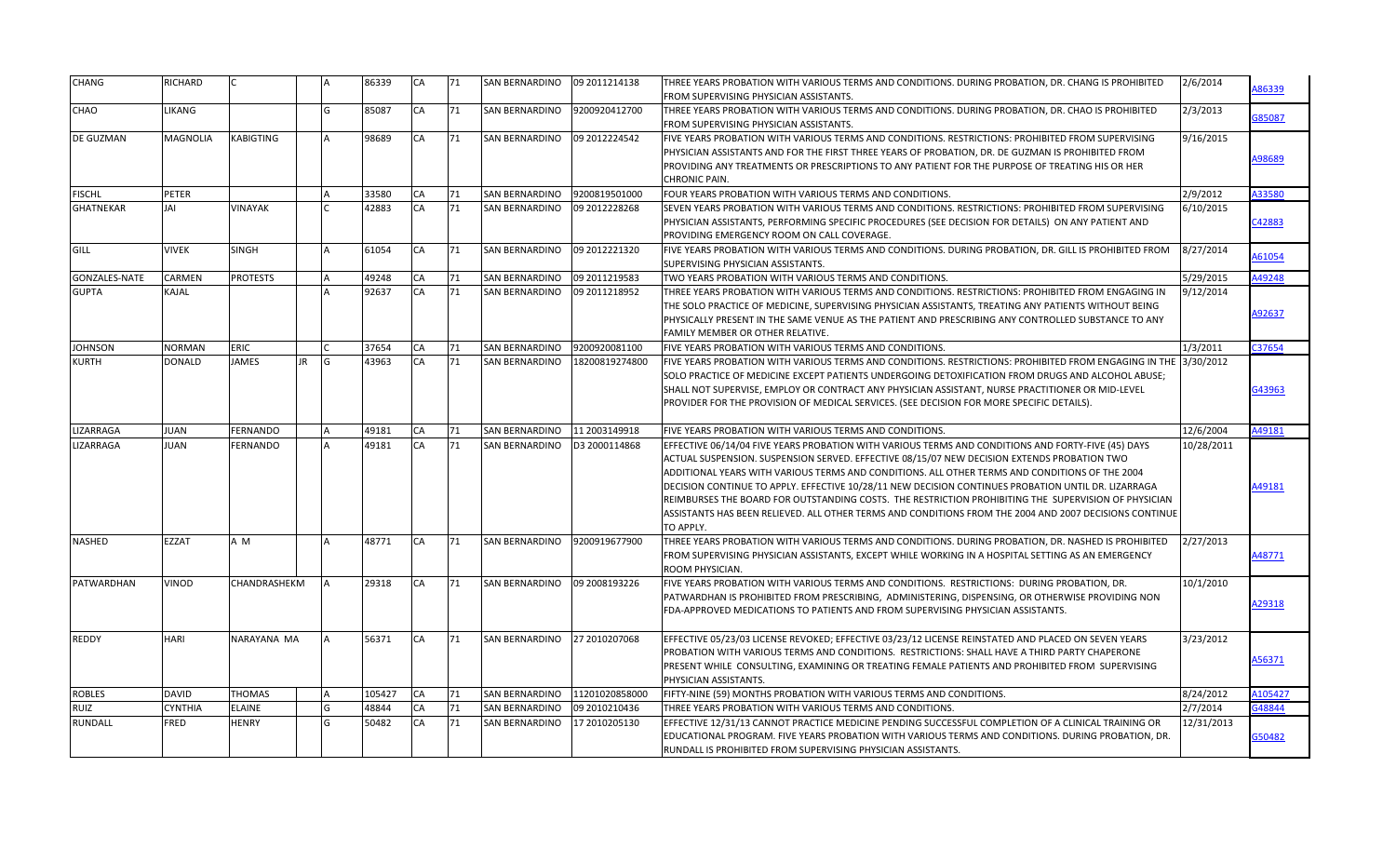| CHANG                | RICHARD       |                 |           |           | 86339  | <b>CA</b> | 71 | <b>SAN BERNARDINO</b> | 09 2011214138  | THREE YEARS PROBATION WITH VARIOUS TERMS AND CONDITIONS. DURING PROBATION, DR. CHANG IS PROHIBITED<br>FROM SUPERVISING PHYSICIAN ASSISTANTS.                                                                                                                                                                                                                                                                                                                                                                                                                                                                                              | 2/6/2014   | A86339  |
|----------------------|---------------|-----------------|-----------|-----------|--------|-----------|----|-----------------------|----------------|-------------------------------------------------------------------------------------------------------------------------------------------------------------------------------------------------------------------------------------------------------------------------------------------------------------------------------------------------------------------------------------------------------------------------------------------------------------------------------------------------------------------------------------------------------------------------------------------------------------------------------------------|------------|---------|
| CHAO                 | <b>LIKANG</b> |                 |           | G         | 85087  | CA        | 71 | <b>SAN BERNARDINO</b> | 9200920412700  | THREE YEARS PROBATION WITH VARIOUS TERMS AND CONDITIONS. DURING PROBATION, DR. CHAO IS PROHIBITED                                                                                                                                                                                                                                                                                                                                                                                                                                                                                                                                         | 2/3/2013   | G85087  |
| DE GUZMAN            | MAGNOLIA      | KABIGTING       |           |           | 98689  | CA        | 71 | <b>SAN BERNARDINO</b> | 09 2012224542  | FROM SUPERVISING PHYSICIAN ASSISTANTS.<br>FIVE YEARS PROBATION WITH VARIOUS TERMS AND CONDITIONS. RESTRICTIONS: PROHIBITED FROM SUPERVISING<br>PHYSICIAN ASSISTANTS AND FOR THE FIRST THREE YEARS OF PROBATION, DR. DE GUZMAN IS PROHIBITED FROM<br>PROVIDING ANY TREATMENTS OR PRESCRIPTIONS TO ANY PATIENT FOR THE PURPOSE OF TREATING HIS OR HER<br>CHRONIC PAIN.                                                                                                                                                                                                                                                                      | 9/16/2015  | A98689  |
| <b>FISCHL</b>        | PETER         |                 | <b>IA</b> |           | 33580  | CA        | 71 | SAN BERNARDINO        | 9200819501000  | FOUR YEARS PROBATION WITH VARIOUS TERMS AND CONDITIONS.                                                                                                                                                                                                                                                                                                                                                                                                                                                                                                                                                                                   | 2/9/2012   | A33580  |
| <b>GHATNEKAR</b>     | <b>JAI</b>    | <b>VINAYAK</b>  |           |           | 42883  | CA        | 71 | <b>SAN BERNARDINO</b> | 09 2012228268  | SEVEN YEARS PROBATION WITH VARIOUS TERMS AND CONDITIONS. RESTRICTIONS: PROHIBITED FROM SUPERVISING<br>PHYSICIAN ASSISTANTS, PERFORMING SPECIFIC PROCEDURES (SEE DECISION FOR DETAILS) ON ANY PATIENT AND<br>PROVIDING EMERGENCY ROOM ON CALL COVERAGE.                                                                                                                                                                                                                                                                                                                                                                                    | 6/10/2015  | C42883  |
| <b>GILL</b>          | <b>VIVEK</b>  | SINGH           |           |           | 61054  | CA        | 71 | <b>SAN BERNARDINO</b> | 09 2012221320  | FIVE YEARS PROBATION WITH VARIOUS TERMS AND CONDITIONS. DURING PROBATION, DR. GILL IS PROHIBITED FROM<br>SUPERVISING PHYSICIAN ASSISTANTS.                                                                                                                                                                                                                                                                                                                                                                                                                                                                                                | 8/27/2014  | A61054  |
| <b>GONZALES-NATE</b> | CARMEN        | <b>PROTESTS</b> |           |           | 49248  | CA        | 71 | <b>SAN BERNARDINO</b> | 09 2011219583  | TWO YEARS PROBATION WITH VARIOUS TERMS AND CONDITIONS.                                                                                                                                                                                                                                                                                                                                                                                                                                                                                                                                                                                    | 5/29/2015  | A49248  |
| <b>GUPTA</b>         | KAJAL         |                 |           |           | 92637  | CA        | 71 | <b>SAN BERNARDINO</b> | 09 2011218952  | THREE YEARS PROBATION WITH VARIOUS TERMS AND CONDITIONS. RESTRICTIONS: PROHIBITED FROM ENGAGING IN<br>THE SOLO PRACTICE OF MEDICINE, SUPERVISING PHYSICIAN ASSISTANTS, TREATING ANY PATIENTS WITHOUT BEING<br>PHYSICALLY PRESENT IN THE SAME VENUE AS THE PATIENT AND PRESCRIBING ANY CONTROLLED SUBSTANCE TO ANY<br>FAMILY MEMBER OR OTHER RELATIVE.                                                                                                                                                                                                                                                                                     | 9/12/2014  | A92637  |
| <b>JOHNSON</b>       | NORMAN        | <b>ERIC</b>     |           |           | 37654  | CA        | 71 | <b>SAN BERNARDINO</b> | 9200920081100  | FIVE YEARS PROBATION WITH VARIOUS TERMS AND CONDITIONS.                                                                                                                                                                                                                                                                                                                                                                                                                                                                                                                                                                                   | 1/3/2011   | C37654  |
| <b>KURTH</b>         | DONALD        | <b>JAMES</b>    | <b>JR</b> | G         | 43963  | CA        | 71 | <b>SAN BERNARDINO</b> | 18200819274800 | FIVE YEARS PROBATION WITH VARIOUS TERMS AND CONDITIONS. RESTRICTIONS: PROHIBITED FROM ENGAGING IN THE 3/30/2012<br>SOLO PRACTICE OF MEDICINE EXCEPT PATIENTS UNDERGOING DETOXIFICATION FROM DRUGS AND ALCOHOL ABUSE;<br>SHALL NOT SUPERVISE, EMPLOY OR CONTRACT ANY PHYSICIAN ASSISTANT, NURSE PRACTITIONER OR MID-LEVEL<br>PROVIDER FOR THE PROVISION OF MEDICAL SERVICES. (SEE DECISION FOR MORE SPECIFIC DETAILS).                                                                                                                                                                                                                     |            | G43963  |
| LIZARRAGA            | JUAN          | FERNANDO        | <b>A</b>  |           | 49181  | CA        | 71 | <b>SAN BERNARDINO</b> | 11 2003149918  | FIVE YEARS PROBATION WITH VARIOUS TERMS AND CONDITIONS.                                                                                                                                                                                                                                                                                                                                                                                                                                                                                                                                                                                   | 12/6/2004  | A49181  |
| LIZARRAGA            | JUAN          | FERNANDO        |           |           | 49181  | CA        | 71 | <b>SAN BERNARDINO</b> | D3 2000114868  | EFFECTIVE 06/14/04 FIVE YEARS PROBATION WITH VARIOUS TERMS AND CONDITIONS AND FORTY-FIVE (45) DAYS<br>ACTUAL SUSPENSION. SUSPENSION SERVED. EFFECTIVE 08/15/07 NEW DECISION EXTENDS PROBATION TWO<br>ADDITIONAL YEARS WITH VARIOUS TERMS AND CONDITIONS. ALL OTHER TERMS AND CONDITIONS OF THE 2004<br>DECISION CONTINUE TO APPLY. EFFECTIVE 10/28/11 NEW DECISION CONTINUES PROBATION UNTIL DR. LIZARRAGA<br>REIMBURSES THE BOARD FOR OUTSTANDING COSTS. THE RESTRICTION PROHIBITING THE SUPERVISION OF PHYSICIAN<br>ASSISTANTS HAS BEEN RELIEVED. ALL OTHER TERMS AND CONDITIONS FROM THE 2004 AND 2007 DECISIONS CONTINUE<br>TO APPLY. | 10/28/2011 | A49181  |
| <b>NASHED</b>        | EZZAT         | A M             |           |           | 48771  | CA        | 71 | <b>SAN BERNARDINO</b> | 9200919677900  | THREE YEARS PROBATION WITH VARIOUS TERMS AND CONDITIONS. DURING PROBATION, DR. NASHED IS PROHIBITED<br>FROM SUPERVISING PHYSICIAN ASSISTANTS, EXCEPT WHILE WORKING IN A HOSPITAL SETTING AS AN EMERGENCY<br>ROOM PHYSICIAN.                                                                                                                                                                                                                                                                                                                                                                                                               | 2/27/2013  | 148771  |
| <b>PATWARDHAN</b>    | VINOD         | CHANDRASHEKM    |           |           | 29318  | CA        | 71 | <b>SAN BERNARDINO</b> | 09 2008193226  | FIVE YEARS PROBATION WITH VARIOUS TERMS AND CONDITIONS. RESTRICTIONS: DURING PROBATION, DR.<br>PATWARDHAN IS PROHIBITED FROM PRESCRIBING, ADMINISTERING, DISPENSING, OR OTHERWISE PROVIDING NON<br>FDA-APPROVED MEDICATIONS TO PATIENTS AND FROM SUPERVISING PHYSICIAN ASSISTANTS.                                                                                                                                                                                                                                                                                                                                                        | 10/1/2010  | A29318  |
| REDDY                | HARI          | NARAYANA MA     |           |           | 56371  | CA        | 71 | SAN BERNARDINO        | 27 2010207068  | EFFECTIVE 05/23/03 LICENSE REVOKED; EFFECTIVE 03/23/12 LICENSE REINSTATED AND PLACED ON SEVEN YEARS<br>PROBATION WITH VARIOUS TERMS AND CONDITIONS. RESTRICTIONS: SHALL HAVE A THIRD PARTY CHAPERONE<br>PRESENT WHILE CONSULTING, EXAMINING OR TREATING FEMALE PATIENTS AND PROHIBITED FROM SUPERVISING<br>PHYSICIAN ASSISTANTS.                                                                                                                                                                                                                                                                                                          | 3/23/2012  | A56371  |
| <b>ROBLES</b>        | DAVID         | THOMAS          |           | <b>IA</b> | 105427 | CA        | 71 | SAN BERNARDINO        | 11201020858000 | FIFTY-NINE (59) MONTHS PROBATION WITH VARIOUS TERMS AND CONDITIONS.                                                                                                                                                                                                                                                                                                                                                                                                                                                                                                                                                                       | 8/24/2012  | A105427 |
| RUIZ                 | CYNTHIA       | <b>ELAINE</b>   |           | G         | 48844  | CA        | 71 | <b>SAN BERNARDINO</b> | 09 2010210436  | THREE YEARS PROBATION WITH VARIOUS TERMS AND CONDITIONS.                                                                                                                                                                                                                                                                                                                                                                                                                                                                                                                                                                                  | 2/7/2014   | 348844  |
| RUNDALL              | <b>FRED</b>   | HENRY           |           | G         | 50482  | CA        | 71 | <b>SAN BERNARDINO</b> | 17 2010205130  | EFFECTIVE 12/31/13 CANNOT PRACTICE MEDICINE PENDING SUCCESSFUL COMPLETION OF A CLINICAL TRAINING OR<br>EDUCATIONAL PROGRAM. FIVE YEARS PROBATION WITH VARIOUS TERMS AND CONDITIONS. DURING PROBATION, DR.<br>RUNDALL IS PROHIBITED FROM SUPERVISING PHYSICIAN ASSISTANTS.                                                                                                                                                                                                                                                                                                                                                                 | 12/31/2013 | 350482  |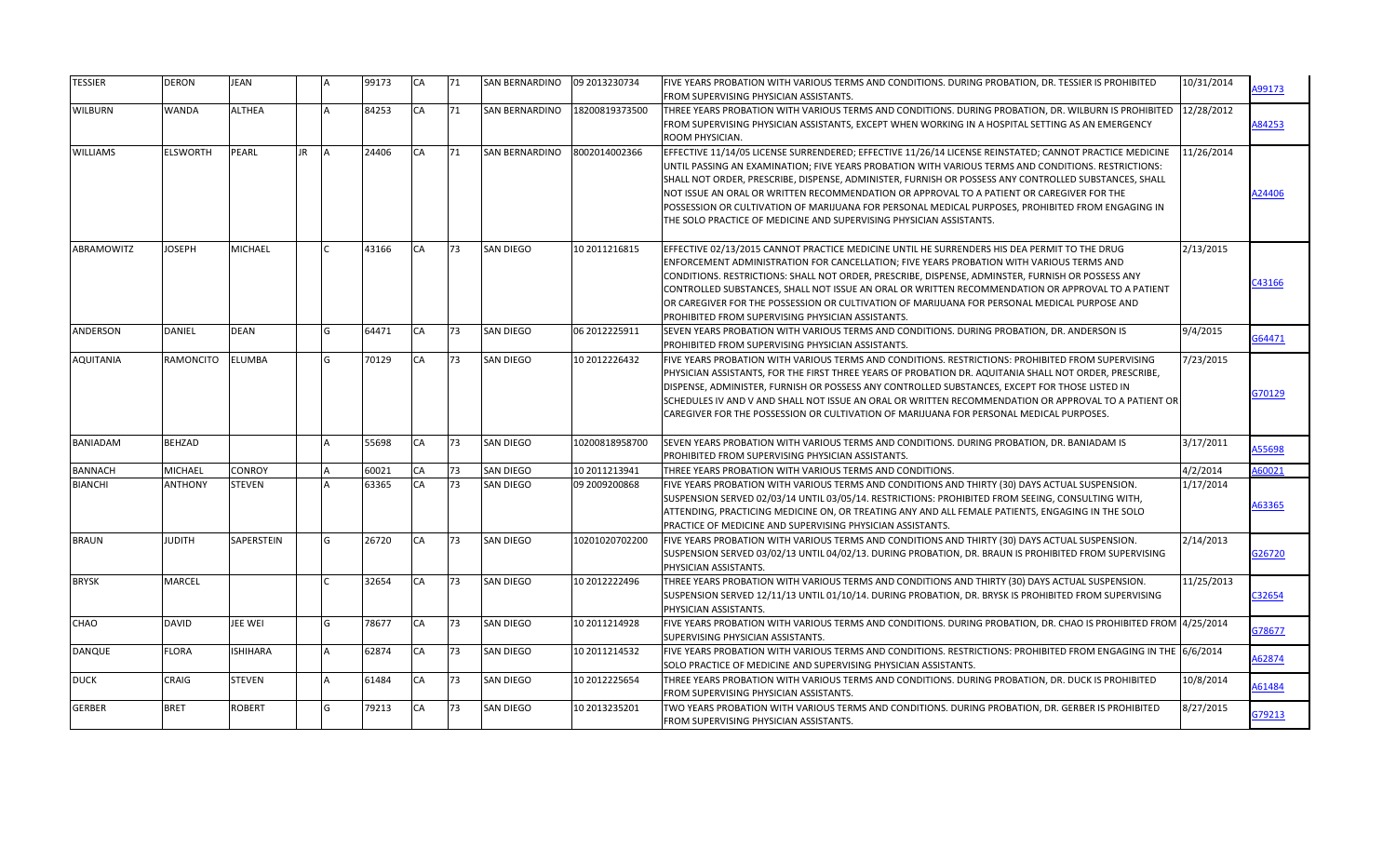| <b>TESSIER</b>    | <b>DERON</b>     | <b>JEAN</b>     |     |   | 99173 | <b>CA</b> | 71 | <b>SAN BERNARDINO</b> | 09 2013230734  | FIVE YEARS PROBATION WITH VARIOUS TERMS AND CONDITIONS. DURING PROBATION, DR. TESSIER IS PROHIBITED<br>FROM SUPERVISING PHYSICIAN ASSISTANTS.                                                                                                                                                                                                                                                                                                                                                                                                                                                    | 10/31/2014 | A99173        |
|-------------------|------------------|-----------------|-----|---|-------|-----------|----|-----------------------|----------------|--------------------------------------------------------------------------------------------------------------------------------------------------------------------------------------------------------------------------------------------------------------------------------------------------------------------------------------------------------------------------------------------------------------------------------------------------------------------------------------------------------------------------------------------------------------------------------------------------|------------|---------------|
| <b>WILBURN</b>    | <b>WANDA</b>     | <b>ALTHEA</b>   |     |   | 84253 | CA        | 71 | <b>SAN BERNARDINO</b> | 18200819373500 | THREE YEARS PROBATION WITH VARIOUS TERMS AND CONDITIONS. DURING PROBATION, DR. WILBURN IS PROHIBITED<br>FROM SUPERVISING PHYSICIAN ASSISTANTS, EXCEPT WHEN WORKING IN A HOSPITAL SETTING AS AN EMERGENCY<br>ROOM PHYSICIAN.                                                                                                                                                                                                                                                                                                                                                                      | 12/28/2012 | A84253        |
| <b>WILLIAMS</b>   | <b>ELSWORTH</b>  | <b>PEARL</b>    | JR. |   | 24406 | CA        | 71 | <b>SAN BERNARDINO</b> | 8002014002366  | EFFECTIVE 11/14/05 LICENSE SURRENDERED; EFFECTIVE 11/26/14 LICENSE REINSTATED; CANNOT PRACTICE MEDICINE<br>UNTIL PASSING AN EXAMINATION; FIVE YEARS PROBATION WITH VARIOUS TERMS AND CONDITIONS. RESTRICTIONS:<br>SHALL NOT ORDER, PRESCRIBE, DISPENSE, ADMINISTER, FURNISH OR POSSESS ANY CONTROLLED SUBSTANCES, SHALL<br>NOT ISSUE AN ORAL OR WRITTEN RECOMMENDATION OR APPROVAL TO A PATIENT OR CAREGIVER FOR THE<br>POSSESSION OR CULTIVATION OF MARIJUANA FOR PERSONAL MEDICAL PURPOSES, PROHIBITED FROM ENGAGING IN<br>THE SOLO PRACTICE OF MEDICINE AND SUPERVISING PHYSICIAN ASSISTANTS. | 11/26/2014 | A24406        |
| <b>ABRAMOWITZ</b> | <b>JOSEPH</b>    | <b>MICHAEL</b>  |     |   | 43166 | CA        | 73 | <b>SAN DIEGO</b>      | 10 2011216815  | EFFECTIVE 02/13/2015 CANNOT PRACTICE MEDICINE UNTIL HE SURRENDERS HIS DEA PERMIT TO THE DRUG<br>ENFORCEMENT ADMINISTRATION FOR CANCELLATION; FIVE YEARS PROBATION WITH VARIOUS TERMS AND<br>CONDITIONS. RESTRICTIONS: SHALL NOT ORDER, PRESCRIBE, DISPENSE, ADMINSTER, FURNISH OR POSSESS ANY<br>CONTROLLED SUBSTANCES, SHALL NOT ISSUE AN ORAL OR WRITTEN RECOMMENDATION OR APPROVAL TO A PATIENT<br>OR CAREGIVER FOR THE POSSESSION OR CULTIVATION OF MARIJUANA FOR PERSONAL MEDICAL PURPOSE AND<br>PROHIBITED FROM SUPERVISING PHYSICIAN ASSISTANTS.                                          | 2/13/2015  | C43166        |
| <b>ANDERSON</b>   | <b>DANIEL</b>    | <b>DEAN</b>     |     |   | 64471 | CA        | 73 | <b>SAN DIEGO</b>      | 06 2012225911  | SEVEN YEARS PROBATION WITH VARIOUS TERMS AND CONDITIONS. DURING PROBATION, DR. ANDERSON IS<br>PROHIBITED FROM SUPERVISING PHYSICIAN ASSISTANTS.                                                                                                                                                                                                                                                                                                                                                                                                                                                  | 9/4/2015   | G64471        |
| <b>AQUITANIA</b>  | <b>RAMONCITO</b> | <b>ELUMBA</b>   |     |   | 70129 | CA        | 73 | <b>SAN DIEGO</b>      | 10 2012226432  | FIVE YEARS PROBATION WITH VARIOUS TERMS AND CONDITIONS. RESTRICTIONS: PROHIBITED FROM SUPERVISING<br>PHYSICIAN ASSISTANTS, FOR THE FIRST THREE YEARS OF PROBATION DR. AQUITANIA SHALL NOT ORDER, PRESCRIBE,<br>DISPENSE, ADMINISTER, FURNISH OR POSSESS ANY CONTROLLED SUBSTANCES, EXCEPT FOR THOSE LISTED IN<br>SCHEDULES IV AND V AND SHALL NOT ISSUE AN ORAL OR WRITTEN RECOMMENDATION OR APPROVAL TO A PATIENT OR<br>CAREGIVER FOR THE POSSESSION OR CULTIVATION OF MARIJUANA FOR PERSONAL MEDICAL PURPOSES.                                                                                 | 7/23/2015  | G70129        |
| <b>BANIADAM</b>   | <b>BEHZAD</b>    |                 |     |   | 55698 | CA        | 73 | <b>SAN DIEGO</b>      | 10200818958700 | SEVEN YEARS PROBATION WITH VARIOUS TERMS AND CONDITIONS. DURING PROBATION, DR. BANIADAM IS<br>PROHIBITED FROM SUPERVISING PHYSICIAN ASSISTANTS.                                                                                                                                                                                                                                                                                                                                                                                                                                                  | 3/17/2011  | <b>A55698</b> |
| <b>BANNACH</b>    | <b>MICHAEL</b>   | <b>CONROY</b>   |     |   | 60021 | CA        | 73 | <b>SAN DIEGO</b>      | 10 2011213941  | THREE YEARS PROBATION WITH VARIOUS TERMS AND CONDITIONS.                                                                                                                                                                                                                                                                                                                                                                                                                                                                                                                                         | 4/2/2014   | 160021        |
| <b>BIANCHI</b>    | <b>ANTHONY</b>   | <b>STEVEN</b>   |     |   | 63365 | CA        | 73 | <b>SAN DIEGO</b>      | 09 2009200868  | FIVE YEARS PROBATION WITH VARIOUS TERMS AND CONDITIONS AND THIRTY (30) DAYS ACTUAL SUSPENSION.<br>SUSPENSION SERVED 02/03/14 UNTIL 03/05/14. RESTRICTIONS: PROHIBITED FROM SEEING, CONSULTING WITH,<br>ATTENDING, PRACTICING MEDICINE ON, OR TREATING ANY AND ALL FEMALE PATIENTS, ENGAGING IN THE SOLO<br>PRACTICE OF MEDICINE AND SUPERVISING PHYSICIAN ASSISTANTS.                                                                                                                                                                                                                            | 1/17/2014  | A63365        |
| <b>BRAUN</b>      | <b>JUDITH</b>    | SAPERSTEIN      |     | G | 26720 | <b>CA</b> | 73 | <b>SAN DIEGO</b>      | 10201020702200 | FIVE YEARS PROBATION WITH VARIOUS TERMS AND CONDITIONS AND THIRTY (30) DAYS ACTUAL SUSPENSION.<br>SUSPENSION SERVED 03/02/13 UNTIL 04/02/13. DURING PROBATION, DR. BRAUN IS PROHIBITED FROM SUPERVISING<br>PHYSICIAN ASSISTANTS.                                                                                                                                                                                                                                                                                                                                                                 | 2/14/2013  | 326720        |
| <b>BRYSK</b>      | <b>MARCEL</b>    |                 |     |   | 32654 | CA        | 73 | <b>SAN DIEGO</b>      | 10 2012222496  | THREE YEARS PROBATION WITH VARIOUS TERMS AND CONDITIONS AND THIRTY (30) DAYS ACTUAL SUSPENSION.<br>SUSPENSION SERVED 12/11/13 UNTIL 01/10/14. DURING PROBATION, DR. BRYSK IS PROHIBITED FROM SUPERVISING<br>PHYSICIAN ASSISTANTS.                                                                                                                                                                                                                                                                                                                                                                | 11/25/2013 | C32654        |
| CHAO              | <b>DAVID</b>     | JEE WEI         |     |   | 78677 | CA        | 73 | <b>SAN DIEGO</b>      | 10 2011214928  | FIVE YEARS PROBATION WITH VARIOUS TERMS AND CONDITIONS. DURING PROBATION, DR. CHAO IS PROHIBITED FROM 4/25/2014<br>SUPERVISING PHYSICIAN ASSISTANTS.                                                                                                                                                                                                                                                                                                                                                                                                                                             |            | G78677        |
| DANQUE            | <b>FLORA</b>     | <b>ISHIHARA</b> |     |   | 62874 | CA        | 73 | <b>SAN DIEGO</b>      | 10 2011214532  | FIVE YEARS PROBATION WITH VARIOUS TERMS AND CONDITIONS. RESTRICTIONS: PROHIBITED FROM ENGAGING IN THE 6/6/2014<br>SOLO PRACTICE OF MEDICINE AND SUPERVISING PHYSICIAN ASSISTANTS.                                                                                                                                                                                                                                                                                                                                                                                                                |            | A62874        |
| <b>DUCK</b>       | <b>CRAIG</b>     | <b>STEVEN</b>   |     |   | 61484 | <b>CA</b> | 73 | <b>SAN DIEGO</b>      | 10 2012225654  | THREE YEARS PROBATION WITH VARIOUS TERMS AND CONDITIONS. DURING PROBATION, DR. DUCK IS PROHIBITED<br>FROM SUPERVISING PHYSICIAN ASSISTANTS.                                                                                                                                                                                                                                                                                                                                                                                                                                                      | 10/8/2014  | A61484        |
| <b>GERBER</b>     | <b>BRET</b>      | ROBERT          |     |   | 79213 | CA        | 73 | <b>SAN DIEGO</b>      | 10 2013235201  | TWO YEARS PROBATION WITH VARIOUS TERMS AND CONDITIONS. DURING PROBATION, DR. GERBER IS PROHIBITED<br>FROM SUPERVISING PHYSICIAN ASSISTANTS.                                                                                                                                                                                                                                                                                                                                                                                                                                                      | 8/27/2015  | G79213        |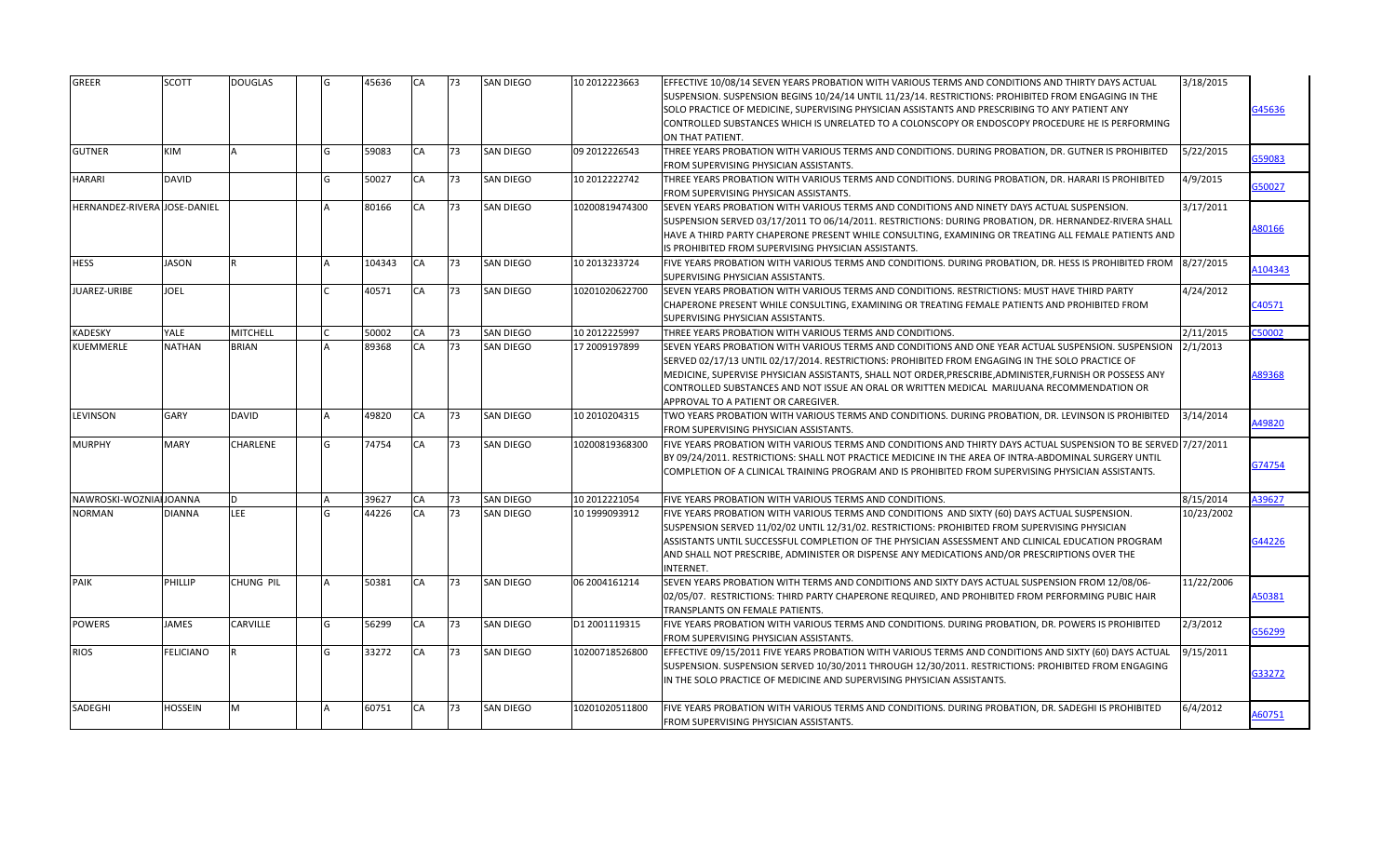| <b>GREER</b>                 | <b>SCOTT</b>     | <b>DOUGLAS</b>  |   | 45636  | <b>CA</b> | 73  | <b>SAN DIEGO</b> | 10 2012223663  | EFFECTIVE 10/08/14 SEVEN YEARS PROBATION WITH VARIOUS TERMS AND CONDITIONS AND THIRTY DAYS ACTUAL<br>SUSPENSION. SUSPENSION BEGINS 10/24/14 UNTIL 11/23/14. RESTRICTIONS: PROHIBITED FROM ENGAGING IN THE<br>SOLO PRACTICE OF MEDICINE, SUPERVISING PHYSICIAN ASSISTANTS AND PRESCRIBING TO ANY PATIENT ANY<br>CONTROLLED SUBSTANCES WHICH IS UNRELATED TO A COLONSCOPY OR ENDOSCOPY PROCEDURE HE IS PERFORMING<br>ON THAT PATIENT.                              | 3/18/2015  | G45636  |
|------------------------------|------------------|-----------------|---|--------|-----------|-----|------------------|----------------|------------------------------------------------------------------------------------------------------------------------------------------------------------------------------------------------------------------------------------------------------------------------------------------------------------------------------------------------------------------------------------------------------------------------------------------------------------------|------------|---------|
| <b>GUTNER</b>                | <b>KIM</b>       | IΔ              | G | 59083  | CA        | 73  | <b>SAN DIEGO</b> | 09 2012226543  | THREE YEARS PROBATION WITH VARIOUS TERMS AND CONDITIONS. DURING PROBATION, DR. GUTNER IS PROHIBITED<br><b>FROM SUPERVISING PHYSICIAN ASSISTANTS.</b>                                                                                                                                                                                                                                                                                                             | 5/22/2015  | G59083  |
| HARARI                       | <b>DAVID</b>     |                 |   | 50027  | CA        | 73  | <b>SAN DIEGO</b> | 10 2012222742  | THREE YEARS PROBATION WITH VARIOUS TERMS AND CONDITIONS. DURING PROBATION, DR. HARARI IS PROHIBITED<br>FROM SUPERVISING PHYSICAN ASSISTANTS.                                                                                                                                                                                                                                                                                                                     | 4/9/2015   | G50027  |
| HERNANDEZ-RIVERA JOSE-DANIEL |                  |                 |   | 80166  | CA        | 73  | SAN DIEGO        | 10200819474300 | SEVEN YEARS PROBATION WITH VARIOUS TERMS AND CONDITIONS AND NINETY DAYS ACTUAL SUSPENSION.<br>SUSPENSION SERVED 03/17/2011 TO 06/14/2011. RESTRICTIONS: DURING PROBATION, DR. HERNANDEZ-RIVERA SHALL<br>HAVE A THIRD PARTY CHAPERONE PRESENT WHILE CONSULTING, EXAMINING OR TREATING ALL FEMALE PATIENTS AND<br>IS PROHIBITED FROM SUPERVISING PHYSICIAN ASSISTANTS.                                                                                             | 3/17/2011  | A80166  |
| <b>HESS</b>                  | <b>JASON</b>     | R               |   | 104343 | CA        | 173 | <b>SAN DIEGO</b> | 10 2013233724  | FIVE YEARS PROBATION WITH VARIOUS TERMS AND CONDITIONS. DURING PROBATION, DR. HESS IS PROHIBITED FROM 8/27/2015<br>SUPERVISING PHYSICIAN ASSISTANTS.                                                                                                                                                                                                                                                                                                             |            | A104343 |
| JUAREZ-URIBE                 | <b>JOEL</b>      |                 |   | 40571  | CA        | 73  | <b>SAN DIEGO</b> | 10201020622700 | <b>SEVEN YEARS PROBATION WITH VARIOUS TERMS AND CONDITIONS. RESTRICTIONS: MUST HAVE THIRD PARTY</b><br>CHAPERONE PRESENT WHILE CONSULTING, EXAMINING OR TREATING FEMALE PATIENTS AND PROHIBITED FROM<br>SUPERVISING PHYSICIAN ASSISTANTS.                                                                                                                                                                                                                        | 4/24/2012  | 240571  |
| <b>KADESKY</b>               | YALE             | <b>MITCHELL</b> |   | 50002  | CA        | 173 | <b>SAN DIEGO</b> | 10 2012225997  | THREE YEARS PROBATION WITH VARIOUS TERMS AND CONDITIONS.                                                                                                                                                                                                                                                                                                                                                                                                         | 2/11/2015  | C50002  |
| <b>KUEMMERLE</b>             | <b>NATHAN</b>    | <b>BRIAN</b>    |   | 89368  | <b>CA</b> | 73  | <b>SAN DIEGO</b> | 17 2009197899  | SEVEN YEARS PROBATION WITH VARIOUS TERMS AND CONDITIONS AND ONE YEAR ACTUAL SUSPENSION. SUSPENSION 2/1/2013<br>SERVED 02/17/13 UNTIL 02/17/2014. RESTRICTIONS: PROHIBITED FROM ENGAGING IN THE SOLO PRACTICE OF<br>MEDICINE, SUPERVISE PHYSICIAN ASSISTANTS, SHALL NOT ORDER, PRESCRIBE, ADMINISTER, FURNISH OR POSSESS ANY<br>CONTROLLED SUBSTANCES AND NOT ISSUE AN ORAL OR WRITTEN MEDICAL MARIJUANA RECOMMENDATION OR<br>APPROVAL TO A PATIENT OR CAREGIVER. |            | A89368  |
| <b>EVINSON</b>               | <b>GARY</b>      | <b>DAVID</b>    |   | 49820  | CA        | 73  | <b>SAN DIEGO</b> | 10 2010204315  | TWO YEARS PROBATION WITH VARIOUS TERMS AND CONDITIONS. DURING PROBATION, DR. LEVINSON IS PROHIBITED<br>FROM SUPERVISING PHYSICIAN ASSISTANTS.                                                                                                                                                                                                                                                                                                                    | 3/14/2014  | A49820  |
| <b>MURPHY</b>                | <b>MARY</b>      | CHARLENE        |   | 74754  | CA        | 73  | <b>SAN DIEGO</b> | 10200819368300 | FIVE YEARS PROBATION WITH VARIOUS TERMS AND CONDITIONS AND THIRTY DAYS ACTUAL SUSPENSION TO BE SERVED 7/27/2011<br>BY 09/24/2011. RESTRICTIONS: SHALL NOT PRACTICE MEDICINE IN THE AREA OF INTRA-ABDOMINAL SURGERY UNTIL<br>COMPLETION OF A CLINICAL TRAINING PROGRAM AND IS PROHIBITED FROM SUPERVISING PHYSICIAN ASSISTANTS.                                                                                                                                   |            | G74754  |
| NAWROSKI-WOZNIAI JOANNA      |                  | D               |   | 39627  | CA        | 173 | <b>SAN DIEGO</b> | 10 2012221054  | FIVE YEARS PROBATION WITH VARIOUS TERMS AND CONDITIONS.                                                                                                                                                                                                                                                                                                                                                                                                          | 8/15/2014  | A39627  |
| <b>NORMAN</b>                | <b>DIANNA</b>    | LEE             |   | 44226  | <b>CA</b> | 73  | <b>SAN DIEGO</b> | 10 1999093912  | FIVE YEARS PROBATION WITH VARIOUS TERMS AND CONDITIONS AND SIXTY (60) DAYS ACTUAL SUSPENSION.<br>SUSPENSION SERVED 11/02/02 UNTIL 12/31/02. RESTRICTIONS: PROHIBITED FROM SUPERVISING PHYSICIAN<br>ASSISTANTS UNTIL SUCCESSFUL COMPLETION OF THE PHYSICIAN ASSESSMENT AND CLINICAL EDUCATION PROGRAM<br>AND SHALL NOT PRESCRIBE, ADMINISTER OR DISPENSE ANY MEDICATIONS AND/OR PRESCRIPTIONS OVER THE<br><b>INTERNET.</b>                                        | 10/23/2002 | G44226  |
| <b>PAIK</b>                  | PHILLIP          | CHUNG PIL       |   | 50381  | CA        | 73  | <b>SAN DIEGO</b> | 06 2004161214  | SEVEN YEARS PROBATION WITH TERMS AND CONDITIONS AND SIXTY DAYS ACTUAL SUSPENSION FROM 12/08/06-<br>02/05/07. RESTRICTIONS: THIRD PARTY CHAPERONE REQUIRED, AND PROHIBITED FROM PERFORMING PUBIC HAIR<br>TRANSPLANTS ON FEMALE PATIENTS.                                                                                                                                                                                                                          | 11/22/2006 | A50381  |
| <b>POWERS</b>                | <b>JAMES</b>     | <b>CARVILLE</b> | G | 56299  | CA        | 73  | <b>SAN DIEGO</b> | D1 2001119315  | FIVE YEARS PROBATION WITH VARIOUS TERMS AND CONDITIONS. DURING PROBATION, DR. POWERS IS PROHIBITED<br>FROM SUPERVISING PHYSICIAN ASSISTANTS.                                                                                                                                                                                                                                                                                                                     | 2/3/2012   | G56299  |
| <b>RIOS</b>                  | <b>FELICIANO</b> | <b>R</b>        |   | 33272  | <b>CA</b> | 73  | <b>SAN DIEGO</b> | 10200718526800 | EFFECTIVE 09/15/2011 FIVE YEARS PROBATION WITH VARIOUS TERMS AND CONDITIONS AND SIXTY (60) DAYS ACTUAL<br>SUSPENSION. SUSPENSION SERVED 10/30/2011 THROUGH 12/30/2011. RESTRICTIONS: PROHIBITED FROM ENGAGING<br>IN THE SOLO PRACTICE OF MEDICINE AND SUPERVISING PHYSICIAN ASSISTANTS.                                                                                                                                                                          | 9/15/2011  | G33272  |
| SADEGHI                      | <b>HOSSEIN</b>   | M               |   | 60751  | CA        | 73  | <b>SAN DIEGO</b> | 10201020511800 | FIVE YEARS PROBATION WITH VARIOUS TERMS AND CONDITIONS. DURING PROBATION, DR. SADEGHI IS PROHIBITED<br><b>FROM SUPERVISING PHYSICIAN ASSISTANTS.</b>                                                                                                                                                                                                                                                                                                             | 6/4/2012   | A60751  |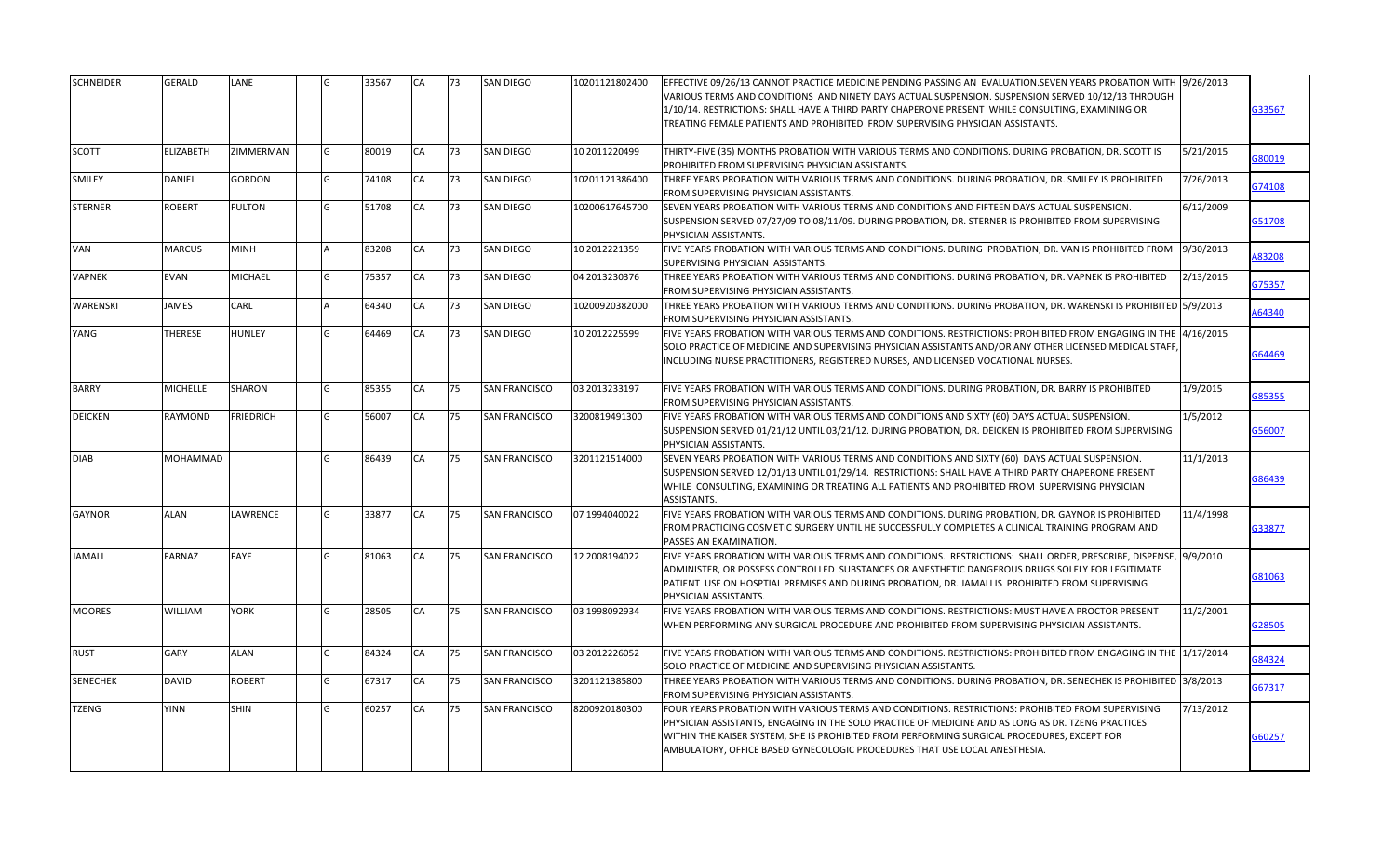| <b>SCHNEIDER</b> | GERALD          | LANE             | G | 33567 | CA        | 73 | <b>SAN DIEGO</b>     | 10201121802400 | EFFECTIVE 09/26/13 CANNOT PRACTICE MEDICINE PENDING PASSING AN EVALUATION.SEVEN YEARS PROBATION WITH 19/26/2013<br>VARIOUS TERMS AND CONDITIONS AND NINETY DAYS ACTUAL SUSPENSION. SUSPENSION SERVED 10/12/13 THROUGH<br>1/10/14. RESTRICTIONS: SHALL HAVE A THIRD PARTY CHAPERONE PRESENT WHILE CONSULTING. EXAMINING OR<br>TREATING FEMALE PATIENTS AND PROHIBITED FROM SUPERVISING PHYSICIAN ASSISTANTS. | G33567        |
|------------------|-----------------|------------------|---|-------|-----------|----|----------------------|----------------|-------------------------------------------------------------------------------------------------------------------------------------------------------------------------------------------------------------------------------------------------------------------------------------------------------------------------------------------------------------------------------------------------------------|---------------|
| SCOTT            | ELIZABETH       | ZIMMERMAN        | G | 80019 | CA        | 73 | SAN DIEGO            | 10 2011220499  | THIRTY-FIVE (35) MONTHS PROBATION WITH VARIOUS TERMS AND CONDITIONS. DURING PROBATION, DR. SCOTT IS<br>5/21/2015<br>PROHIBITED FROM SUPERVISING PHYSICIAN ASSISTANTS.                                                                                                                                                                                                                                       | 680019        |
| SMILEY           | DANIEL          | <b>GORDON</b>    | G | 74108 | CA        | 73 | SAN DIEGO            | 10201121386400 | THREE YEARS PROBATION WITH VARIOUS TERMS AND CONDITIONS. DURING PROBATION, DR. SMILEY IS PROHIBITED<br>7/26/2013<br>FROM SUPERVISING PHYSICIAN ASSISTANTS.                                                                                                                                                                                                                                                  | G74108        |
| STERNER          | ROBERT          | <b>FULTON</b>    | G | 51708 | CA        | 73 | SAN DIEGO            | 10200617645700 | SEVEN YEARS PROBATION WITH VARIOUS TERMS AND CONDITIONS AND FIFTEEN DAYS ACTUAL SUSPENSION.<br>6/12/2009<br>SUSPENSION SERVED 07/27/09 TO 08/11/09. DURING PROBATION, DR. STERNER IS PROHIBITED FROM SUPERVISING<br>PHYSICIAN ASSISTANTS.                                                                                                                                                                   | G51708        |
| VAN              | MARCUS          | <b>MINH</b>      |   | 83208 | CA        | 73 | SAN DIEGO            | 10 2012221359  | FIVE YEARS PROBATION WITH VARIOUS TERMS AND CONDITIONS. DURING PROBATION, DR. VAN IS PROHIBITED FROM<br>9/30/2013<br>SUPERVISING PHYSICIAN ASSISTANTS.                                                                                                                                                                                                                                                      | 483208        |
| VAPNEK           | EVAN            | <b>MICHAEL</b>   | G | 75357 | CA        | 73 | SAN DIEGO            | 04 2013230376  | 2/13/2015<br>THREE YEARS PROBATION WITH VARIOUS TERMS AND CONDITIONS. DURING PROBATION, DR. VAPNEK IS PROHIBITED<br>FROM SUPERVISING PHYSICIAN ASSISTANTS.                                                                                                                                                                                                                                                  | <b>G75357</b> |
| <b>WARENSKI</b>  | <b>JAMES</b>    | CARL             |   | 64340 | CA        | 73 | <b>SAN DIEGO</b>     | 10200920382000 | THREE YEARS PROBATION WITH VARIOUS TERMS AND CONDITIONS. DURING PROBATION, DR. WARENSKI IS PROHIBITED 5/9/2013<br>FROM SUPERVISING PHYSICIAN ASSISTANTS.                                                                                                                                                                                                                                                    | 164340        |
| YANG             | THERESE         | <b>HUNLEY</b>    | G | 64469 | CA        | 73 | <b>SAN DIEGO</b>     | 10 2012225599  | FIVE YEARS PROBATION WITH VARIOUS TERMS AND CONDITIONS. RESTRICTIONS: PROHIBITED FROM ENGAGING IN THE 14/16/2015<br>SOLO PRACTICE OF MEDICINE AND SUPERVISING PHYSICIAN ASSISTANTS AND/OR ANY OTHER LICENSED MEDICAL STAFF<br>INCLUDING NURSE PRACTITIONERS, REGISTERED NURSES, AND LICENSED VOCATIONAL NURSES.                                                                                             | G64469        |
| <b>BARRY</b>     | <b>MICHELLE</b> | <b>SHARON</b>    | G | 85355 | CA        | 75 | <b>SAN FRANCISCO</b> | 03 2013233197  | FIVE YEARS PROBATION WITH VARIOUS TERMS AND CONDITIONS. DURING PROBATION, DR. BARRY IS PROHIBITED<br>1/9/2015<br>FROM SUPERVISING PHYSICIAN ASSISTANTS.                                                                                                                                                                                                                                                     | 385355        |
| <b>DEICKEN</b>   | RAYMOND         | <b>FRIEDRICH</b> | G | 56007 | CA        | 75 | <b>SAN FRANCISCO</b> | 3200819491300  | FIVE YEARS PROBATION WITH VARIOUS TERMS AND CONDITIONS AND SIXTY (60) DAYS ACTUAL SUSPENSION.<br>1/5/2012<br>SUSPENSION SERVED 01/21/12 UNTIL 03/21/12. DURING PROBATION, DR. DEICKEN IS PROHIBITED FROM SUPERVISING<br>PHYSICIAN ASSISTANTS.                                                                                                                                                               | <b>356007</b> |
| <b>DIAB</b>      | MOHAMMAD        |                  | G | 86439 | CA        | 75 | <b>SAN FRANCISCO</b> | 3201121514000  | SEVEN YEARS PROBATION WITH VARIOUS TERMS AND CONDITIONS AND SIXTY (60) DAYS ACTUAL SUSPENSION.<br>11/1/2013<br>SUSPENSION SERVED 12/01/13 UNTIL 01/29/14. RESTRICTIONS: SHALL HAVE A THIRD PARTY CHAPERONE PRESENT<br>WHILE CONSULTING, EXAMINING OR TREATING ALL PATIENTS AND PROHIBITED FROM SUPERVISING PHYSICIAN<br>ASSISTANTS.                                                                         | 686439        |
| GAYNOR           | <b>ALAN</b>     | LAWRENCE         | G | 33877 | CA        | 75 | <b>SAN FRANCISCO</b> | 07 1994040022  | FIVE YEARS PROBATION WITH VARIOUS TERMS AND CONDITIONS. DURING PROBATION, DR. GAYNOR IS PROHIBITED<br>11/4/1998<br>FROM PRACTICING COSMETIC SURGERY UNTIL HE SUCCESSFULLY COMPLETES A CLINICAL TRAINING PROGRAM AND<br>PASSES AN EXAMINATION.                                                                                                                                                               | G33877        |
| <b>JAMALI</b>    | FARNAZ          | <b>FAYE</b>      | G | 81063 | <b>CA</b> | 75 | <b>SAN FRANCISCO</b> | 12 2008194022  | FIVE YEARS PROBATION WITH VARIOUS TERMS AND CONDITIONS. RESTRICTIONS: SHALL ORDER, PRESCRIBE, DISPENSE, 19/9/2010<br>ADMINISTER, OR POSSESS CONTROLLED SUBSTANCES OR ANESTHETIC DANGEROUS DRUGS SOLELY FOR LEGITIMATE<br>PATIENT USE ON HOSPTIAL PREMISES AND DURING PROBATION, DR. JAMALI IS PROHIBITED FROM SUPERVISING<br>PHYSICIAN ASSISTANTS.                                                          | 381063        |
| <b>MOORES</b>    | WILLIAM         | <b>YORK</b>      | G | 28505 | CA        | 75 | <b>SAN FRANCISCO</b> | 03 1998092934  | 11/2/2001<br>FIVE YEARS PROBATION WITH VARIOUS TERMS AND CONDITIONS. RESTRICTIONS: MUST HAVE A PROCTOR PRESENT<br>WHEN PERFORMING ANY SURGICAL PROCEDURE AND PROHIBITED FROM SUPERVISING PHYSICIAN ASSISTANTS.                                                                                                                                                                                              | 328505        |
| <b>RUST</b>      | GARY            | <b>ALAN</b>      | G | 84324 | CA        | 75 | <b>SAN FRANCISCO</b> | 03 2012226052  | FIVE YEARS PROBATION WITH VARIOUS TERMS AND CONDITIONS. RESTRICTIONS: PROHIBITED FROM ENGAGING IN THE 11/17/2014<br>SOLO PRACTICE OF MEDICINE AND SUPERVISING PHYSICIAN ASSISTANTS.                                                                                                                                                                                                                         | 384324        |
| <b>SENECHEK</b>  | DAVID           | <b>ROBERT</b>    | G | 67317 | CA        | 75 | <b>SAN FRANCISCO</b> | 3201121385800  | THREE YEARS PROBATION WITH VARIOUS TERMS AND CONDITIONS. DURING PROBATION, DR. SENECHEK IS PROHIBITED 3/8/2013<br>FROM SUPERVISING PHYSICIAN ASSISTANTS.                                                                                                                                                                                                                                                    | G67317        |
| TZENG            | <b>YINN</b>     | <b>SHIN</b>      | G | 60257 | CA        | 75 | <b>SAN FRANCISCO</b> | 8200920180300  | FOUR YEARS PROBATION WITH VARIOUS TERMS AND CONDITIONS. RESTRICTIONS: PROHIBITED FROM SUPERVISING<br>7/13/2012<br>PHYSICIAN ASSISTANTS, ENGAGING IN THE SOLO PRACTICE OF MEDICINE AND AS LONG AS DR. TZENG PRACTICES<br>WITHIN THE KAISER SYSTEM, SHE IS PROHIBITED FROM PERFORMING SURGICAL PROCEDURES, EXCEPT FOR<br>AMBULATORY, OFFICE BASED GYNECOLOGIC PROCEDURES THAT USE LOCAL ANESTHESIA.           | G60257        |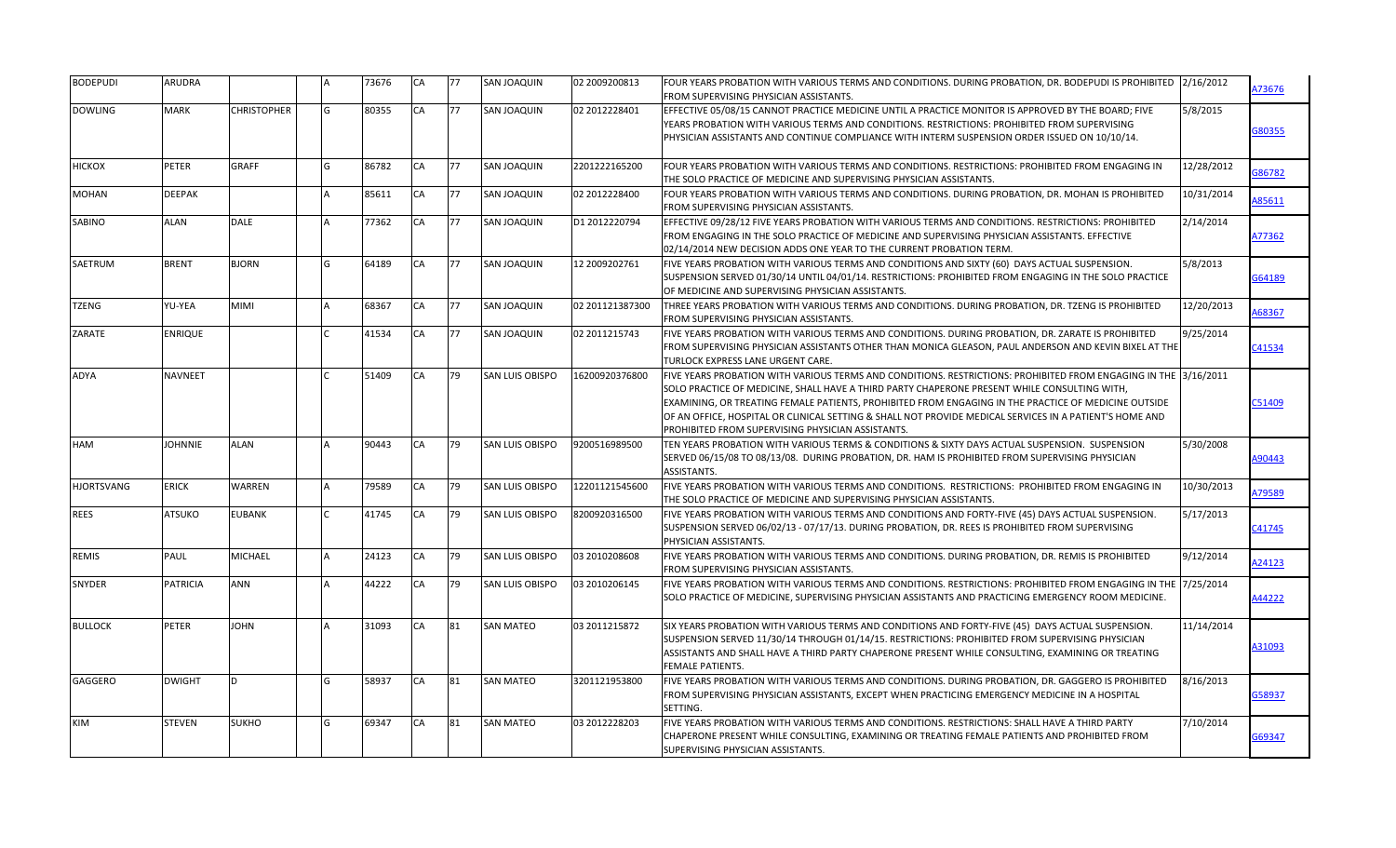| <b>BODEPUDI</b>   | ARUDRA          |                    |     | 73676 | CA        | 77 | SAN JOAQUIN            | 02 2009200813   | FOUR YEARS PROBATION WITH VARIOUS TERMS AND CONDITIONS. DURING PROBATION, DR. BODEPUDI IS PROHIBITED 2/16/2012<br>FROM SUPERVISING PHYSICIAN ASSISTANTS.                                                                                                                                                                                                                                                                                                                                 |            | A73676 |
|-------------------|-----------------|--------------------|-----|-------|-----------|----|------------------------|-----------------|------------------------------------------------------------------------------------------------------------------------------------------------------------------------------------------------------------------------------------------------------------------------------------------------------------------------------------------------------------------------------------------------------------------------------------------------------------------------------------------|------------|--------|
| <b>DOWLING</b>    | <b>MARK</b>     | <b>CHRISTOPHER</b> | G   | 80355 | CA        | 77 | <b>SAN JOAQUIN</b>     | 02 2012228401   | EFFECTIVE 05/08/15 CANNOT PRACTICE MEDICINE UNTIL A PRACTICE MONITOR IS APPROVED BY THE BOARD; FIVE<br>YEARS PROBATION WITH VARIOUS TERMS AND CONDITIONS. RESTRICTIONS: PROHIBITED FROM SUPERVISING<br>PHYSICIAN ASSISTANTS AND CONTINUE COMPLIANCE WITH INTERM SUSPENSION ORDER ISSUED ON 10/10/14.                                                                                                                                                                                     | 5/8/2015   | G80355 |
| HICKOX            | PETER           | GRAFF              | G   | 86782 | CA        | 77 | SAN JOAQUIN            | 2201222165200   | FOUR YEARS PROBATION WITH VARIOUS TERMS AND CONDITIONS. RESTRICTIONS: PROHIBITED FROM ENGAGING IN<br>THE SOLO PRACTICE OF MEDICINE AND SUPERVISING PHYSICIAN ASSISTANTS.                                                                                                                                                                                                                                                                                                                 | 12/28/2012 | 686782 |
| MOHAN             | <b>DEEPAK</b>   |                    | ۱Δ  | 85611 | CA        | 77 | SAN JOAQUIN            | 02 2012228400   | FOUR YEARS PROBATION WITH VARIOUS TERMS AND CONDITIONS. DURING PROBATION, DR. MOHAN IS PROHIBITED<br>FROM SUPERVISING PHYSICIAN ASSISTANTS.                                                                                                                                                                                                                                                                                                                                              | 10/31/2014 | 85611  |
| SABINO            | <b>ALAN</b>     | <b>DALE</b>        |     | 77362 | CA        | 77 | SAN JOAQUIN            | D1 2012220794   | EFFECTIVE 09/28/12 FIVE YEARS PROBATION WITH VARIOUS TERMS AND CONDITIONS. RESTRICTIONS: PROHIBITED<br>FROM ENGAGING IN THE SOLO PRACTICE OF MEDICINE AND SUPERVISING PHYSICIAN ASSISTANTS. EFFECTIVE<br>02/14/2014 NEW DECISION ADDS ONE YEAR TO THE CURRENT PROBATION TERM.                                                                                                                                                                                                            | 2/14/2014  | A77362 |
| SAETRUM           | <b>BRENT</b>    | BJORN              | G   | 64189 | CA        | 77 | SAN JOAQUIN            | 12 2009202761   | FIVE YEARS PROBATION WITH VARIOUS TERMS AND CONDITIONS AND SIXTY (60) DAYS ACTUAL SUSPENSION.<br>SUSPENSION SERVED 01/30/14 UNTIL 04/01/14. RESTRICTIONS: PROHIBITED FROM ENGAGING IN THE SOLO PRACTICE<br>OF MEDICINE AND SUPERVISING PHYSICIAN ASSISTANTS.                                                                                                                                                                                                                             | 5/8/2013   | G64189 |
| <b>TZENG</b>      | YU-YEA          | MIMI               |     | 68367 | CA        | 77 | <b>SAN JOAQUIN</b>     | 02 201121387300 | THREE YEARS PROBATION WITH VARIOUS TERMS AND CONDITIONS. DURING PROBATION, DR. TZENG IS PROHIBITED<br>FROM SUPERVISING PHYSICIAN ASSISTANTS.                                                                                                                                                                                                                                                                                                                                             | 12/20/2013 | 168367 |
| ZARATE            | ENRIQUE         |                    |     | 41534 | CA        | 77 | <b>SAN JOAQUIN</b>     | 02 2011215743   | FIVE YEARS PROBATION WITH VARIOUS TERMS AND CONDITIONS. DURING PROBATION, DR. ZARATE IS PROHIBITED<br>FROM SUPERVISING PHYSICIAN ASSISTANTS OTHER THAN MONICA GLEASON, PAUL ANDERSON AND KEVIN BIXEL AT THE<br>TURLOCK EXPRESS LANE URGENT CARE.                                                                                                                                                                                                                                         | 9/25/2014  | C41534 |
| ADYA              | NAVNEET         |                    |     | 51409 | CA        | 79 | <b>SAN LUIS OBISPO</b> | 16200920376800  | FIVE YEARS PROBATION WITH VARIOUS TERMS AND CONDITIONS. RESTRICTIONS: PROHIBITED FROM ENGAGING IN THE 13/16/2011<br>SOLO PRACTICE OF MEDICINE, SHALL HAVE A THIRD PARTY CHAPERONE PRESENT WHILE CONSULTING WITH,<br>EXAMINING, OR TREATING FEMALE PATIENTS, PROHIBITED FROM ENGAGING IN THE PRACTICE OF MEDICINE OUTSIDE<br>OF AN OFFICE, HOSPITAL OR CLINICAL SETTING & SHALL NOT PROVIDE MEDICAL SERVICES IN A PATIENT'S HOME AND<br>PROHIBITED FROM SUPERVISING PHYSICIAN ASSISTANTS. |            | C51409 |
| HAM               | <b>JOHNNIE</b>  | <b>ALAN</b>        |     | 90443 | CA        | 79 | <b>SAN LUIS OBISPO</b> | 9200516989500   | TEN YEARS PROBATION WITH VARIOUS TERMS & CONDITIONS & SIXTY DAYS ACTUAL SUSPENSION. SUSPENSION<br>SERVED 06/15/08 TO 08/13/08. DURING PROBATION, DR. HAM IS PROHIBITED FROM SUPERVISING PHYSICIAN<br>ASSISTANTS.                                                                                                                                                                                                                                                                         | 5/30/2008  | A90443 |
| <b>HJORTSVANG</b> | <b>ERICK</b>    | WARREN             |     | 79589 | <b>CA</b> | 79 | SAN LUIS OBISPO        | 12201121545600  | FIVE YEARS PROBATION WITH VARIOUS TERMS AND CONDITIONS. RESTRICTIONS: PROHIBITED FROM ENGAGING IN<br>THE SOLO PRACTICE OF MEDICINE AND SUPERVISING PHYSICIAN ASSISTANTS.                                                                                                                                                                                                                                                                                                                 | 10/30/2013 | A79589 |
| <b>REES</b>       | <b>ATSUKO</b>   | <b>EUBANK</b>      |     | 41745 | CA        | 79 | <b>SAN LUIS OBISPO</b> | 8200920316500   | FIVE YEARS PROBATION WITH VARIOUS TERMS AND CONDITIONS AND FORTY-FIVE (45) DAYS ACTUAL SUSPENSION.<br>SUSPENSION SERVED 06/02/13 - 07/17/13. DURING PROBATION, DR. REES IS PROHIBITED FROM SUPERVISING<br>PHYSICIAN ASSISTANTS.                                                                                                                                                                                                                                                          | 5/17/2013  | C41745 |
| <b>REMIS</b>      | PAUL            | <b>MICHAEL</b>     |     | 24123 | CA        | 79 | SAN LUIS OBISPO        | 03 2010208608   | FIVE YEARS PROBATION WITH VARIOUS TERMS AND CONDITIONS. DURING PROBATION, DR. REMIS IS PROHIBITED<br>FROM SUPERVISING PHYSICIAN ASSISTANTS.                                                                                                                                                                                                                                                                                                                                              | 9/12/2014  | A24123 |
| <b>SNYDER</b>     | <b>PATRICIA</b> | <b>ANN</b>         |     | 44222 | CA        | 79 | <b>SAN LUIS OBISPO</b> | 03 2010206145   | FIVE YEARS PROBATION WITH VARIOUS TERMS AND CONDITIONS. RESTRICTIONS: PROHIBITED FROM ENGAGING IN THE 7/25/2014<br>SOLO PRACTICE OF MEDICINE, SUPERVISING PHYSICIAN ASSISTANTS AND PRACTICING EMERGENCY ROOM MEDICINE.                                                                                                                                                                                                                                                                   |            | A44222 |
| <b>BULLOCK</b>    | PETER           | <b>JOHN</b>        |     | 31093 | CA        | 81 | <b>SAN MATEO</b>       | 03 2011215872   | SIX YEARS PROBATION WITH VARIOUS TERMS AND CONDITIONS AND FORTY-FIVE (45) DAYS ACTUAL SUSPENSION.<br>SUSPENSION SERVED 11/30/14 THROUGH 01/14/15. RESTRICTIONS: PROHIBITED FROM SUPERVISING PHYSICIAN<br>ASSISTANTS AND SHALL HAVE A THIRD PARTY CHAPERONE PRESENT WHILE CONSULTING, EXAMINING OR TREATING<br><b>FEMALE PATIENTS.</b>                                                                                                                                                    | 11/14/2014 | A31093 |
| GAGGERO           | <b>DWIGHT</b>   | D.                 | lG. | 58937 | CA        | 81 | <b>SAN MATEO</b>       | 3201121953800   | FIVE YEARS PROBATION WITH VARIOUS TERMS AND CONDITIONS. DURING PROBATION, DR. GAGGERO IS PROHIBITED<br>FROM SUPERVISING PHYSICIAN ASSISTANTS, EXCEPT WHEN PRACTICING EMERGENCY MEDICINE IN A HOSPITAL<br>SETTING.                                                                                                                                                                                                                                                                        | 8/16/2013  | G58937 |
| <b>KIM</b>        | STEVEN          | SUKHO              | lG  | 69347 | CA        | 81 | <b>SAN MATEO</b>       | 03 2012228203   | FIVE YEARS PROBATION WITH VARIOUS TERMS AND CONDITIONS. RESTRICTIONS: SHALL HAVE A THIRD PARTY<br>CHAPERONE PRESENT WHILE CONSULTING, EXAMINING OR TREATING FEMALE PATIENTS AND PROHIBITED FROM<br>SUPERVISING PHYSICIAN ASSISTANTS.                                                                                                                                                                                                                                                     | 7/10/2014  | G69347 |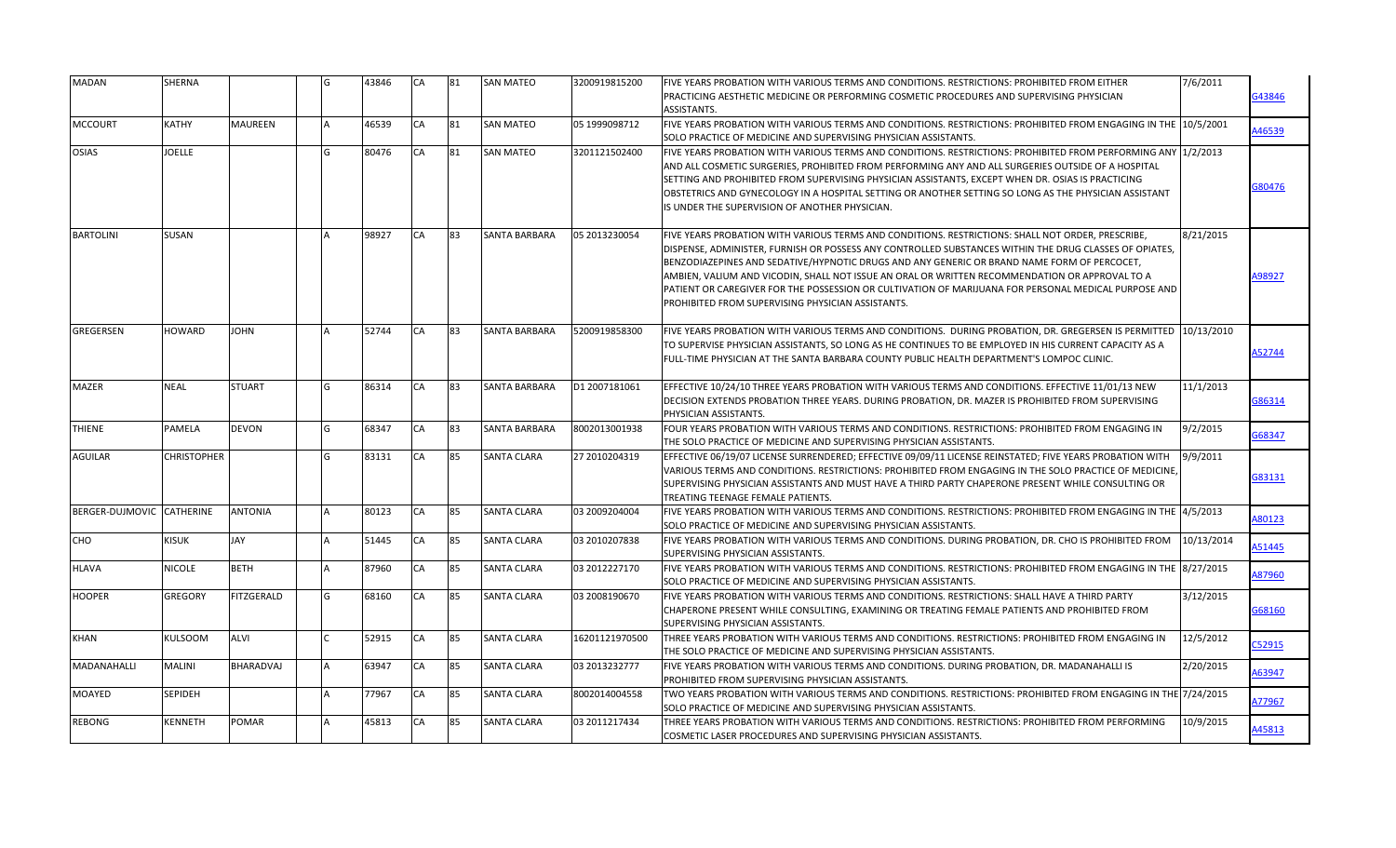| <b>MADAN</b>              | SHERNA             |                   | G | 43846 | <b>CA</b> | 81 | <b>SAN MATEO</b>     | 3200919815200  | FIVE YEARS PROBATION WITH VARIOUS TERMS AND CONDITIONS. RESTRICTIONS: PROHIBITED FROM EITHER<br>IPRACTICING AESTHETIC MEDICINE OR PERFORMING COSMETIC PROCEDURES AND SUPERVISING PHYSICIAN<br>ASSISTANTS.                                                                                                                                                                                                                                                                                                                                                                 | 7/6/2011   | 343846       |
|---------------------------|--------------------|-------------------|---|-------|-----------|----|----------------------|----------------|---------------------------------------------------------------------------------------------------------------------------------------------------------------------------------------------------------------------------------------------------------------------------------------------------------------------------------------------------------------------------------------------------------------------------------------------------------------------------------------------------------------------------------------------------------------------------|------------|--------------|
| <b>MCCOURT</b>            | KATHY              | MAUREEN           |   | 46539 | CA        | 81 | <b>SAN MATEO</b>     | 05 1999098712  | FIVE YEARS PROBATION WITH VARIOUS TERMS AND CONDITIONS. RESTRICTIONS: PROHIBITED FROM ENGAGING IN THE 10/5/2001<br>SOLO PRACTICE OF MEDICINE AND SUPERVISING PHYSICIAN ASSISTANTS.                                                                                                                                                                                                                                                                                                                                                                                        |            | A46539       |
| OSIAS                     | JOELLE             |                   | G | 80476 | <b>CA</b> | 81 | <b>SAN MATEO</b>     | 3201121502400  | FIVE YEARS PROBATION WITH VARIOUS TERMS AND CONDITIONS. RESTRICTIONS: PROHIBITED FROM PERFORMING ANY 11/2/2013<br>AND ALL COSMETIC SURGERIES, PROHIBITED FROM PERFORMING ANY AND ALL SURGERIES OUTSIDE OF A HOSPITAL<br>SETTING AND PROHIBITED FROM SUPERVISING PHYSICIAN ASSISTANTS, EXCEPT WHEN DR. OSIAS IS PRACTICING<br>OBSTETRICS AND GYNECOLOGY IN A HOSPITAL SETTING OR ANOTHER SETTING SO LONG AS THE PHYSICIAN ASSISTANT<br>IS UNDER THE SUPERVISION OF ANOTHER PHYSICIAN.                                                                                      |            | 380476       |
| <b>BARTOLINI</b>          | SUSAN              |                   |   | 98927 | CA        | 83 | SANTA BARBARA        | 05 2013230054  | FIVE YEARS PROBATION WITH VARIOUS TERMS AND CONDITIONS. RESTRICTIONS: SHALL NOT ORDER, PRESCRIBE,<br>DISPENSE, ADMINISTER, FURNISH OR POSSESS ANY CONTROLLED SUBSTANCES WITHIN THE DRUG CLASSES OF OPIATES,<br>BENZODIAZEPINES AND SEDATIVE/HYPNOTIC DRUGS AND ANY GENERIC OR BRAND NAME FORM OF PERCOCET,<br>AMBIEN, VALIUM AND VICODIN, SHALL NOT ISSUE AN ORAL OR WRITTEN RECOMMENDATION OR APPROVAL TO A<br>PATIENT OR CAREGIVER FOR THE POSSESSION OR CULTIVATION OF MARIJUANA FOR PERSONAL MEDICAL PURPOSE AND<br>PROHIBITED FROM SUPERVISING PHYSICIAN ASSISTANTS. | 8/21/2015  | 98927        |
| GREGERSEN                 | HOWARD             | <b>JOHN</b>       |   | 52744 | CA        | 83 | SANTA BARBARA        | 5200919858300  | FIVE YEARS PROBATION WITH VARIOUS TERMS AND CONDITIONS. DURING PROBATION, DR. GREGERSEN IS PERMITTED<br>TO SUPERVISE PHYSICIAN ASSISTANTS, SO LONG AS HE CONTINUES TO BE EMPLOYED IN HIS CURRENT CAPACITY AS A<br>FULL-TIME PHYSICIAN AT THE SANTA BARBARA COUNTY PUBLIC HEALTH DEPARTMENT'S LOMPOC CLINIC.                                                                                                                                                                                                                                                               | 10/13/2010 | <b>S2744</b> |
| MAZER                     | <b>NEAL</b>        | <b>STUART</b>     | G | 86314 | CA        | 83 | SANTA BARBARA        | D1 2007181061  | EFFECTIVE 10/24/10 THREE YEARS PROBATION WITH VARIOUS TERMS AND CONDITIONS. EFFECTIVE 11/01/13 NEW<br>DECISION EXTENDS PROBATION THREE YEARS. DURING PROBATION, DR. MAZER IS PROHIBITED FROM SUPERVISING<br>PHYSICIAN ASSISTANTS.                                                                                                                                                                                                                                                                                                                                         | 11/1/2013  | G86314       |
| <b>THIENE</b>             | PAMELA             | <b>DEVON</b>      | G | 68347 | CA        | 83 | <b>SANTA BARBARA</b> | 8002013001938  | FOUR YEARS PROBATION WITH VARIOUS TERMS AND CONDITIONS. RESTRICTIONS: PROHIBITED FROM ENGAGING IN<br>THE SOLO PRACTICE OF MEDICINE AND SUPERVISING PHYSICIAN ASSISTANTS.                                                                                                                                                                                                                                                                                                                                                                                                  | 9/2/2015   | 368347       |
| AGUILAR                   | <b>CHRISTOPHER</b> |                   | G | 83131 | <b>CA</b> | 85 | <b>SANTA CLARA</b>   | 27 2010204319  | EFFECTIVE 06/19/07 LICENSE SURRENDERED; EFFECTIVE 09/09/11 LICENSE REINSTATED; FIVE YEARS PROBATION WITH<br>VARIOUS TERMS AND CONDITIONS. RESTRICTIONS: PROHIBITED FROM ENGAGING IN THE SOLO PRACTICE OF MEDICINE,<br>SUPERVISING PHYSICIAN ASSISTANTS AND MUST HAVE A THIRD PARTY CHAPERONE PRESENT WHILE CONSULTING OR<br>TREATING TEENAGE FEMALE PATIENTS.                                                                                                                                                                                                             | 9/9/2011   | 683131       |
| BERGER-DUJMOVIC CATHERINE |                    | <b>ANTONIA</b>    |   | 80123 | CA        | 85 | <b>SANTA CLARA</b>   | 03 2009204004  | FIVE YEARS PROBATION WITH VARIOUS TERMS AND CONDITIONS. RESTRICTIONS: PROHIBITED FROM ENGAGING IN THE 14/5/2013<br>SOLO PRACTICE OF MEDICINE AND SUPERVISING PHYSICIAN ASSISTANTS.                                                                                                                                                                                                                                                                                                                                                                                        |            | 180123       |
| CHO                       | KISUK              | JAY               |   | 51445 | <b>CA</b> | 85 | <b>SANTA CLARA</b>   | 03 2010207838  | FIVE YEARS PROBATION WITH VARIOUS TERMS AND CONDITIONS. DURING PROBATION, DR. CHO IS PROHIBITED FROM<br><b>SUPERVISING PHYSICIAN ASSISTANTS.</b>                                                                                                                                                                                                                                                                                                                                                                                                                          | 10/13/2014 | A51445       |
| HLAVA                     | NICOLE             | <b>BETH</b>       |   | 87960 | CA        | 85 | <b>SANTA CLARA</b>   | 03 2012227170  | FIVE YEARS PROBATION WITH VARIOUS TERMS AND CONDITIONS. RESTRICTIONS: PROHIBITED FROM ENGAGING IN THE 18/27/2015<br>SOLO PRACTICE OF MEDICINE AND SUPERVISING PHYSICIAN ASSISTANTS.                                                                                                                                                                                                                                                                                                                                                                                       |            | 187960       |
| <b>HOOPER</b>             | GREGORY            | <b>FITZGERALD</b> |   | 68160 | CA        | 85 | <b>SANTA CLARA</b>   | 03 2008190670  | FIVE YEARS PROBATION WITH VARIOUS TERMS AND CONDITIONS. RESTRICTIONS: SHALL HAVE A THIRD PARTY<br>CHAPERONE PRESENT WHILE CONSULTING, EXAMINING OR TREATING FEMALE PATIENTS AND PROHIBITED FROM<br>SUPERVISING PHYSICIAN ASSISTANTS.                                                                                                                                                                                                                                                                                                                                      | 3/12/2015  | 368160       |
| KHAN                      | KULSOOM            | ALVI              |   | 52915 | CA        | 85 | <b>SANTA CLARA</b>   | 16201121970500 | THREE YEARS PROBATION WITH VARIOUS TERMS AND CONDITIONS. RESTRICTIONS: PROHIBITED FROM ENGAGING IN<br>THE SOLO PRACTICE OF MEDICINE AND SUPERVISING PHYSICIAN ASSISTANTS.                                                                                                                                                                                                                                                                                                                                                                                                 | 12/5/2012  | C52915       |
| MADANAHALLI               | MALINI             | BHARADVAJ         |   | 63947 | CA        | 85 | <b>SANTA CLARA</b>   | 03 2013232777  | FIVE YEARS PROBATION WITH VARIOUS TERMS AND CONDITIONS. DURING PROBATION. DR. MADANAHALLI IS<br>PROHIBITED FROM SUPERVISING PHYSICIAN ASSISTANTS.                                                                                                                                                                                                                                                                                                                                                                                                                         | 2/20/2015  | 163947       |
| MOAYED                    | <b>SEPIDEH</b>     |                   |   | 77967 | CA        | 85 | <b>SANTA CLARA</b>   | 8002014004558  | TWO YEARS PROBATION WITH VARIOUS TERMS AND CONDITIONS. RESTRICTIONS: PROHIBITED FROM ENGAGING IN THE 7/24/2015<br>SOLO PRACTICE OF MEDICINE AND SUPERVISING PHYSICIAN ASSISTANTS.                                                                                                                                                                                                                                                                                                                                                                                         |            | A77967       |
| <b>REBONG</b>             | KENNETH            | POMAR             |   | 45813 | CA        | 85 | <b>SANTA CLARA</b>   | 03 2011217434  | THREE YEARS PROBATION WITH VARIOUS TERMS AND CONDITIONS. RESTRICTIONS: PROHIBITED FROM PERFORMING<br>COSMETIC LASER PROCEDURES AND SUPERVISING PHYSICIAN ASSISTANTS.                                                                                                                                                                                                                                                                                                                                                                                                      | 10/9/2015  | 145813       |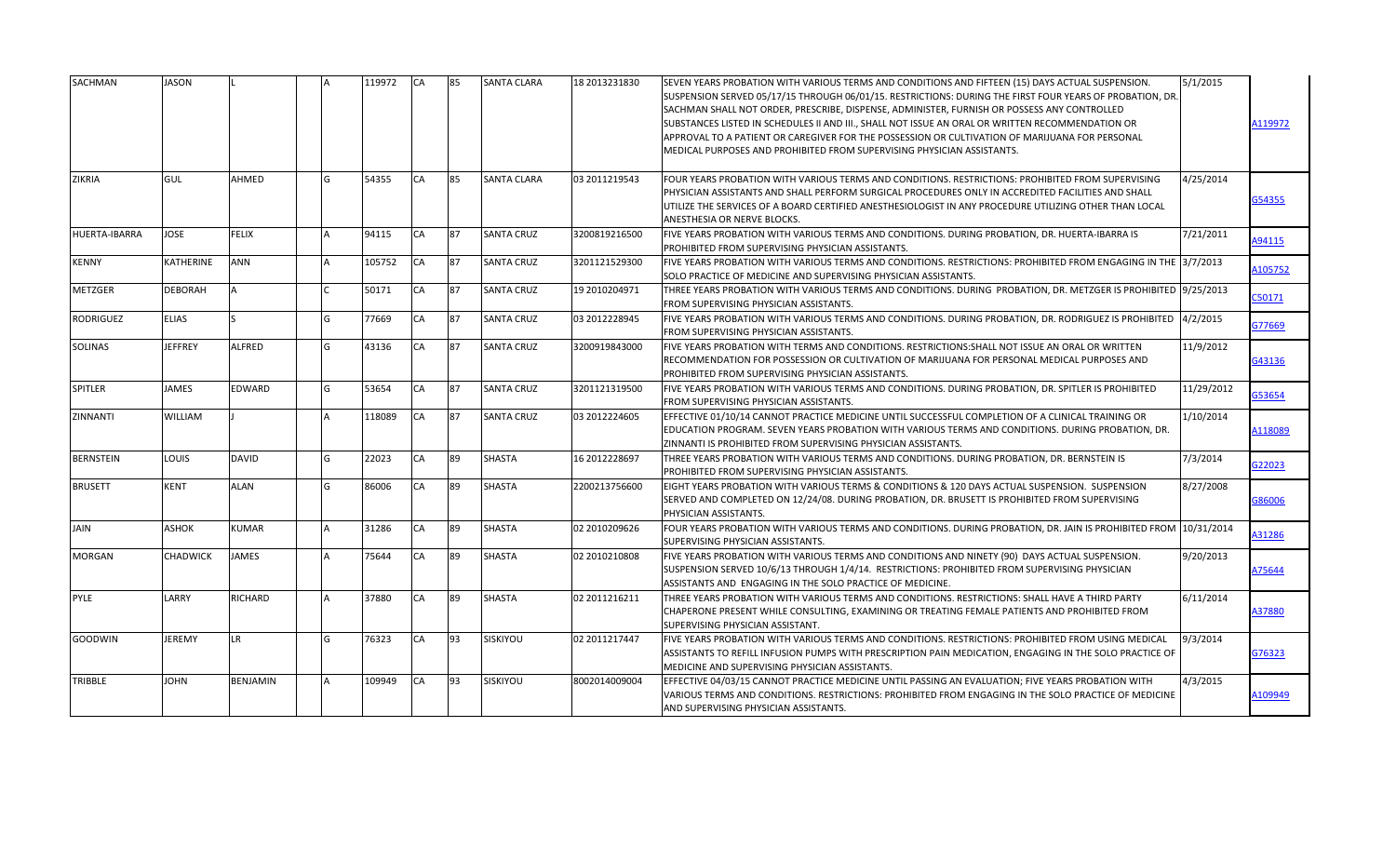| SACHMAN              | JASON           |               |                | 119972 | <b>CA</b> | 85 | <b>SANTA CLARA</b> | 18 2013231830 | SEVEN YEARS PROBATION WITH VARIOUS TERMS AND CONDITIONS AND FIFTEEN (15) DAYS ACTUAL SUSPENSION.<br>SUSPENSION SERVED 05/17/15 THROUGH 06/01/15. RESTRICTIONS: DURING THE FIRST FOUR YEARS OF PROBATION, DR.<br>SACHMAN SHALL NOT ORDER, PRESCRIBE, DISPENSE, ADMINISTER, FURNISH OR POSSESS ANY CONTROLLED<br>SUBSTANCES LISTED IN SCHEDULES II AND III., SHALL NOT ISSUE AN ORAL OR WRITTEN RECOMMENDATION OR<br>APPROVAL TO A PATIENT OR CAREGIVER FOR THE POSSESSION OR CULTIVATION OF MARIJUANA FOR PERSONAL<br>MEDICAL PURPOSES AND PROHIBITED FROM SUPERVISING PHYSICIAN ASSISTANTS. | 5/1/2015   | A119972 |
|----------------------|-----------------|---------------|----------------|--------|-----------|----|--------------------|---------------|---------------------------------------------------------------------------------------------------------------------------------------------------------------------------------------------------------------------------------------------------------------------------------------------------------------------------------------------------------------------------------------------------------------------------------------------------------------------------------------------------------------------------------------------------------------------------------------------|------------|---------|
| ZIKRIA               | GUL             | AHMED         | G              | 54355  | CA        | 85 | <b>SANTA CLARA</b> | 03 2011219543 | FOUR YEARS PROBATION WITH VARIOUS TERMS AND CONDITIONS. RESTRICTIONS: PROHIBITED FROM SUPERVISING<br>PHYSICIAN ASSISTANTS AND SHALL PERFORM SURGICAL PROCEDURES ONLY IN ACCREDITED FACILITIES AND SHALL<br>UTILIZE THE SERVICES OF A BOARD CERTIFIED ANESTHESIOLOGIST IN ANY PROCEDURE UTILIZING OTHER THAN LOCAL<br>ANESTHESIA OR NERVE BLOCKS.                                                                                                                                                                                                                                            | 4/25/2014  | 354355  |
| <b>HUERTA-IBARRA</b> | JOSE            | FELIX         |                | 94115  | CA        | 87 | <b>SANTA CRUZ</b>  | 3200819216500 | FIVE YEARS PROBATION WITH VARIOUS TERMS AND CONDITIONS. DURING PROBATION, DR. HUERTA-IBARRA IS<br>PROHIBITED FROM SUPERVISING PHYSICIAN ASSISTANTS.                                                                                                                                                                                                                                                                                                                                                                                                                                         | 7/21/2011  | A94115  |
| KENNY                | KATHERINE       | ANN           |                | 105752 | CA        | 87 | <b>SANTA CRUZ</b>  | 3201121529300 | FIVE YEARS PROBATION WITH VARIOUS TERMS AND CONDITIONS. RESTRICTIONS: PROHIBITED FROM ENGAGING IN THE 3/7/2013<br>SOLO PRACTICE OF MEDICINE AND SUPERVISING PHYSICIAN ASSISTANTS.                                                                                                                                                                                                                                                                                                                                                                                                           |            | A105752 |
| <b>METZGER</b>       | DEBORAH         |               |                | 50171  | CA        | 87 | <b>SANTA CRUZ</b>  | 19 2010204971 | THREE YEARS PROBATION WITH VARIOUS TERMS AND CONDITIONS. DURING PROBATION, DR. METZGER IS PROHIBITED  9/25/2013<br>FROM SUPERVISING PHYSICIAN ASSISTANTS.                                                                                                                                                                                                                                                                                                                                                                                                                                   |            | C50171  |
| <b>RODRIGUEZ</b>     | <b>ELIAS</b>    |               | G              | 77669  | CA        | 87 | <b>SANTA CRUZ</b>  | 03 2012228945 | FIVE YEARS PROBATION WITH VARIOUS TERMS AND CONDITIONS. DURING PROBATION, DR. RODRIGUEZ IS PROHIBITED  4/2/2015<br>FROM SUPERVISING PHYSICIAN ASSISTANTS.                                                                                                                                                                                                                                                                                                                                                                                                                                   |            | G77669  |
| <b>SOLINAS</b>       | <b>JEFFREY</b>  | <b>ALFRED</b> | lG.            | 43136  | CA        | 87 | <b>SANTA CRUZ</b>  | 3200919843000 | FIVE YEARS PROBATION WITH TERMS AND CONDITIONS. RESTRICTIONS: SHALL NOT ISSUE AN ORAL OR WRITTEN<br>RECOMMENDATION FOR POSSESSION OR CULTIVATION OF MARIJUANA FOR PERSONAL MEDICAL PURPOSES AND<br>PROHIBITED FROM SUPERVISING PHYSICIAN ASSISTANTS.                                                                                                                                                                                                                                                                                                                                        | 11/9/2012  | G43136  |
| <b>SPITLER</b>       | <b>JAMES</b>    | EDWARD        | l <sub>G</sub> | 53654  | CA        | 87 | <b>SANTA CRUZ</b>  | 3201121319500 | FIVE YEARS PROBATION WITH VARIOUS TERMS AND CONDITIONS. DURING PROBATION, DR. SPITLER IS PROHIBITED<br>FROM SUPERVISING PHYSICIAN ASSISTANTS.                                                                                                                                                                                                                                                                                                                                                                                                                                               | 11/29/2012 | G53654  |
| ZINNANTI             | WILLIAM         |               |                | 118089 | CA        | 87 | <b>SANTA CRUZ</b>  | 03 2012224605 | EFFECTIVE 01/10/14 CANNOT PRACTICE MEDICINE UNTIL SUCCESSFUL COMPLETION OF A CLINICAL TRAINING OR<br>EDUCATION PROGRAM. SEVEN YEARS PROBATION WITH VARIOUS TERMS AND CONDITIONS. DURING PROBATION, DR.<br>ZINNANTI IS PROHIBITED FROM SUPERVISING PHYSICIAN ASSISTANTS.                                                                                                                                                                                                                                                                                                                     | 1/10/2014  | A118089 |
| <b>BERNSTEIN</b>     | <b>LOUIS</b>    | <b>DAVID</b>  | G              | 22023  | CA        | 89 | <b>SHASTA</b>      | 16 2012228697 | THREE YEARS PROBATION WITH VARIOUS TERMS AND CONDITIONS. DURING PROBATION. DR. BERNSTEIN IS<br><b>PROHIBITED FROM SUPERVISING PHYSICIAN ASSISTANTS.</b>                                                                                                                                                                                                                                                                                                                                                                                                                                     | 7/3/2014   | G22023  |
| <b>BRUSETT</b>       | <b>KENT</b>     | <b>ALAN</b>   | G              | 86006  | <b>CA</b> | 89 | <b>SHASTA</b>      | 2200213756600 | EIGHT YEARS PROBATION WITH VARIOUS TERMS & CONDITIONS & 120 DAYS ACTUAL SUSPENSION. SUSPENSION<br>SERVED AND COMPLETED ON 12/24/08. DURING PROBATION, DR. BRUSETT IS PROHIBITED FROM SUPERVISING<br>PHYSICIAN ASSISTANTS.                                                                                                                                                                                                                                                                                                                                                                   | 8/27/2008  | G86006  |
| JAIN                 | ASHOK           | KUMAR         |                | 31286  | CA        | 89 | <b>SHASTA</b>      | 02 2010209626 | FOUR YEARS PROBATION WITH VARIOUS TERMS AND CONDITIONS. DURING PROBATION, DR. JAIN IS PROHIBITED FROM 10/31/2014<br>SUPERVISING PHYSICIAN ASSISTANTS.                                                                                                                                                                                                                                                                                                                                                                                                                                       |            | A31286  |
| <b>MORGAN</b>        | <b>CHADWICK</b> | <b>JAMES</b>  |                | 75644  | <b>CA</b> | 89 | <b>SHASTA</b>      | 02 2010210808 | FIVE YEARS PROBATION WITH VARIOUS TERMS AND CONDITIONS AND NINETY (90) DAYS ACTUAL SUSPENSION.<br>SUSPENSION SERVED 10/6/13 THROUGH 1/4/14. RESTRICTIONS: PROHIBITED FROM SUPERVISING PHYSICIAN<br>ASSISTANTS AND ENGAGING IN THE SOLO PRACTICE OF MEDICINE.                                                                                                                                                                                                                                                                                                                                | 9/20/2013  | A75644  |
| PYLE                 | LARRY           | RICHARD       |                | 37880  | CA        | 89 | <b>SHASTA</b>      | 02 2011216211 | THREE YEARS PROBATION WITH VARIOUS TERMS AND CONDITIONS. RESTRICTIONS: SHALL HAVE A THIRD PARTY<br>CHAPERONE PRESENT WHILE CONSULTING, EXAMINING OR TREATING FEMALE PATIENTS AND PROHIBITED FROM<br>SUPERVISING PHYSICIAN ASSISTANT.                                                                                                                                                                                                                                                                                                                                                        | 6/11/2014  | A37880  |
| GOODWIN              | <b>JEREMY</b>   | LR.           | G              | 76323  | CA        | 93 | SISKIYOU           | 02 2011217447 | FIVE YEARS PROBATION WITH VARIOUS TERMS AND CONDITIONS. RESTRICTIONS: PROHIBITED FROM USING MEDICAL<br>ASSISTANTS TO REFILL INFUSION PUMPS WITH PRESCRIPTION PAIN MEDICATION, ENGAGING IN THE SOLO PRACTICE OF<br>MEDICINE AND SUPERVISING PHYSICIAN ASSISTANTS.                                                                                                                                                                                                                                                                                                                            | 9/3/2014   | G76323  |
| TRIBBLE              | <b>JOHN</b>     | BENJAMIN      |                | 109949 | CA        | 93 | SISKIYOU           | 8002014009004 | EFFECTIVE 04/03/15 CANNOT PRACTICE MEDICINE UNTIL PASSING AN EVALUATION; FIVE YEARS PROBATION WITH<br>VARIOUS TERMS AND CONDITIONS. RESTRICTIONS: PROHIBITED FROM ENGAGING IN THE SOLO PRACTICE OF MEDICINE<br>AND SUPERVISING PHYSICIAN ASSISTANTS.                                                                                                                                                                                                                                                                                                                                        | 4/3/2015   | A109949 |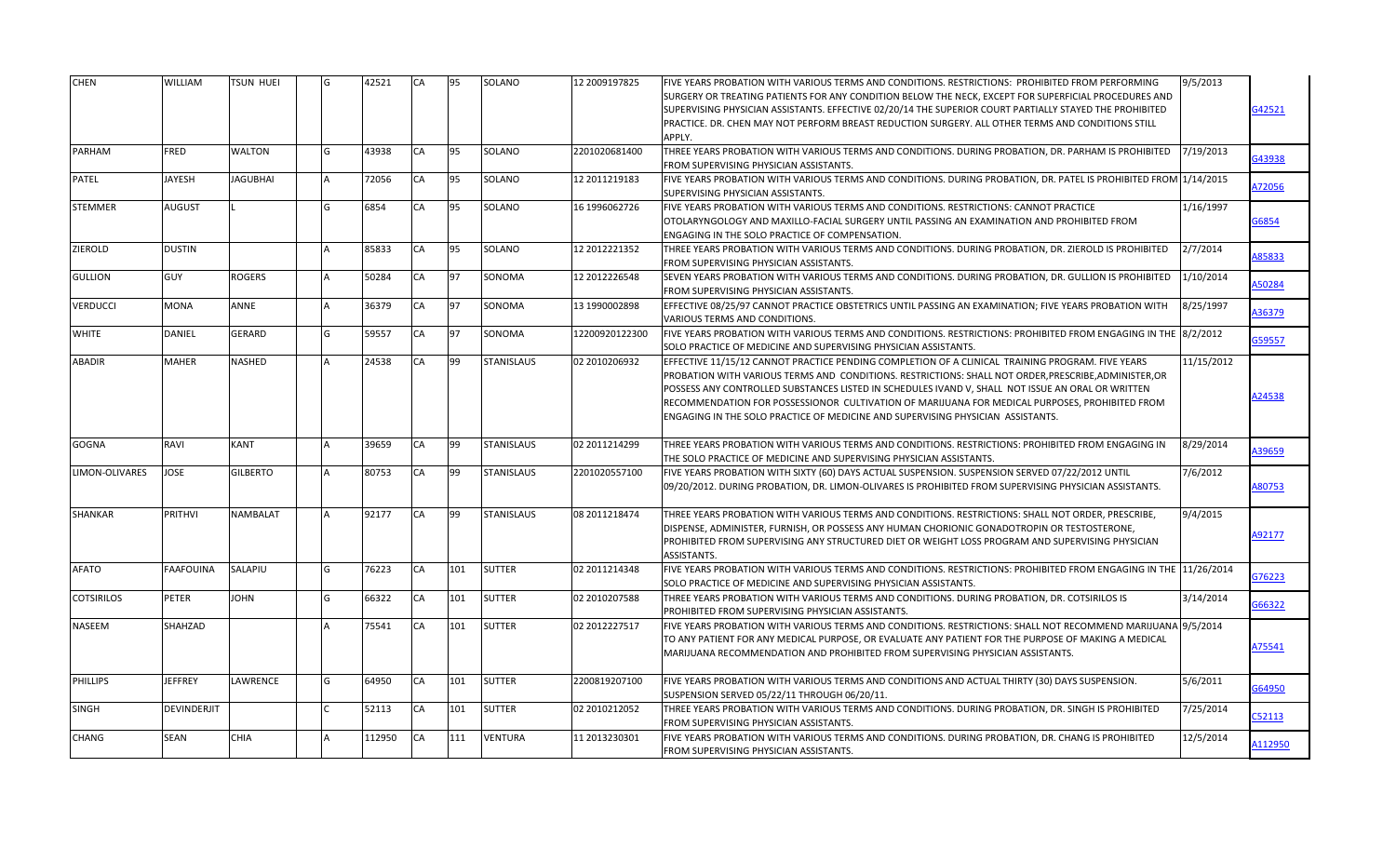| <b>CHEN</b>           | WILLIAM          | <b>TSUN HUEI</b> | 42521  | <b>CA</b> | 95  | SOLANO            | 12 2009197825  | FIVE YEARS PROBATION WITH VARIOUS TERMS AND CONDITIONS. RESTRICTIONS: PROHIBITED FROM PERFORMING<br>SURGERY OR TREATING PATIENTS FOR ANY CONDITION BELOW THE NECK, EXCEPT FOR SUPERFICIAL PROCEDURES AND<br>SUPERVISING PHYSICIAN ASSISTANTS. EFFECTIVE 02/20/14 THE SUPERIOR COURT PARTIALLY STAYED THE PROHIBITED<br>PRACTICE. DR. CHEN MAY NOT PERFORM BREAST REDUCTION SURGERY. ALL OTHER TERMS AND CONDITIONS STILL<br>APPLY.                                                                  | 9/5/2013   | 342521       |
|-----------------------|------------------|------------------|--------|-----------|-----|-------------------|----------------|-----------------------------------------------------------------------------------------------------------------------------------------------------------------------------------------------------------------------------------------------------------------------------------------------------------------------------------------------------------------------------------------------------------------------------------------------------------------------------------------------------|------------|--------------|
| PARHAM                | <b>FRED</b>      | <b>WALTON</b>    | 43938  | <b>CA</b> | 95  | SOLANO            | 2201020681400  | THREE YEARS PROBATION WITH VARIOUS TERMS AND CONDITIONS. DURING PROBATION, DR. PARHAM IS PROHIBITED<br>FROM SUPERVISING PHYSICIAN ASSISTANTS.                                                                                                                                                                                                                                                                                                                                                       | 7/19/2013  | 343938       |
| PATEL                 | <b>JAYESH</b>    | <b>JAGUBHAI</b>  | 72056  | CA        | 95  | SOLANO            | 12 2011219183  | FIVE YEARS PROBATION WITH VARIOUS TERMS AND CONDITIONS. DURING PROBATION, DR. PATEL IS PROHIBITED FROM 1/14/2015<br>SUPERVISING PHYSICIAN ASSISTANTS.                                                                                                                                                                                                                                                                                                                                               |            | A72056       |
| STEMMER               | <b>AUGUST</b>    |                  | 6854   | CA        | 95  | SOLANO            | 16 1996062726  | FIVE YEARS PROBATION WITH VARIOUS TERMS AND CONDITIONS. RESTRICTIONS: CANNOT PRACTICE<br>OTOLARYNGOLOGY AND MAXILLO-FACIAL SURGERY UNTIL PASSING AN EXAMINATION AND PROHIBITED FROM<br>ENGAGING IN THE SOLO PRACTICE OF COMPENSATION.                                                                                                                                                                                                                                                               | 1/16/1997  | 36854        |
| ZIEROLD               | <b>DUSTIN</b>    |                  | 85833  | CA        | 95  | SOLANO            | 12 2012221352  | THREE YEARS PROBATION WITH VARIOUS TERMS AND CONDITIONS. DURING PROBATION, DR. ZIEROLD IS PROHIBITED<br>FROM SUPERVISING PHYSICIAN ASSISTANTS.                                                                                                                                                                                                                                                                                                                                                      | 2/7/2014   | 85833        |
| <b>GULLION</b>        | GUY              | <b>ROGERS</b>    | 50284  | CA        | 97  | SONOMA            | 12 2012226548  | SEVEN YEARS PROBATION WITH VARIOUS TERMS AND CONDITIONS. DURING PROBATION, DR. GULLION IS PROHIBITED<br>FROM SUPERVISING PHYSICIAN ASSISTANTS.                                                                                                                                                                                                                                                                                                                                                      | 1/10/2014  | 150284       |
| <b>VERDUCCI</b>       | <b>MONA</b>      | ANNE             | 36379  | CA        | 97  | SONOMA            | 13 1990002898  | EFFECTIVE 08/25/97 CANNOT PRACTICE OBSTETRICS UNTIL PASSING AN EXAMINATION; FIVE YEARS PROBATION WITH<br>VARIOUS TERMS AND CONDITIONS.                                                                                                                                                                                                                                                                                                                                                              | 8/25/1997  | 136379       |
| <b>WHITE</b>          | <b>DANIEL</b>    | <b>GERARD</b>    | 59557  | CA        | 97  | SONOMA            | 12200920122300 | FIVE YEARS PROBATION WITH VARIOUS TERMS AND CONDITIONS. RESTRICTIONS: PROHIBITED FROM ENGAGING IN THE 8/2/2012<br>SOLO PRACTICE OF MEDICINE AND SUPERVISING PHYSICIAN ASSISTANTS.                                                                                                                                                                                                                                                                                                                   |            | 359557       |
| <b>ABADIR</b>         | <b>MAHER</b>     | <b>NASHED</b>    | 24538  | CA        | 99  | <b>STANISLAUS</b> | 02 2010206932  | EFFECTIVE 11/15/12 CANNOT PRACTICE PENDING COMPLETION OF A CLINICAL TRAINING PROGRAM. FIVE YEARS<br>PROBATION WITH VARIOUS TERMS AND CONDITIONS. RESTRICTIONS: SHALL NOT ORDER, PRESCRIBE, ADMINISTER, OR<br>POSSESS ANY CONTROLLED SUBSTANCES LISTED IN SCHEDULES IVAND V, SHALL NOT ISSUE AN ORAL OR WRITTEN<br>RECOMMENDATION FOR POSSESSIONOR CULTIVATION OF MARIJUANA FOR MEDICAL PURPOSES, PROHIBITED FROM<br>ENGAGING IN THE SOLO PRACTICE OF MEDICINE AND SUPERVISING PHYSICIAN ASSISTANTS. | 11/15/2012 | A24538       |
| <b>GOGNA</b>          | RAVI             | <b>KANT</b>      | 39659  | <b>CA</b> | 99  | <b>STANISLAUS</b> | 02 2011214299  | THREE YEARS PROBATION WITH VARIOUS TERMS AND CONDITIONS. RESTRICTIONS: PROHIBITED FROM ENGAGING IN<br>THE SOLO PRACTICE OF MEDICINE AND SUPERVISING PHYSICIAN ASSISTANTS.                                                                                                                                                                                                                                                                                                                           | 8/29/2014  | <b>39659</b> |
| <b>LIMON-OLIVARES</b> | <b>JOSE</b>      | <b>GILBERTO</b>  | 80753  | CA        | 99  | <b>STANISLAUS</b> | 2201020557100  | FIVE YEARS PROBATION WITH SIXTY (60) DAYS ACTUAL SUSPENSION. SUSPENSION SERVED 07/22/2012 UNTIL<br>09/20/2012. DURING PROBATION, DR. LIMON-OLIVARES IS PROHIBITED FROM SUPERVISING PHYSICIAN ASSISTANTS.                                                                                                                                                                                                                                                                                            | 7/6/2012   | 80753        |
| <b>SHANKAR</b>        | <b>PRITHVI</b>   | <b>NAMBALAT</b>  | 92177  | CA        | 99  | <b>STANISLAUS</b> | 08 2011218474  | THREE YEARS PROBATION WITH VARIOUS TERMS AND CONDITIONS. RESTRICTIONS: SHALL NOT ORDER, PRESCRIBE,<br>DISPENSE, ADMINISTER, FURNISH, OR POSSESS ANY HUMAN CHORIONIC GONADOTROPIN OR TESTOSTERONE,<br>PROHIBITED FROM SUPERVISING ANY STRUCTURED DIET OR WEIGHT LOSS PROGRAM AND SUPERVISING PHYSICIAN<br><b>ASSISTANTS.</b>                                                                                                                                                                         | 9/4/2015   | 92177        |
| <b>AFATO</b>          | <b>FAAFOUINA</b> | SALAPIU          | 76223  | CA        | 101 | <b>SUTTER</b>     | 02 2011214348  | FIVE YEARS PROBATION WITH VARIOUS TERMS AND CONDITIONS. RESTRICTIONS: PROHIBITED FROM ENGAGING IN THE 11/26/2014<br>SOLO PRACTICE OF MEDICINE AND SUPERVISING PHYSICIAN ASSISTANTS.                                                                                                                                                                                                                                                                                                                 |            | 376223       |
| <b>COTSIRILOS</b>     | <b>PETER</b>     | <b>JOHN</b>      | 66322  | CA        | 101 | <b>SUTTER</b>     | 02 2010207588  | THREE YEARS PROBATION WITH VARIOUS TERMS AND CONDITIONS. DURING PROBATION, DR. COTSIRILOS IS<br>PROHIBITED FROM SUPERVISING PHYSICIAN ASSISTANTS.                                                                                                                                                                                                                                                                                                                                                   | 3/14/2014  | G66322       |
| <b>NASEEM</b>         | SHAHZAD          |                  | 75541  | CA        | 101 | <b>SUTTER</b>     | 02 2012227517  | FIVE YEARS PROBATION WITH VARIOUS TERMS AND CONDITIONS. RESTRICTIONS: SHALL NOT RECOMMEND MARIJUANA 9/5/2014<br>TO ANY PATIENT FOR ANY MEDICAL PURPOSE, OR EVALUATE ANY PATIENT FOR THE PURPOSE OF MAKING A MEDICAL<br>MARIJUANA RECOMMENDATION AND PROHIBITED FROM SUPERVISING PHYSICIAN ASSISTANTS.                                                                                                                                                                                               |            | 175541       |
| <b>PHILLIPS</b>       | <b>JEFFREY</b>   | LAWRENCE         | 64950  | CA        | 101 | <b>SUTTER</b>     | 2200819207100  | FIVE YEARS PROBATION WITH VARIOUS TERMS AND CONDITIONS AND ACTUAL THIRTY (30) DAYS SUSPENSION.<br>SUSPENSION SERVED 05/22/11 THROUGH 06/20/11.                                                                                                                                                                                                                                                                                                                                                      | 5/6/2011   | 364950       |
| <b>SINGH</b>          | DEVINDERJIT      |                  | 52113  | CA        | 101 | <b>SUTTER</b>     | 02 2010212052  | THREE YEARS PROBATION WITH VARIOUS TERMS AND CONDITIONS. DURING PROBATION, DR. SINGH IS PROHIBITED<br>FROM SUPERVISING PHYSICIAN ASSISTANTS.                                                                                                                                                                                                                                                                                                                                                        | 7/25/2014  | 052113       |
| <b>CHANG</b>          | <b>SEAN</b>      | <b>CHIA</b>      | 112950 | CA        | 111 | <b>VENTURA</b>    | 11 2013230301  | FIVE YEARS PROBATION WITH VARIOUS TERMS AND CONDITIONS. DURING PROBATION, DR. CHANG IS PROHIBITED<br>FROM SUPERVISING PHYSICIAN ASSISTANTS.                                                                                                                                                                                                                                                                                                                                                         | 12/5/2014  | 112950       |